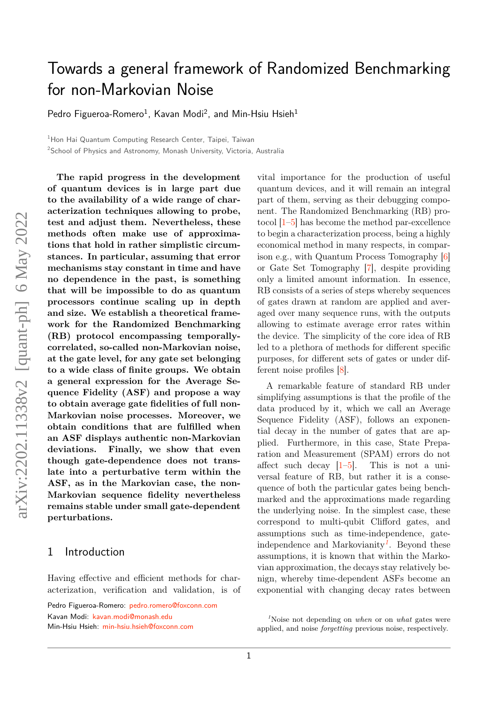# Towards a general framework of Randomized Benchmarking for non-Markovian Noise

[Pedro Figueroa-Romero](https://orcid.org/0000-0002-1386-4380) $^1$ , [Kavan Modi](https://orcid.org/0000-0002-2054-9901) $^2$ , and [Min-Hsiu Hsieh](https://orcid.org/0000-0002-3396-8427) $^1$ 

<sup>1</sup>Hon Hai Quantum Computing Research Center, Taipei, Taiwan

<sup>2</sup>School of Physics and Astronomy, Monash University, Victoria, Australia

**The rapid progress in the development of quantum devices is in large part due to the availability of a wide range of characterization techniques allowing to probe, test and adjust them. Nevertheless, these methods often make use of approximations that hold in rather simplistic circumstances. In particular, assuming that error mechanisms stay constant in time and have no dependence in the past, is something that will be impossible to do as quantum processors continue scaling up in depth and size. We establish a theoretical framework for the Randomized Benchmarking (RB) protocol encompassing temporallycorrelated, so-called non-Markovian noise, at the gate level, for any gate set belonging to a wide class of finite groups. We obtain a general expression for the Average Sequence Fidelity (ASF) and propose a way to obtain average gate fidelities of full non-Markovian noise processes. Moreover, we obtain conditions that are fulfilled when an ASF displays authentic non-Markovian deviations. Finally, we show that even though gate-dependence does not translate into a perturbative term within the ASF, as in the Markovian case, the non-Markovian sequence fidelity nevertheless remains stable under small gate-dependent perturbations.**

### 1 Introduction

Having effective and efficient methods for characterization, verification and validation, is of

Pedro Figueroa-Romero: [pedro.romero@foxconn.com](mailto:pedro.romero@foxconn.com) Kavan Modi: [kavan.modi@monash.edu](mailto:kavan.modi@monash.edu) Min-Hsiu Hsieh: [min-hsiu.hsieh@foxconn.com](mailto:min-hsiu.hsieh@foxconn.com)

vital importance for the production of useful quantum devices, and it will remain an integral part of them, serving as their debugging component. The Randomized Benchmarking (RB) protocol  $|1-5|$  has become the method par-excellence to begin a characterization process, being a highly economical method in many respects, in comparison e.g., with Quantum Process Tomography [\[6\]](#page-12-2) or Gate Set Tomography [\[7\]](#page-12-3), despite providing only a limited amount information. In essence, RB consists of a series of steps whereby sequences of gates drawn at random are applied and averaged over many sequence runs, with the outputs allowing to estimate average error rates within the device. The simplicity of the core idea of RB led to a plethora of methods for different specific purposes, for different sets of gates or under different noise profiles [\[8\]](#page-12-4).

A remarkable feature of standard RB under simplifying assumptions is that the profile of the data produced by it, which we call an Average Sequence Fidelity (ASF), follows an exponential decay in the number of gates that are applied. Furthermore, in this case, State Preparation and Measurement (SPAM) errors do not affect such decay  $[1–5]$  $[1–5]$ . This is not a universal feature of RB, but rather it is a consequence of both the particular gates being benchmarked and the approximations made regarding the underlying noise. In the simplest case, these correspond to multi-qubit Clifford gates, and assumptions such as time-independence, gateindependence and Markovianity*[1](#page-0-0)* . Beyond these assumptions, it is known that within the Markovian approximation, the decays stay relatively benign, whereby time-dependent ASFs become an exponential with changing decay rates between

<span id="page-0-0"></span>*<sup>1</sup>*Noise not depending on *when* or on *what* gates were applied, and noise *forgetting* previous noise, respectively.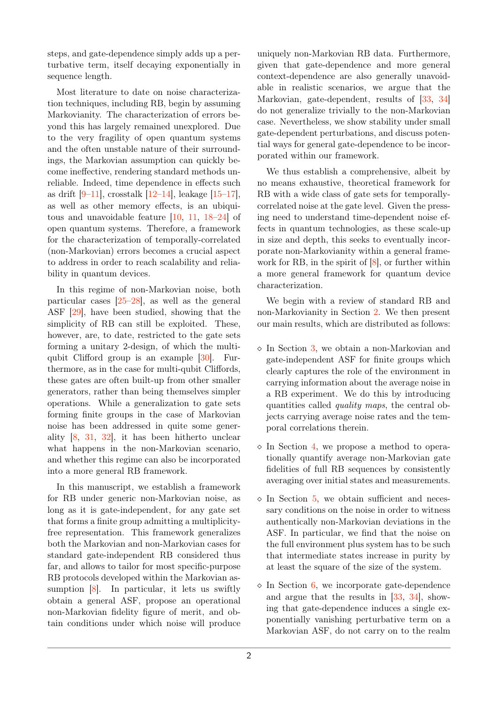steps, and gate-dependence simply adds up a perturbative term, itself decaying exponentially in sequence length.

Most literature to date on noise characterization techniques, including RB, begin by assuming Markovianity. The characterization of errors beyond this has largely remained unexplored. Due to the very fragility of open quantum systems and the often unstable nature of their surroundings, the Markovian assumption can quickly become ineffective, rendering standard methods unreliable. Indeed, time dependence in effects such as drift [\[9](#page-12-5)[–11\]](#page-12-6), crosstalk [\[12–](#page-12-7)[14\]](#page-12-8), leakage [\[15–](#page-12-9)[17\]](#page-12-10), as well as other memory effects, is an ubiquitous and unavoidable feature [\[10,](#page-12-11) [11,](#page-12-6) [18–](#page-12-12)[24\]](#page-13-0) of open quantum systems. Therefore, a framework for the characterization of temporally-correlated (non-Markovian) errors becomes a crucial aspect to address in order to reach scalability and reliability in quantum devices.

In this regime of non-Markovian noise, both particular cases  $[25-28]$  $[25-28]$ , as well as the general ASF [\[29\]](#page-13-3), have been studied, showing that the simplicity of RB can still be exploited. These, however, are, to date, restricted to the gate sets forming a unitary 2-design, of which the multiqubit Clifford group is an example [\[30\]](#page-13-4). Furthermore, as in the case for multi-qubit Cliffords, these gates are often built-up from other smaller generators, rather than being themselves simpler operations. While a generalization to gate sets forming finite groups in the case of Markovian noise has been addressed in quite some generality [\[8,](#page-12-4) [31,](#page-13-5) [32\]](#page-13-6), it has been hitherto unclear what happens in the non-Markovian scenario, and whether this regime can also be incorporated into a more general RB framework.

In this manuscript, we establish a framework for RB under generic non-Markovian noise, as long as it is gate-independent, for any gate set that forms a finite group admitting a multiplicityfree representation. This framework generalizes both the Markovian and non-Markovian cases for standard gate-independent RB considered thus far, and allows to tailor for most specific-purpose RB protocols developed within the Markovian assumption [\[8\]](#page-12-4). In particular, it lets us swiftly obtain a general ASF, propose an operational non-Markovian fidelity figure of merit, and obtain conditions under which noise will produce uniquely non-Markovian RB data. Furthermore, given that gate-dependence and more general context-dependence are also generally unavoidable in realistic scenarios, we argue that the Markovian, gate-dependent, results of [\[33,](#page-13-7) [34\]](#page-13-8) do not generalize trivially to the non-Markovian case. Nevertheless, we show stability under small gate-dependent perturbations, and discuss potential ways for general gate-dependence to be incorporated within our framework.

We thus establish a comprehensive, albeit by no means exhaustive, theoretical framework for RB with a wide class of gate sets for temporallycorrelated noise at the gate level. Given the pressing need to understand time-dependent noise effects in quantum technologies, as these scale-up in size and depth, this seeks to eventually incorporate non-Markovianity within a general framework for RB, in the spirit of [\[8\]](#page-12-4), or further within a more general framework for quantum device characterization.

We begin with a review of standard RB and non-Markovianity in Section [2.](#page-2-0) We then present our main results, which are distributed as follows:

- $\Diamond$  In Section [3,](#page-4-0) we obtain a non-Markovian and gate-independent ASF for finite groups which clearly captures the role of the environment in carrying information about the average noise in a RB experiment. We do this by introducing quantities called quality maps, the central objects carrying average noise rates and the temporal correlations therein.
- $\Diamond$  In Section [4,](#page-6-0) we propose a method to operationally quantify average non-Markovian gate fidelities of full RB sequences by consistently averaging over initial states and measurements.
- $\Diamond$  In Section [5,](#page-8-0) we obtain sufficient and necessary conditions on the noise in order to witness authentically non-Markovian deviations in the ASF. In particular, we find that the noise on the full environment plus system has to be such that intermediate states increase in purity by at least the square of the size of the system.
- $\Diamond$  In Section [6,](#page-9-0) we incorporate gate-dependence and argue that the results in [\[33,](#page-13-7) [34\]](#page-13-8), showing that gate-dependence induces a single exponentially vanishing perturbative term on a Markovian ASF, do not carry on to the realm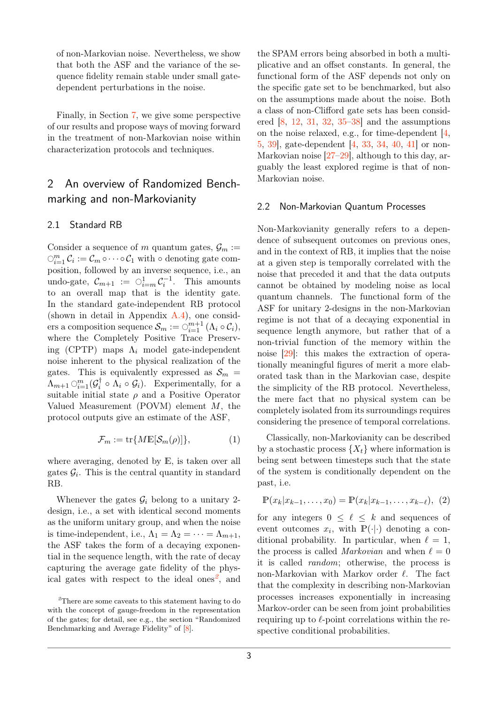of non-Markovian noise. Nevertheless, we show that both the ASF and the variance of the sequence fidelity remain stable under small gatedependent perturbations in the noise.

Finally, in Section [7,](#page-11-0) we give some perspective of our results and propose ways of moving forward in the treatment of non-Markovian noise within characterization protocols and techniques.

# <span id="page-2-0"></span>2 An overview of Randomized Benchmarking and non-Markovianity

### 2.1 Standard RB

Consider a sequence of *m* quantum gates,  $\mathcal{G}_m$  :=  $\bigcirc_{i=1}^{m} \mathcal{C}_i := \mathcal{C}_m \circ \cdots \circ \mathcal{C}_1$  with  $\circ$  denoting gate composition, followed by an inverse sequence, i.e., an undo-gate,  $\mathcal{C}_{m+1} := \bigcirc_{i=m}^1 \mathcal{C}_i^{-1}$ . This amounts to an overall map that is the identity gate. In the standard gate-independent RB protocol (shown in detail in Appendix [A.4\)](#page-17-0), one consid- $\text{vers a composition sequence } \mathcal{S}_m := \bigcirc_{i=1}^{m+1} (\Lambda_i \circ \mathcal{C}_i),$ where the Completely Positive Trace Preserving (CPTP) maps Λ*<sup>i</sup>* model gate-independent noise inherent to the physical realization of the gates. This is equivalently expressed as  $S_m$  =  $\Lambda_{m+1} \odot_{i=1}^{m} (\mathcal{G}_i^{\dagger})$  $\mathcal{G}_i^{\dagger} \circ \Lambda_i \circ \mathcal{G}_i$ . Experimentally, for a suitable initial state  $\rho$  and a Positive Operator Valued Measurement (POVM) element *M*, the protocol outputs give an estimate of the ASF,

<span id="page-2-3"></span>
$$
\mathcal{F}_m := \operatorname{tr} \{ M \mathbb{E}[\mathcal{S}_m(\rho)] \}, \tag{1}
$$

where averaging, denoted by E, is taken over all gates  $\mathcal{G}_i$ . This is the central quantity in standard RB.

Whenever the gates  $\mathcal{G}_i$  belong to a unitary 2design, i.e., a set with identical second moments as the uniform unitary group, and when the noise is time-independent, i.e.,  $\Lambda_1 = \Lambda_2 = \cdots = \Lambda_{m+1}$ , the ASF takes the form of a decaying exponential in the sequence length, with the rate of decay capturing the average gate fidelity of the physical gates with respect to the ideal ones*[2](#page-2-1)* , and

the SPAM errors being absorbed in both a multiplicative and an offset constants. In general, the functional form of the ASF depends not only on the specific gate set to be benchmarked, but also on the assumptions made about the noise. Both a class of non-Clifford gate sets has been considered  $[8, 12, 31, 32, 35-38]$  $[8, 12, 31, 32, 35-38]$  $[8, 12, 31, 32, 35-38]$  $[8, 12, 31, 32, 35-38]$  $[8, 12, 31, 32, 35-38]$  $[8, 12, 31, 32, 35-38]$  $[8, 12, 31, 32, 35-38]$  $[8, 12, 31, 32, 35-38]$  $[8, 12, 31, 32, 35-38]$  and the assumptions on the noise relaxed, e.g., for time-dependent [\[4,](#page-12-13) [5,](#page-12-1) [39\]](#page-13-11), gate-dependent [\[4,](#page-12-13) [33,](#page-13-7) [34,](#page-13-8) [40,](#page-13-12) [41\]](#page-13-13) or non-Markovian noise  $[27-29]$  $[27-29]$ , although to this day, arguably the least explored regime is that of non-Markovian noise.

#### 2.2 Non-Markovian Quantum Processes

Non-Markovianity generally refers to a dependence of subsequent outcomes on previous ones, and in the context of RB, it implies that the noise at a given step is temporally correlated with the noise that preceded it and that the data outputs cannot be obtained by modeling noise as local quantum channels. The functional form of the ASF for unitary 2-designs in the non-Markovian regime is not that of a decaying exponential in sequence length anymore, but rather that of a non-trivial function of the memory within the noise [\[29\]](#page-13-3): this makes the extraction of operationally meaningful figures of merit a more elaborated task than in the Markovian case, despite the simplicity of the RB protocol. Nevertheless, the mere fact that no physical system can be completely isolated from its surroundings requires considering the presence of temporal correlations.

Classically, non-Markovianity can be described by a stochastic process  $\{X_t\}$  where information is being sent between timesteps such that the state of the system is conditionally dependent on the past, i.e.

<span id="page-2-2"></span>
$$
\mathbb{P}(x_k|x_{k-1},\ldots,x_0) = \mathbb{P}(x_k|x_{k-1},\ldots,x_{k-\ell}),\ (2)
$$

for any integers  $0 \leq \ell \leq k$  and sequences of event outcomes  $x_i$ , with  $\mathbb{P}(\cdot|\cdot)$  denoting a conditional probability. In particular, when  $\ell = 1$ , the process is called *Markovian* and when  $\ell = 0$ it is called random; otherwise, the process is non-Markovian with Markov order  $\ell$ . The fact that the complexity in describing non-Markovian processes increases exponentially in increasing Markov-order can be seen from joint probabilities requiring up to  $\ell$ -point correlations within the respective conditional probabilities.

<span id="page-2-1"></span>*<sup>2</sup>*There are some caveats to this statement having to do with the concept of gauge-freedom in the representation of the gates; for detail, see e.g., the section "Randomized Benchmarking and Average Fidelity" of [\[8\]](#page-12-4).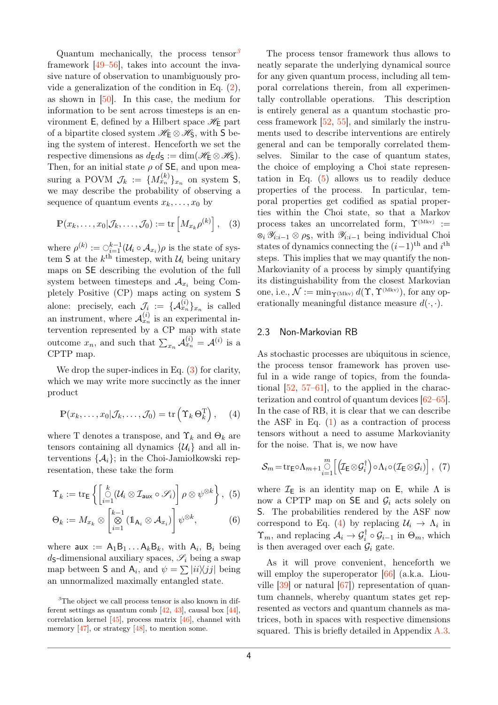Quantum mechanically, the process tensor*[3](#page-3-0)* framework [\[49](#page-14-0)[–56\]](#page-14-1), takes into account the invasive nature of observation to unambiguously provide a generalization of the condition in Eq. [\(2\)](#page-2-2), as shown in [\[50\]](#page-14-2). In this case, the medium for information to be sent across timesteps is an environment E, defined by a Hilbert space  $\mathscr{H}_{\mathsf{E}}$  part of a bipartite closed system  $\mathscr{H}_{\mathsf{E}} \otimes \mathscr{H}_{\mathsf{S}}$ , with S being the system of interest. Henceforth we set the respective dimensions as  $d_F d_S := \dim(\mathcal{H}_F \otimes \mathcal{H}_S)$ . Then, for an initial state  $\rho$  of **SE**, and upon measuring a POVM  $\mathcal{J}_k := \{M_{x_n}^{(k)}\}_{x_n}$  on system S, we may describe the probability of observing a sequence of quantum events  $x_k, \ldots, x_0$  by

<span id="page-3-1"></span>
$$
\mathbb{P}(x_k,\ldots,x_0|\mathcal{J}_k,\ldots,\mathcal{J}_0):=\text{tr}\left[M_{x_k}\rho^{(k)}\right],\quad(3)
$$

where  $\rho^{(k)} := \bigcirc_{i=1}^{k-1} (\mathcal{U}_i \circ \mathcal{A}_{x_i}) \rho$  is the state of sys- $\tan S$  at the  $k^{\text{th}}$  timestep, with  $\mathcal{U}_i$  being unitary maps on SE describing the evolution of the full system between timesteps and  $A_{x_i}$  being Completely Positive (CP) maps acting on system S alone: precisely, each  $\mathcal{J}_i := \{ \mathcal{A}_{x_n}^{(i)} \}_{x_n}$  is called an instrument, where  $\mathcal{A}_{x_n}^{(i)}$  is an experimental intervention represented by a CP map with state outcome  $x_n$ , and such that  $\sum_{x_n} \mathcal{A}_{x_n}^{(i)} = \mathcal{A}^{(i)}$  is a CPTP map.

We drop the super-indices in Eq.  $(3)$  for clarity, which we may write more succinctly as the inner product

$$
\mathbb{P}(x_k,\ldots,x_0|\mathcal{J}_k,\ldots,\mathcal{J}_0) = \text{tr}\left(\Upsilon_k \Theta_k^{\mathrm{T}}\right), \quad (4)
$$

where T denotes a transpose, and  $\Upsilon_k$  and  $\Theta_k$  are tensors containing all dynamics  $\{\mathcal{U}_i\}$  and all interventions  $\{\mathcal{A}_i\}$ ; in the Choi-Jamiołkowski representation, these take the form

$$
\Upsilon_k := \text{tr}_{\mathsf{E}} \left\{ \left[ \mathop{\odot}_{i=1}^k (\mathcal{U}_i \otimes \mathcal{I}_{\text{aux}} \circ \mathscr{S}_i) \right] \rho \otimes \psi^{\otimes k} \right\}, \tag{5}
$$

$$
\Theta_k := M_{x_k} \otimes \left[ \mathop{\otimes}_{i=1}^{k-1} (\mathbb{1}_{\mathsf{A}_i} \otimes \mathcal{A}_{x_i}) \right] \psi^{\otimes k}, \tag{6}
$$

where  $aux := A_1B_1...A_kB_k$ , with  $A_i$ ,  $B_i$  being  $d_{\mathsf{S}}$ -dimensional auxiliary spaces,  $\mathscr{S}_i$  being a swap map between S and  $A_i$ , and  $\psi = \sum |i i \rangle \langle j j|$  being an unnormalized maximally entangled state.

<span id="page-3-0"></span><sup>3</sup>The object we call process tensor is also known in different settings as quantum comb  $[42, 43]$  $[42, 43]$  $[42, 43]$ , causal box  $[44]$ , correlation kernel [\[45\]](#page-13-18), process matrix [\[46\]](#page-14-3), channel with memory  $[47]$ , or strategy  $[48]$ , to mention some.

The process tensor framework thus allows to neatly separate the underlying dynamical source for any given quantum process, including all temporal correlations therein, from all experimentally controllable operations. This description is entirely general as a quantum stochastic process framework [\[52,](#page-14-6) [55\]](#page-14-7), and similarly the instruments used to describe interventions are entirely general and can be temporally correlated themselves. Similar to the case of quantum states, the choice of employing a Choi state representation in Eq. [\(5\)](#page-3-2) allows us to readily deduce properties of the process. In particular, temporal properties get codified as spatial properties within the Choi state, so that a Markov process takes an uncorrelated form,  $\Upsilon^{(Mkv)} :=$ N *<sup>i</sup>* Y*i*:*i*−<sup>1</sup> ⊗ *ρ*S, with Y*i*:*i*−<sup>1</sup> being individual Choi states of dynamics connecting the  $(i-1)$ <sup>th</sup> and  $i$ <sup>th</sup> steps. This implies that we may quantify the non-Markovianity of a process by simply quantifying its distinguishability from the closest Markovian one, i.e.,  $\mathcal{N} := \min_{\Upsilon(Mkv)} d(\Upsilon, \Upsilon^{(Mkv)})$ , for any operationally meaningful distance measure  $d(\cdot, \cdot)$ .

#### 2.3 Non-Markovian RB

<span id="page-3-3"></span>As stochastic processes are ubiquitous in science, the process tensor framework has proven useful in a wide range of topics, from the foundational  $[52, 57-61]$  $[52, 57-61]$  $[52, 57-61]$ , to the applied in the characterization and control of quantum devices [\[62–](#page-14-10)[65\]](#page-14-11). In the case of RB, it is clear that we can describe the ASF in Eq.  $(1)$  as a contraction of process tensors without a need to assume Markovianity for the noise. That is, we now have

<span id="page-3-4"></span>
$$
S_m = \text{tr}_{\mathsf{E}} \circ \Lambda_{m+1} \bigodot_{i=1}^{m} \left[ \left( \mathcal{I}_{\mathsf{E}} \otimes \mathcal{G}_i^{\dagger} \right) \circ \Lambda_i \circ (\mathcal{I}_{\mathsf{E}} \otimes \mathcal{G}_i) \right], (7)
$$

<span id="page-3-2"></span>where  $\mathcal{I}_E$  is an identity map on E, while  $\Lambda$  is now a CPTP map on  $SE$  and  $G_i$  acts solely on S. The probabilities rendered by the ASF now correspond to Eq. [\(4\)](#page-3-3) by replacing  $\mathcal{U}_i \to \Lambda_i$  in  $\Upsilon_m$ , and replacing  $\mathcal{A}_i \to \mathcal{G}_i^{\dagger} \circ \mathcal{G}_{i-1}$  in  $\Theta_m$ , which is then averaged over each  $\mathcal{G}_i$  gate.

As it will prove convenient, henceforth we will employ the superoperator [\[66\]](#page-14-12) (a.k.a. Liouville [\[39\]](#page-13-11) or natural [\[67\]](#page-14-13)) representation of quantum channels, whereby quantum states get represented as vectors and quantum channels as matrices, both in spaces with respective dimensions squared. This is briefly detailed in Appendix  $A.3$ .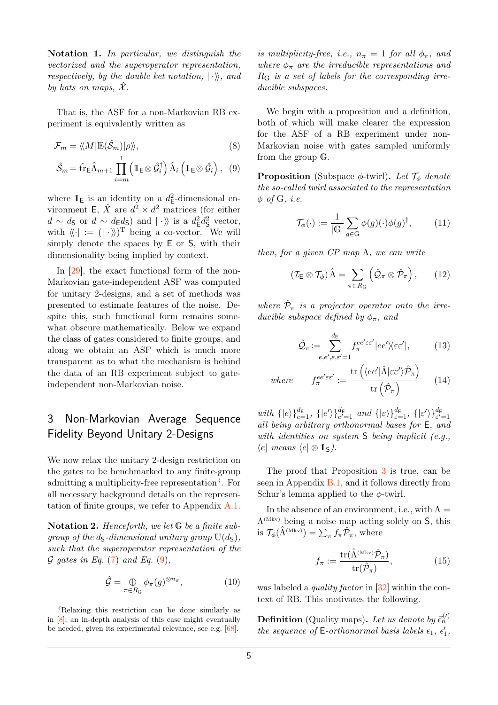**Notation 1.** *In particular, we distinguish the vectorized and the superoperator representation, respectively, by the double ket notation,*  $|\cdot\rangle$ *, and by hats on maps,*  $\hat{\mathcal{X}}$ .

That is, the ASF for a non-Markovian RB experiment is equivalently written as

$$
\mathcal{F}_m = \langle \! \langle M | \mathbb{E}(\hat{\mathcal{S}}_m) | \rho \rangle \! \rangle, \tag{8}
$$

$$
\hat{\mathcal{S}}_m = \hat{\text{tr}} \hat{\text{L}} \hat{\Lambda}_{m+1} \prod_{i=m}^1 \left( \mathbb{1}_{\mathsf{E}} \otimes \hat{\mathcal{G}}_i^{\dagger} \right) \hat{\Lambda}_i \left( \mathbb{1}_{\mathsf{E}} \otimes \hat{\mathcal{G}}_i \right), \tag{9}
$$

where  $1_{\mathsf{E}}$  is an identity on a  $d_{\mathsf{E}}^2$ -dimensional environment **E**,  $\hat{X}$  are  $d^2 \times d^2$  matrices (for either *d* ∼ *d*<sub>S</sub> or *d* ∼ *d*<sub>E</sub>*d*<sub>S</sub></sub> $)$  and  $| \cdot \rangle$  is a *d*<sub>E</sub><sup>2</sup>*d*<sub>S</sub><sup>2</sup> vector, with  $\langle \langle \cdot | := ( | \cdot \rangle \rangle )^{\mathrm{T}}$  being a co-vector. We will simply denote the spaces by E or S, with their dimensionality being implied by context.

In [\[29\]](#page-13-3), the exact functional form of the non-Markovian gate-independent ASF was computed for unitary 2-designs, and a set of methods was presented to estimate features of the noise. Despite this, such functional form remains somewhat obscure mathematically. Below we expand the class of gates considered to finite groups, and along we obtain an ASF which is much more transparent as to what the mechanism is behind the data of an RB experiment subject to gateindependent non-Markovian noise.

# <span id="page-4-0"></span>3 Non-Markovian Average Sequence Fidelity Beyond Unitary 2-Designs

We now relax the unitary 2-design restriction on the gates to be benchmarked to any finite-group admitting a multiplicity-free representation*[4](#page-4-1)* . For all necessary background details on the representation of finite groups, we refer to Appendix [A.1.](#page-15-0)

**Notation 2.** *Henceforth, we let* G *be a finite subgroup of the ds-dimensional unitary group*  $U(d<sub>S</sub>)$ *, such that the superoperator representation of the* G *gates in Eq.* [\(7\)](#page-3-4) *and Eq.* [\(9\)](#page-4-2)*,*

<span id="page-4-3"></span>
$$
\hat{\mathcal{G}} = \bigoplus_{\pi \in R_{\mathbb{G}}} \phi_{\pi}(g)^{\otimes n_{\pi}}, \tag{10}
$$

<span id="page-4-1"></span>*<sup>4</sup>*Relaxing this restriction can be done similarly as in [\[8\]](#page-12-4); an in-depth analysis of this case might eventually be needed, given its experimental relevance, see e.g. [\[68\]](#page-14-14).

*is multiplicity-free, i.e.,*  $n_{\pi} = 1$  *for all*  $\phi_{\pi}$ *, and where*  $\phi_{\pi}$  *are the irreducible representations and R*G *is a set of labels for the corresponding irreducible subspaces.*

We begin with a proposition and a definition, both of which will make clearer the expression for the ASF of a RB experiment under non-Markovian noise with gates sampled uniformly from the group G.

<span id="page-4-2"></span>**Proposition** (Subspace  $\phi$ -twirl). Let  $\mathcal{T}_{\phi}$  denote *the so-called twirl associated to the representation φ of* G*, i.e.*

$$
\mathcal{T}_{\phi}(\cdot) := \frac{1}{|\mathbb{G}|} \sum_{g \in \mathbb{G}} \phi(g)(\cdot) \phi(g)^{\dagger}, \quad (11)
$$

*then, for a given CP map* Λ*, we can write*

$$
\left(\mathcal{I}_{\mathsf{E}}\otimes\mathcal{T}_{\phi}\right)\hat{\Lambda}=\sum_{\pi\in R_{\mathsf{G}}}\left(\hat{\mathcal{Q}}_{\pi}\otimes\hat{\mathcal{P}}_{\pi}\right),\qquad(12)
$$

where  $\hat{\mathcal{P}}_{\pi}$  *is a projector operator onto the irreducible subspace defined by*  $\phi_{\pi}$ *, and* 

<span id="page-4-4"></span>
$$
\hat{\mathcal{Q}}_{\pi} := \sum_{e,e',\varepsilon,\varepsilon'=1}^{d_{\mathsf{E}}} f_{\pi}^{ee'\varepsilon\varepsilon'} |ee'\rangle\langle\varepsilon\varepsilon'|,\tag{13}
$$

where 
$$
f_{\pi}^{ee'\varepsilon\epsilon'} := \frac{\text{tr}\left(\langle ee' | \hat{\Lambda} | \varepsilon \varepsilon' \rangle \hat{\mathcal{P}}_{\pi}\right)}{\text{tr}\left(\hat{\mathcal{P}}_{\pi}\right)}
$$
 (14)

*with*  $\{ |e\rangle \}_{e=1}^{d_{\mathsf{E}}}$ ,  $\{ |e'\rangle \}_{e'=1}^{d_{\mathsf{E}}}$  *and*  $\{ | \varepsilon \rangle \}_{\varepsilon=1}^{d_{\mathsf{E}}}$ ,  $\{ | \varepsilon' \rangle \}_{\varepsilon'=1}^{d_{\mathsf{E}}}$ *all being arbitrary orthonormal bases for* E*, and with identities on system* S *being implicit (e.g.,*  $\langle e \vert$  *means*  $\langle e \vert \otimes \mathbb{1}_{S} \rangle$ .

The proof that Proposition [3](#page-4-3) is true, can be seen in Appendix [B.1,](#page-19-0) and it follows directly from Schur's lemma applied to the *φ*-twirl.

In the absence of an environment, i.e., with  $\Lambda =$  $\Lambda^{\text{(Mkv)}}$  being a noise map acting solely on S, this is  $\mathcal{T}_{\phi}(\hat{\Lambda}^{(\text{Mkv})}) = \sum_{\pi} f_{\pi} \hat{\mathcal{P}}_{\pi}$ , where

<span id="page-4-5"></span>
$$
f_{\pi} := \frac{\text{tr}(\hat{\Lambda}^{(\text{Mkv})}\hat{\mathcal{P}}_{\pi})}{\text{tr}(\hat{\mathcal{P}}_{\pi})},\tag{15}
$$

was labeled a *quality factor* in [\[32\]](#page-13-6) within the context of RB. This motivates the following.

**Definition** (Quality maps). Let us denote by  $\vec{\epsilon}_n^{(l)}$ *the sequence of* **E**-orthonormal basis labels  $\epsilon_1$ ,  $\epsilon'_1$ ,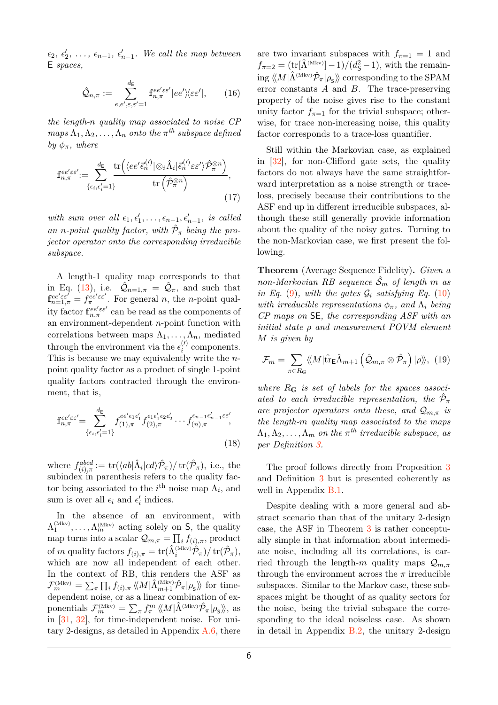$\epsilon_2, \epsilon'_2, \ldots, \epsilon_{n-1}, \epsilon'_{n-1}.$  We call the map between E *spaces,*

$$
\hat{\mathcal{Q}}_{n,\pi} := \sum_{e,e',\varepsilon,\varepsilon'=1}^{d_{\mathsf{E}}} \mathbf{f}_{n,\pi}^{ee'\varepsilon\varepsilon'} |ee'\rangle\langle\varepsilon\varepsilon'|,\qquad(16)
$$

*the length-n quality map associated to noise CP*  $maps \Lambda_1, \Lambda_2, \ldots, \Lambda_n$  *onto the*  $\pi^{th}$  *subspace defined by*  $\phi_{\pi}$ *, where* 

$$
\mathbf{f}_{n,\pi}^{ee'\varepsilon\varepsilon'} := \sum_{\{\epsilon_i,\epsilon'_i=1\}}^{\underline{d_{\mathsf{E}}}} \frac{\operatorname{tr}\left(\langle ee'\bar{\epsilon}_n^{(\prime)}|\otimes_i\hat{\Lambda}_i|\bar{\epsilon}_n^{(\prime)}\varepsilon\varepsilon'\rangle\hat{\mathcal{P}}_{\pi}^{\otimes n}\right)}{\operatorname{tr}\left(\hat{\mathcal{P}}_{\pi}^{\otimes n}\right)},\tag{17}
$$

*with sum over all*  $\epsilon_1, \epsilon'_1, \ldots, \epsilon_{n-1}, \epsilon'_{n-1}$ *, is called an n*-point quality factor, with  $\hat{\mathcal{P}}_{\pi}$  being the pro*jector operator onto the corresponding irreducible subspace.*

A length-1 quality map corresponds to that in Eq. [\(13\)](#page-4-4), i.e.  $\hat{Q}_{n=1,\pi} = \hat{Q}_{\pi}$ , and such that  $f_{n=1,\pi}^{ee' \varepsilon e'} = f_{\pi}^{ee' \varepsilon e'}$ . For general *n*, the *n*-point quality factor  $f_{n,\pi}^{ee' \varepsilon \varepsilon'}$  can be read as the components of an environment-dependent *n*-point function with correlations between maps  $\Lambda_1, \ldots, \Lambda_n$ , mediated through the environment via the  $\epsilon_i^{(l)}$  $i^{\prime\prime}$  components. This is because we may equivalently write the *n*point quality factor as a product of single 1-point quality factors contracted through the environment, that is,

$$
\mathbf{f}_{n,\pi}^{ee'\varepsilon\varepsilon'} = \sum_{\{\epsilon_i,\epsilon'_i=1\}}^{d_{\mathsf{E}}} f_{(1),\pi}^{ee'\epsilon_1\epsilon'_1} f_{(2),\pi}^{\epsilon_1\epsilon'_1\epsilon_2\epsilon'_2} \cdots f_{(n),\pi}^{\epsilon_{n-1}\epsilon'_{n-1}\varepsilon\varepsilon'}
$$
\n(18)

where  $f_{(i),\pi}^{abcd} := \text{tr}(\langle ab|\hat{\Lambda}_i|cd\rangle\hat{\mathcal{P}}_{\pi})/\text{tr}(\hat{\mathcal{P}}_{\pi}),$  i.e., the subindex in parenthesis refers to the quality factor being associated to the  $i^{\text{th}}$  noise map  $\Lambda_i$ , and sum is over all  $\epsilon_i$  and  $\epsilon'_i$  indices.

In the absence of an environment, with  $\Lambda_1^{(\text{Mkv})}, \ldots, \Lambda_m^{(\text{Mkv})}$  acting solely on S, the quality map turns into a scalar  $\mathcal{Q}_{m,\pi} = \prod_i f_{(i),\pi}$ , product  $\inf m$  quality factors  $f_{(i),\pi} = \text{tr}(\hat{\Lambda}_i^{\text{(Mkv)}} \hat{\mathcal{P}}_{\pi}) / \text{tr}(\hat{\mathcal{P}}_{\pi}),$ which are now all independent of each other. In the context of RB, this renders the ASF as  $\mathcal{F}_m^{(\text{Mkv})} = \sum_{\pi} \prod_i f_{(i),\pi} \langle \! \langle M | \hat{\Lambda}_{m+1}^{(\text{Mkv})} \hat{\mathcal{P}}_{\pi} | \rho_{\text{s}} \rangle \! \rangle$  for timedependent noise, or as a linear combination of exponentials  $\mathcal{F}_m^{(\text{Mkv})} = \sum_{\pi} f_{\pi}^m \langle M | \hat{\Lambda}^{(\text{Mkv})} \hat{\mathcal{P}}_{\pi} | \rho_{\text{s}} \rangle \rangle$ , as in [\[31,](#page-13-5) [32\]](#page-13-6), for time-independent noise. For unitary 2-designs, as detailed in Appendix [A.6,](#page-18-0) there are two invariant subspaces with  $f_{\pi=1} = 1$  and  $f_{\pi=2} = (\text{tr}[\hat{\Lambda}^{(\text{Mkv})}] - 1)/(d_{\mathsf{S}}^2 - 1)$ , with the remain- $\log \langle \! \langle M|\hat{\Lambda}^{(\text{Mkv})}\hat{\mathcal{P}}_{\pi}|\rho_{\mathsf{S}}\rangle \! \rangle$  corresponding to the SPAM error constants *A* and *B*. The trace-preserving property of the noise gives rise to the constant unity factor  $f_{\pi=1}$  for the trivial subspace; otherwise, for trace non-increasing noise, this quality factor corresponds to a trace-loss quantifier.

Still within the Markovian case, as explained in [\[32\]](#page-13-6), for non-Clifford gate sets, the quality factors do not always have the same straightforward interpretation as a noise strength or traceloss, precisely because their contributions to the ASF end up in different irreducible subspaces, although these still generally provide information about the quality of the noisy gates. Turning to the non-Markovian case, we first present the following.

**Theorem** (Average Sequence Fidelity)**.** *Given a non-Markovian RB sequence*  $\mathcal{S}_m$  *of length m as in Eq.* [\(9\)](#page-4-2), with the gates  $\mathcal{G}_i$  *satisfying Eq.* [\(10\)](#page-4-3) *with irreducible representations*  $\phi_{\pi}$ *, and*  $\Lambda_i$  *being CP maps on* SE*, the corresponding ASF with an initial state ρ and measurement POVM element M is given by*

<span id="page-5-1"></span>
$$
\mathcal{F}_m = \sum_{\pi \in R_G} \langle M | \hat{\text{tr}}_{\text{E}} \hat{\Lambda}_{m+1} \left( \hat{\mathcal{Q}}_{m,\pi} \otimes \hat{\mathcal{P}}_{\pi} \right) | \rho \rangle \rangle, \ (19)
$$

*where R*G *is set of labels for the spaces associated to each irreducible representation, the*  $\hat{\mathcal{P}}_{\pi}$ *are projector operators onto these, and*  $Q_{m,\pi}$  *is the length-m quality map associated to the maps*  $\Lambda_1, \Lambda_2, \ldots, \Lambda_m$  *on the*  $\pi^{th}$  *irreducible subspace, as per Definition [3.](#page-4-5)*

<span id="page-5-0"></span>The proof follows directly from Proposition [3](#page-4-3) and Definition [3](#page-4-5) but is presented coherently as well in Appendix [B.1.](#page-19-0)

Despite dealing with a more general and abstract scenario than that of the unitary 2-design case, the ASF in Theorem [3](#page-5-0) is rather conceptually simple in that information about intermediate noise, including all its correlations, is carried through the length-*m* quality maps  $Q_{m,\pi}$ through the environment across the  $\pi$  irreducible subspaces. Similar to the Markov case, these subspaces might be thought of as quality sectors for the noise, being the trivial subspace the corresponding to the ideal noiseless case. As shown in detail in Appendix [B.2,](#page-20-0) the unitary 2-design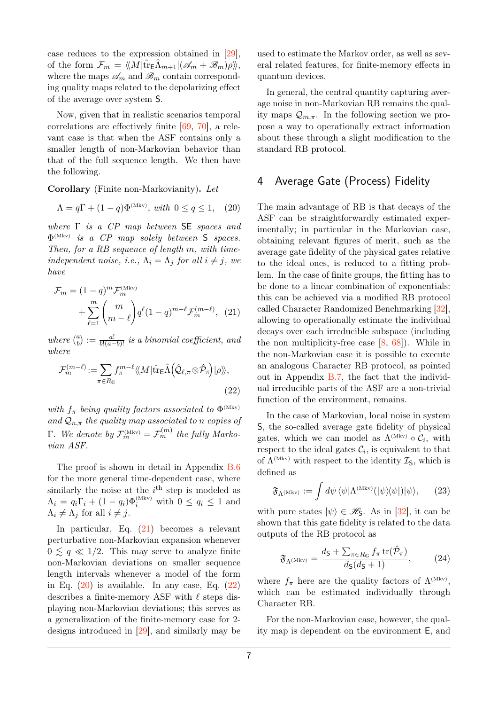case reduces to the expression obtained in [\[29\]](#page-13-3), of the form  $\mathcal{F}_m = \langle M | \hat{\text{tr}}_{\text{E}} \hat{\Lambda}_{m+1} | (\mathscr{A}_m + \mathscr{B}_m) \rho \rangle,$ where the maps  $\mathscr{A}_m$  and  $\mathscr{B}_m$  contain corresponding quality maps related to the depolarizing effect of the average over system S.

Now, given that in realistic scenarios temporal correlations are effectively finite [\[69,](#page-14-15) [70\]](#page-14-16), a relevant case is that when the ASF contains only a smaller length of non-Markovian behavior than that of the full sequence length. We then have the following.

**Corollary** (Finite non-Markovianity)**.** *Let*

<span id="page-6-2"></span>
$$
\Lambda = q\Gamma + (1-q)\Phi^{\text{(Mkv)}}, \text{ with } 0 \le q \le 1, \quad (20)
$$

*where* Γ *is a CP map between* SE *spaces and* Φ (Mkv) *is a CP map solely between* S *spaces. Then, for a RB sequence of length m, with timeindependent noise, i.e.,*  $\Lambda_i = \Lambda_j$  *for all*  $i \neq j$ *, we have*

$$
\mathcal{F}_m = (1 - q)^m \mathcal{F}_m^{(\text{Mkv})} + \sum_{\ell=1}^m {m \choose m - \ell} q^{\ell} (1 - q)^{m - \ell} \mathcal{F}_m^{(m - \ell)}, \tag{21}
$$

*where*  $\binom{a}{b}$  $\mathbf{b}_b^{(a)} := \frac{a!}{b!(a-b)!}$  *is a binomial coefficient, and where*

$$
\mathcal{F}_{m}^{(m-\ell)} := \sum_{\pi \in R_{\mathbb{G}}} f_{\pi}^{m-\ell} \langle \langle M | \hat{\text{tr}}_{\mathsf{E}} \hat{\Lambda} \left( \hat{\mathcal{Q}}_{\ell,\pi} \otimes \hat{\mathcal{P}}_{\pi} \right) | \rho \rangle \rangle, \tag{22}
$$

*with*  $f_{\pi}$  *being quality factors associated to*  $\Phi^{\text{(Mkv)}}$ and  $Q_{n,\pi}$  *the quality map associated to n copies of*  $\Gamma$ *. We denote by*  $\mathcal{F}_m^{(\text{Mkv})} = \mathcal{F}_m^{(m)}$  the fully Marko*vian ASF.*

The proof is shown in detail in Appendix [B.6](#page-23-0) for the more general time-dependent case, where similarly the noise at the  $i<sup>th</sup>$  step is modeled as  $\Lambda_i = q_i \Gamma_i + (1 - q_i) \Phi_i^{\text{(Mkv)}}$  with  $0 \le q_i \le 1$  and  $\Lambda_i \neq \Lambda_j$  for all  $i \neq j$ .

In particular, Eq. [\(21\)](#page-6-1) becomes a relevant perturbative non-Markovian expansion whenever  $0 \leq q \ll 1/2$ . This may serve to analyze finite non-Markovian deviations on smaller sequence length intervals whenever a model of the form in Eq.  $(20)$  is available. In any case, Eq.  $(22)$ describes a finite-memory ASF with  $\ell$  steps displaying non-Markovian deviations; this serves as a generalization of the finite-memory case for 2 designs introduced in [\[29\]](#page-13-3), and similarly may be used to estimate the Markov order, as well as several related features, for finite-memory effects in quantum devices.

In general, the central quantity capturing average noise in non-Markovian RB remains the quality maps  $\mathcal{Q}_{m,\pi}$ . In the following section we propose a way to operationally extract information about these through a slight modification to the standard RB protocol.

# <span id="page-6-0"></span>4 Average Gate (Process) Fidelity

<span id="page-6-1"></span>The main advantage of RB is that decays of the ASF can be straightforwardly estimated experimentally; in particular in the Markovian case, obtaining relevant figures of merit, such as the average gate fidelity of the physical gates relative to the ideal ones, is reduced to a fitting problem. In the case of finite groups, the fitting has to be done to a linear combination of exponentials: this can be achieved via a modified RB protocol called Character Randomized Benchmarking [\[32\]](#page-13-6), allowing to operationally estimate the individual decays over each irreducible subspace (including the non multiplicity-free case  $[8, 68]$  $[8, 68]$  $[8, 68]$ . While in the non-Markovian case it is possible to execute an analogous Character RB protocol, as pointed out in Appendix [B.7,](#page-25-0) the fact that the individual irreducible parts of the ASF are a non-trivial function of the environment, remains.

<span id="page-6-3"></span>In the case of Markovian, local noise in system S, the so-called average gate fidelity of physical gates, which we can model as  $\Lambda^{(\text{Mkv})} \circ C_i$ , with respect to the ideal gates  $\mathcal{C}_i$ , is equivalent to that of  $\Lambda^{\text{(Mkv)}}$  with respect to the identity  $\mathcal{I}_\mathsf{S}$ , which is defined as

<span id="page-6-4"></span>
$$
\mathfrak{F}_{\Lambda^{(\text{Mkv})}} := \int d\psi \, \langle \psi | \Lambda^{(\text{Mkv})} (|\psi \rangle \langle \psi |) | \psi \rangle, \qquad (23)
$$

with pure states  $|\psi\rangle \in \mathcal{H}_s$ . As in [\[32\]](#page-13-6), it can be shown that this gate fidelity is related to the data outputs of the RB protocol as

$$
\mathfrak{F}_{\Lambda^{(\text{Mkv})}} = \frac{d_{\mathsf{S}} + \sum_{\pi \in R_{\mathsf{G}}} f_{\pi} \operatorname{tr}(\hat{\mathcal{P}}_{\pi})}{d_{\mathsf{S}}(d_{\mathsf{S}} + 1)},\tag{24}
$$

where  $f_{\pi}$  here are the quality factors of  $\Lambda^{\text{(Mkv)}}$ , which can be estimated individually through Character RB.

For the non-Markovian case, however, the quality map is dependent on the environment E, and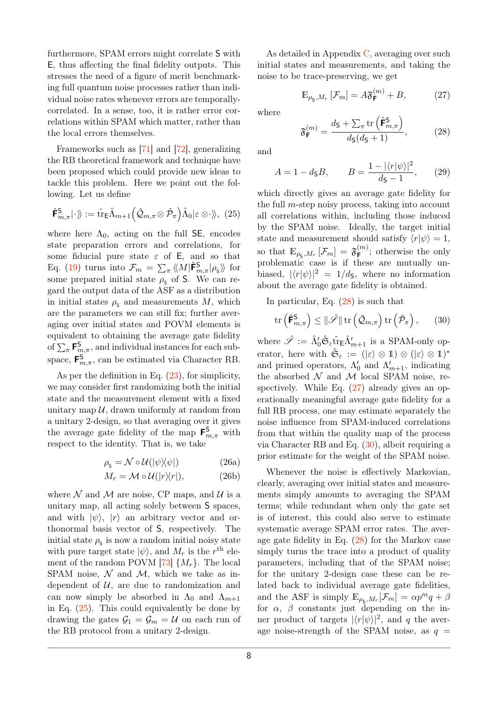furthermore, SPAM errors might correlate S with E, thus affecting the final fidelity outputs. This stresses the need of a figure of merit benchmarking full quantum noise processes rather than individual noise rates whenever errors are temporallycorrelated. In a sense, too, it is rather error correlations within SPAM which matter, rather than the local errors themselves.

Frameworks such as [\[71\]](#page-14-17) and [\[72\]](#page-15-1), generalizing the RB theoretical framework and technique have been proposed which could provide new ideas to tackle this problem. Here we point out the following. Let us define

$$
\hat{\mathbf{F}}_{m,\pi}^{\mathsf{S}}|\cdot\rangle\!\rangle := \hat{\mathrm{tr}}_{\mathsf{E}}\hat{\Lambda}_{m+1}\Big(\hat{\mathcal{Q}}_{m,\pi}\otimes\hat{\mathcal{P}}_{\pi}\Big)\hat{\Lambda}_{0}|\varepsilon\otimes\cdot\rangle\!\rangle, (25)
$$

where here  $\Lambda_0$ , acting on the full SE, encodes state preparation errors and correlations, for some fiducial pure state *ε* of E, and so that Eq. [\(19\)](#page-5-1) turns into  $\mathcal{F}_m = \sum_{\pi} \langle M | \hat{\mathsf{F}}^{\mathsf{S}}_{m,\pi} | \rho_{\mathsf{S}} \rangle$  for some prepared initial state  $\rho_{\rm s}$  of S. We can regard the output data of the ASF as a distribution in initial states  $\rho_{\rm s}$  and measurements *M*, which are the parameters we can still fix; further averaging over initial states and POVM elements is equivalent to obtaining the average gate fidelity of  $\sum_{\pi}$ **F**<sup>S</sup><sub>*m*,*π*</sub>, and individual instances for each subspace,  $\mathbf{F}_{m,\pi}^{\mathbf{S}}$ , can be estimated via Character RB.

As per the definition in Eq. [\(23\)](#page-6-4), for simplicity, we may consider first randomizing both the initial state and the measurement element with a fixed unitary map  $\mathcal U$ , drawn uniformly at random from a unitary 2-design, so that averaging over it gives the average gate fidelity of the map  $\mathbf{F}^{\mathsf{S}}_{m,\pi}$  with respect to the identity. That is, we take

$$
\rho_{\rm s} = \mathcal{N} \circ \mathcal{U}(|\psi\rangle\!\langle\psi|) \tag{26a}
$$

$$
M_r = \mathcal{M} \circ \mathcal{U}(|r\rangle\langle r|), \tag{26b}
$$

where  $\mathcal N$  and  $\mathcal M$  are noise, CP maps, and  $\mathcal U$  is a unitary map, all acting solely between S spaces, and with  $|\psi\rangle$ ,  $|r\rangle$  an arbitrary vector and orthonormal basis vector of S, respectively. The initial state  $\rho_{\scriptscriptstyle \sf S}$  is now a random initial noisy state with pure target state  $|\psi\rangle$ , and  $M_r$  is the  $r^{\text{th}}$  element of the random POVM  $[73]$   $\{M_r\}$ . The local SPAM noise,  $\mathcal N$  and  $\mathcal M$ , which we take as independent of  $U$ , are due to randomization and can now simply be absorbed in  $\Lambda_0$  and  $\Lambda_{m+1}$ in Eq. [\(25\)](#page-7-0). This could equivalently be done by drawing the gates  $\mathcal{G}_1 = \mathcal{G}_m = \mathcal{U}$  on each run of the RB protocol from a unitary 2-design.

As detailed in Appendix [C,](#page-26-0) averaging over such initial states and measurements, and taking the noise to be trace-preserving, we get

<span id="page-7-2"></span>
$$
\mathbb{E}_{\rho_{\mathsf{S}},M_r} \left[ \mathcal{F}_m \right] = A \mathfrak{F}_{\mathsf{F}}^{(m)} + B, \tag{27}
$$

where

<span id="page-7-1"></span>
$$
\mathfrak{F}_{\mathsf{F}}^{(m)} = \frac{d_{\mathsf{S}} + \sum_{\pi} \text{tr}\left(\hat{\mathsf{F}}_{m,\pi}^{\mathsf{S}}\right)}{d_{\mathsf{S}}(d_{\mathsf{S}} + 1)},\tag{28}
$$

and

$$
A = 1 - d_{\mathsf{S}}B, \qquad B = \frac{1 - |\langle r|\psi\rangle|^2}{d_{\mathsf{S}} - 1}, \qquad (29)
$$

<span id="page-7-0"></span>which directly gives an average gate fidelity for the full *m*-step noisy process, taking into account all correlations within, including those induced by the SPAM noise. Ideally, the target initial state and measurement should satisfy  $\langle r|\psi\rangle = 1$ , so that  $\mathbb{E}_{\rho_{\mathsf{S}},M_r}\left[\mathcal{F}_m\right] = \mathfrak{F}_{\mathsf{F}}^{(m)}$  $\mathbf{F}^{(m)}$ ; otherwise the only problematic case is if these are mutually unbiased,  $|\langle r|\psi\rangle|^2 = 1/d<sub>S</sub>$ , where no information about the average gate fidelity is obtained.

In particular, Eq. [\(28\)](#page-7-1) is such that

<span id="page-7-3"></span>
$$
\operatorname{tr}\left(\hat{\mathbf{F}}_{m,\pi}^{\mathsf{S}}\right) \leq \|\hat{\mathscr{S}}\| \operatorname{tr}\left(\hat{\mathcal{Q}}_{m,\pi}\right) \operatorname{tr}\left(\hat{\mathcal{P}}_{\pi}\right),\qquad(30)
$$

where  $\hat{\mathscr{S}} := \hat{\Lambda}'_0 \hat{\mathfrak{S}}_{\varepsilon} \hat{\mathrm{tr}}_{\mathsf{E}} \hat{\Lambda}'_{m+1}$  is a SPAM-only operator, here with  $\hat{\mathfrak{S}}_{\varepsilon} := (|\varepsilon\rangle \otimes 1) \otimes (|\varepsilon\rangle \otimes 1)^*$ and primed operators,  $\Lambda'_0$  and  $\Lambda'_{m+1}$ , indicating the absorbed  $\mathcal N$  and  $\mathcal M$  local SPAM noise, respectively. While Eq.  $(27)$  already gives an operationally meaningful average gate fidelity for a full RB process, one may estimate separately the noise influence from SPAM-induced correlations from that within the quality map of the process via Character RB and Eq. [\(30\)](#page-7-3), albeit requiring a prior estimate for the weight of the SPAM noise.

Whenever the noise is effectively Markovian, clearly, averaging over initial states and measurements simply amounts to averaging the SPAM terms; while redundant when only the gate set is of interest, this could also serve to estimate systematic average SPAM error rates. The average gate fidelity in Eq. [\(28\)](#page-7-1) for the Markov case simply turns the trace into a product of quality parameters, including that of the SPAM noise; for the unitary 2-design case these can be related back to individual average gate fidelities, and the ASF is simply  $\mathbb{E}_{\rho_{\mathsf{S}},M_r}[\mathcal{F}_m] = \alpha p^m q + \beta$ for  $\alpha$ ,  $\beta$  constants just depending on the inner product of targets  $|\langle r|\psi\rangle|^2$ , and *q* the average noise-strength of the SPAM noise, as  $q =$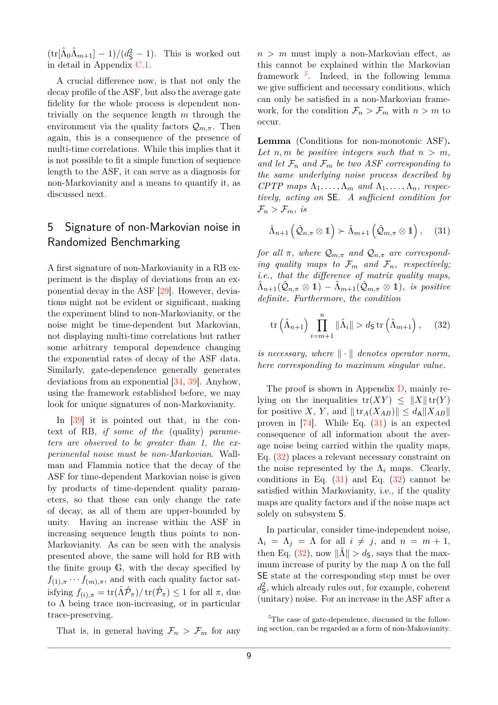$(\text{tr}[\hat{\Lambda}_0 \hat{\Lambda}_{m+1}] - 1)/(d_{\mathsf{S}}^2 - 1)$ . This is worked out in detail in Appendix [C.1.](#page-29-0)

A crucial difference now, is that not only the decay profile of the ASF, but also the average gate fidelity for the whole process is dependent nontrivially on the sequence length *m* through the environment via the quality factors  $Q_{m,\pi}$ . Then again, this is a consequence of the presence of multi-time correlations. While this implies that it is not possible to fit a simple function of sequence length to the ASF, it can serve as a diagnosis for non-Markovianity and a means to quantify it, as discussed next.

# <span id="page-8-0"></span>5 Signature of non-Markovian noise in Randomized Benchmarking

A first signature of non-Markovianity in a RB experiment is the display of deviations from an exponential decay in the ASF [\[29\]](#page-13-3). However, deviations might not be evident or significant, making the experiment blind to non-Markovianity, or the noise might be time-dependent but Markovian, not displaying multi-time correlations but rather some arbitrary temporal dependence changing the exponential rates of decay of the ASF data. Similarly, gate-dependence generally generates deviations from an exponential [\[34,](#page-13-8) [39\]](#page-13-11). Anyhow, using the framework established before, we may look for unique signatures of non-Markovianity.

In [\[39\]](#page-13-11) it is pointed out that, in the context of RB, if some of the (quality) parameters are observed to be greater than 1, the experimental noise must be non-Markovian. Wallman and Flammia notice that the decay of the ASF for time-dependent Markovian noise is given by products of time-dependent quality parameters, so that these can only change the rate of decay, as all of them are upper-bounded by unity. Having an increase within the ASF in increasing sequence length thus points to non-Markovianity. As can be seen with the analysis presented above, the same will hold for RB with the finite group G, with the decay specified by  $f_{(1),\pi} \cdots f_{(m),\pi}$ , and with each quality factor sat- $\text{isfying } f_{(i),\pi} = \text{tr}(\hat{\Lambda}\hat{\mathcal{P}}_{\pi})/\text{tr}(\hat{\mathcal{P}}_{\pi}) \leq 1 \text{ for all } \pi, \text{ due}$ to  $\Lambda$  being trace non-increasing, or in particular trace-preserving.

That is, in general having  $\mathcal{F}_n > \mathcal{F}_m$  for any

 $n > m$  must imply a non-Markovian effect, as this cannot be explained within the Markovian framework *[5](#page-8-1)* . Indeed, in the following lemma we give sufficient and necessary conditions, which can only be satisfied in a non-Markovian framework, for the condition  $\mathcal{F}_n > \mathcal{F}_m$  with  $n > m$  to occur.

**Lemma** (Conditions for non-monotonic ASF)**.** Let *n, m* be positive integers such that  $n > m$ , and let  $\mathcal{F}_n$  and  $\mathcal{F}_m$  be two ASF corresponding to *the same underlying noise process described by*  $CPTP$  maps  $\Lambda_1, \ldots, \Lambda_m$  and  $\Lambda_1, \ldots, \Lambda_n$ , respec*tively, acting on* SE*. A sufficient condition for*  $\mathcal{F}_n > \mathcal{F}_m$ *, is* 

<span id="page-8-2"></span>
$$
\hat{\Lambda}_{n+1}\left(\hat{\mathcal{Q}}_{n,\pi}\otimes\mathbb{1}\right)\succ\hat{\Lambda}_{m+1}\left(\hat{\mathcal{Q}}_{m,\pi}\otimes\mathbb{1}\right),\quad(31)
$$

*for all*  $\pi$ *, where*  $\mathcal{Q}_{m,\pi}$  *and*  $\mathcal{Q}_{n,\pi}$  *are corresponding quality maps to*  $\mathcal{F}_m$  *and*  $\mathcal{F}_n$ *, respectively; i.e., that the difference of matrix quality maps,*  $\hat{\Lambda}_{n+1}(\hat{\mathcal{Q}}_{n,\pi}\otimes\mathbb{1})-\hat{\Lambda}_{m+1}(\hat{\mathcal{Q}}_{m,\pi}\otimes\mathbb{1}),$  is positive *definite. Furthermore, the condition*

<span id="page-8-3"></span>
$$
\operatorname{tr}\left(\hat{\Lambda}_{n+1}\right)\prod_{i=m+1}^{n}\|\hat{\Lambda}_{i}\| > d_{\mathsf{S}}\operatorname{tr}\left(\hat{\Lambda}_{m+1}\right),\qquad(32)
$$

*is necessary, where*  $\|\cdot\|$  *denotes operator norm, here corresponding to maximum singular value.*

The proof is shown in Appendix [D,](#page-30-0) mainly relying on the inequalities  $tr(XY) \leq ||X|| tr(Y)$ for positive *X*, *Y*, and  $\|\text{tr}_A(X_{AB})\| \le d_A \|X_{AB}\|$ proven in [\[74\]](#page-15-3). While Eq. [\(31\)](#page-8-2) is an expected consequence of all information about the average noise being carried within the quality maps, Eq. [\(32\)](#page-8-3) places a relevant necessary constraint on the noise represented by the  $\Lambda_i$  maps. Clearly, conditions in Eq.  $(31)$  and Eq.  $(32)$  cannot be satisfied within Markovianity, i.e., if the quality maps are quality factors and if the noise maps act solely on subsystem S.

In particular, consider time-independent noise,  $\Lambda_i = \Lambda_j = \Lambda$  for all  $i \neq j$ , and  $n = m + 1$ , then Eq. [\(32\)](#page-8-3), now  $\|\hat{\Lambda}\| > d_{\mathsf{S}}$ , says that the maximum increase of purity by the map  $\Lambda$  on the full SE state at the corresponding step must be over  $d_{\mathsf{S}}^2$ , which already rules out, for example, coherent (unitary) noise. For an increase in the ASF after a

<span id="page-8-1"></span>*<sup>5</sup>*The case of gate-dependence, discussed in the following section, can be regarded as a form of non-Makovianity.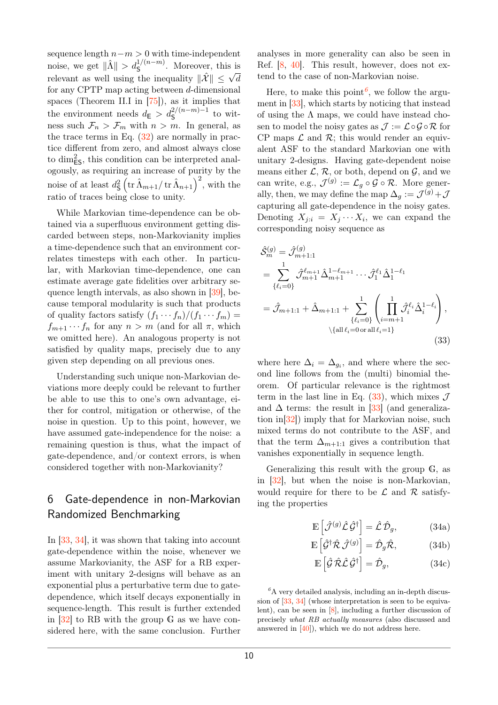sequence length *n*−*m >* 0 with time-independent noise, we get  $\|\hat{\Lambda}\| > d_{\mathsf{S}}^{1/(n-m)}$ . Moreover, this is relevant as well using the inequality  $\|\hat{\mathcal{X}}\| \leq \sqrt{d}$ for any CPTP map acting between *d*-dimensional spaces (Theorem II.I in [\[75\]](#page-15-4)), as it implies that the environment needs  $d_E > d_S^{2/(n-m)-1}$  to witness such  $\mathcal{F}_n > \mathcal{F}_m$  with  $n > m$ . In general, as the trace terms in Eq.  $(32)$  are normally in practice different from zero, and almost always close to dim<sup>2</sup> ES, this condition can be interpreted analogously, as requiring an increase of purity by the noise of at least  $d^2_{\mathsf{S}} \left( \operatorname{tr} \hat{\Lambda}_{m+1} / \operatorname{tr} \hat{\Lambda}_{n+1} \right)^2$ , with the ratio of traces being close to unity.

While Markovian time-dependence can be obtained via a superfluous environment getting discarded between steps, non-Markovianity implies a time-dependence such that an environment correlates timesteps with each other. In particular, with Markovian time-dependence, one can estimate average gate fidelities over arbitrary sequence length intervals, as also shown in [\[39\]](#page-13-11), because temporal modularity is such that products of quality factors satisfy  $(f_1 \cdots f_n)/(f_1 \cdots f_m)$  =  $f_{m+1} \cdots f_n$  for any  $n > m$  (and for all  $\pi$ , which we omitted here). An analogous property is not satisfied by quality maps, precisely due to any given step depending on all previous ones.

Understanding such unique non-Markovian deviations more deeply could be relevant to further be able to use this to one's own advantage, either for control, mitigation or otherwise, of the noise in question. Up to this point, however, we have assumed gate-independence for the noise: a remaining question is thus, what the impact of gate-dependence, and/or context errors, is when considered together with non-Markovianity?

# <span id="page-9-0"></span>6 Gate-dependence in non-Markovian Randomized Benchmarking

In [\[33,](#page-13-7) [34\]](#page-13-8), it was shown that taking into account gate-dependence within the noise, whenever we assume Markovianity, the ASF for a RB experiment with unitary 2-designs will behave as an exponential plus a perturbative term due to gatedependence, which itself decays exponentially in sequence-length. This result is further extended in [\[32\]](#page-13-6) to RB with the group G as we have considered here, with the same conclusion. Further analyses in more generality can also be seen in Ref. [\[8,](#page-12-4) [40\]](#page-13-12). This result, however, does not extend to the case of non-Markovian noise.

Here, to make this point<sup>[6](#page-9-1)</sup>, we follow the argument in [\[33\]](#page-13-7), which starts by noticing that instead of using the  $\Lambda$  maps, we could have instead chosen to model the noisy gates as  $\mathcal{J} := \mathcal{L} \circ \mathcal{G} \circ \mathcal{R}$  for CP maps  $\mathcal L$  and  $\mathcal R$ ; this would render an equivalent ASF to the standard Markovian one with unitary 2-designs. Having gate-dependent noise means either  $\mathcal{L}, \mathcal{R}$ , or both, depend on  $\mathcal{G}$ , and we can write, e.g.,  $\mathcal{J}^{(g)} := \mathcal{L}_g \circ \mathcal{G} \circ \mathcal{R}$ . More generally, then, we may define the map  $\Delta_g := \mathcal{J}^{(g)} + \mathcal{J}$ capturing all gate-dependence in the noisy gates. Denoting  $X_{j:i} = X_j \cdots X_i$ , we can expand the corresponding noisy sequence as

$$
\hat{\mathcal{S}}_{m}^{(g)} = \hat{\mathcal{J}}_{m+1:1}^{(g)}
$$
\n
$$
= \sum_{\{\ell_i=0\}}^{1} \hat{\mathcal{J}}_{m+1}^{\ell_{m+1}} \hat{\Delta}_{m+1}^{1-\ell_{m+1}} \cdots \hat{\mathcal{J}}_{1}^{\ell_{1}} \hat{\Delta}_{1}^{1-\ell_{1}}
$$
\n
$$
= \hat{\mathcal{J}}_{m+1:1} + \hat{\Delta}_{m+1:1} + \sum_{\{\ell_i=0\}}^{1} \left( \prod_{i=m+1}^{1} \hat{\mathcal{J}}_{i}^{\ell_{i}} \hat{\Delta}_{i}^{1-\ell_{i}} \right),
$$
\n
$$
\langle \{\text{all } \ell_i=0 \text{ or all } \ell_i=1\} \rangle \tag{33}
$$

<span id="page-9-2"></span>where here  $\Delta_i = \Delta_{g_i}$ , and where where the second line follows from the (multi) binomial theorem. Of particular relevance is the rightmost term in the last line in Eq.  $(33)$ , which mixes  $\mathcal{J}$ and  $\Delta$  terms: the result in [\[33\]](#page-13-7) (and generalization in[\[32\]](#page-13-6)) imply that for Markovian noise, such mixed terms do not contribute to the ASF, and that the term  $\Delta_{m+1:1}$  gives a contribution that vanishes exponentially in sequence length.

Generalizing this result with the group G, as in [\[32\]](#page-13-6), but when the noise is non-Markovian, would require for there to be  $\mathcal L$  and  $\mathcal R$  satisfying the properties

<span id="page-9-5"></span><span id="page-9-3"></span>
$$
\mathbb{E}\left[\hat{\mathcal{J}}^{(g)}\hat{\mathcal{L}}\hat{\mathcal{G}}^{\dagger}\right] = \hat{\mathcal{L}}\hat{\mathcal{D}}_{g},\tag{34a}
$$

$$
\mathbb{E}\left[\hat{\mathcal{G}}^{\dagger}\hat{\mathcal{R}}\,\hat{\mathcal{J}}^{(g)}\right] = \hat{\mathcal{D}}_g\hat{\mathcal{R}},\tag{34b}
$$

<span id="page-9-4"></span>
$$
\mathbb{E}\left[\hat{\mathcal{G}}\,\hat{\mathcal{R}}\hat{\mathcal{L}}\,\hat{\mathcal{G}}^{\dagger}\right] = \hat{\mathcal{D}}_{g},\tag{34c}
$$

<span id="page-9-1"></span> ${}^6A$  very detailed analysis, including an in-depth discus-sion of [\[33,](#page-13-7) [34\]](#page-13-8) (whose interpretation is seen to be equivalent), can be seen in [\[8\]](#page-12-4), including a further discussion of precisely *what RB actually measures* (also discussed and answered in [\[40\]](#page-13-12)), which we do not address here.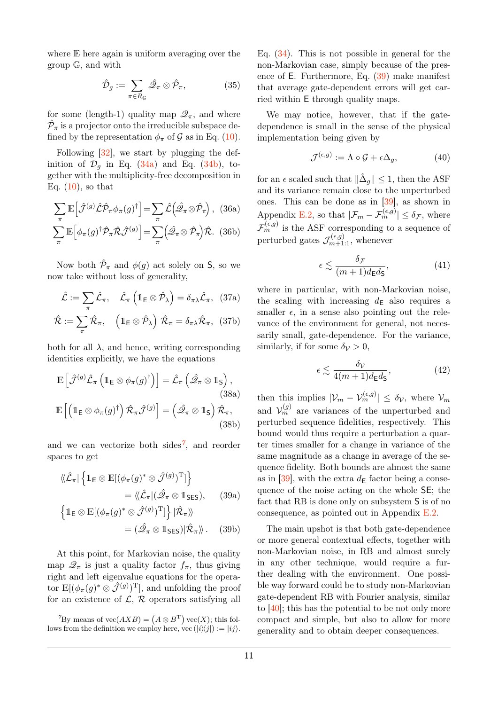where E here again is uniform averaging over the group G, and with

$$
\hat{\mathcal{D}}_g := \sum_{\pi \in R_{\mathbb{G}}} \hat{\mathcal{Q}}_\pi \otimes \hat{\mathcal{P}}_\pi, \tag{35}
$$

for some (length-1) quality map  $\mathscr{Q}_{\pi}$ , and where  $\hat{\mathcal{P}}_{\pi}$  is a projector onto the irreducible subspace defined by the representation  $\phi_{\pi}$  of G as in Eq. [\(10\)](#page-4-3).

Following [\[32\]](#page-13-6), we start by plugging the definition of  $\mathcal{D}_q$  in Eq. [\(34a\)](#page-9-3) and Eq. [\(34b\)](#page-9-4), together with the multiplicity-free decomposition in Eq.  $(10)$ , so that

$$
\sum_{\pi} \mathbb{E} \left[ \hat{\mathcal{J}}^{(g)} \hat{\mathcal{L}} \hat{\mathcal{P}}_{\pi} \phi_{\pi}(g)^{\dagger} \right] = \sum_{\pi} \hat{\mathcal{L}} \left( \hat{\mathcal{Q}}_{\pi} \otimes \hat{\mathcal{P}}_{\pi} \right), \quad (36a)
$$

$$
\sum_{\pi} \mathbb{E} \left[ \phi_{\pi}(g)^{\dagger} \hat{\mathcal{P}}_{\pi} \hat{\mathcal{R}} \hat{\mathcal{J}}^{(g)} \right] = \sum_{\pi} \left( \hat{\mathcal{Q}}_{\pi} \otimes \hat{\mathcal{P}}_{\pi} \right) \hat{\mathcal{R}}. \quad (36b)
$$

Now both  $\hat{\mathcal{P}}_{\pi}$  and  $\phi(g)$  act solely on **S**, so we now take without loss of generality,

$$
\hat{\mathcal{L}} := \sum_{\pi} \hat{\mathcal{L}}_{\pi}, \quad \hat{\mathcal{L}}_{\pi} \left( \mathbb{1}_{\mathsf{E}} \otimes \hat{\mathcal{P}}_{\lambda} \right) = \delta_{\pi\lambda} \hat{\mathcal{L}}_{\pi}, \quad (37a)
$$

$$
\hat{\mathcal{R}} := \sum_{\pi} \hat{\mathcal{R}}_{\pi}, \quad \left( \mathbb{1}_{\mathsf{E}} \otimes \hat{\mathcal{P}}_{\lambda} \right) \hat{\mathcal{R}}_{\pi} = \delta_{\pi\lambda} \hat{\mathcal{R}}_{\pi}, \quad (37b)
$$

both for all  $\lambda$ , and hence, writing corresponding identities explicitly, we have the equations

$$
\mathbb{E}\left[\hat{\mathcal{J}}^{(g)}\hat{\mathcal{L}}_{\pi}\left(\mathbb{1}_{\mathsf{E}}\otimes\phi_{\pi}(g)^{\dagger}\right)\right]=\hat{\mathcal{L}}_{\pi}\left(\hat{\mathcal{Q}}_{\pi}\otimes\mathbb{1}_{\mathsf{S}}\right),\tag{38a}
$$
\n
$$
\mathbb{E}\left[\left(\mathbb{1}_{\mathsf{E}}\otimes\phi_{\pi}(g)^{\dagger}\right)\hat{\mathcal{R}}_{\pi}\hat{\mathcal{J}}^{(g)}\right]=\left(\hat{\mathcal{Q}}_{\pi}\otimes\mathbb{1}_{\mathsf{S}}\right)\hat{\mathcal{R}}_{\pi},\tag{38b}
$$

and we can vectorize both sides*[7](#page-10-0)* , and reorder spaces to get

<span id="page-10-1"></span>
$$
\langle\!\langle \hat{\mathcal{L}}_{\pi} | \left\{ \mathbb{1}_{E} \otimes \mathbb{E} [ (\phi_{\pi}(g)^{*} \otimes \hat{\mathcal{J}}^{(g)})^{\mathrm{T}} ] \right\}\n= \langle\!\langle \hat{\mathcal{L}}_{\pi} | (\hat{\mathcal{Q}}_{\pi} \otimes \mathbb{1}_{SES}), \quad (39a)
$$
\n
$$
\left\{ \mathbb{1}_{E} \otimes \mathbb{E} [ (\phi_{\pi}(g)^{*} \otimes \hat{\mathcal{J}}^{(g)})^{\mathrm{T}} ] \right\} | \hat{\mathcal{R}}_{\pi} \rangle\!\rangle
$$
\n
$$
= (\hat{\mathcal{Q}}_{\pi} \otimes \mathbb{1}_{SES}) | \hat{\mathcal{R}}_{\pi} \rangle\!\rangle. \quad (39b)
$$

At this point, for Markovian noise, the quality map  $\mathscr{Q}_{\pi}$  is just a quality factor  $f_{\pi}$ , thus giving right and left eigenvalue equations for the operator  $\mathbb{E}[(\phi_{\pi}(g)^{*} \otimes \hat{\mathcal{J}}^{(g)})^{\mathrm{T}}]$ , and unfolding the proof for an existence of  $\mathcal{L}, \mathcal{R}$  operators satisfying all

<span id="page-10-0"></span> ${}^{7}$ By means of  $\text{vec}(AXB) = (A \otimes B^T) \text{vec}(X)$ ; this follows from the definition we employ here, vec  $(|i\rangle\langle j|) := |ij\rangle$ . Eq. [\(34\)](#page-9-5). This is not possible in general for the non-Markovian case, simply because of the presence of E. Furthermore, Eq. [\(39\)](#page-10-1) make manifest that average gate-dependent errors will get carried within E through quality maps.

We may notice, however, that if the gatedependence is small in the sense of the physical implementation being given by

$$
\mathcal{J}^{(\epsilon,g)} := \Lambda \circ \mathcal{G} + \epsilon \Delta_g,\tag{40}
$$

for an  $\epsilon$  scaled such that  $\|\hat{\Delta}_g\| \leq 1$ , then the ASF and its variance remain close to the unperturbed ones. This can be done as in [\[39\]](#page-13-11), as shown in Appendix [E.2,](#page-33-0) so that  $|\mathcal{F}_m - \mathcal{F}_m^{(\epsilon,g)}| \leq \delta_{\mathcal{F}}$ , where  $\mathcal{F}_m^{(\epsilon,g)}$  is the ASF corresponding to a sequence of perturbed gates  $\mathcal{J}_{m+1:1}^{(\epsilon,g)}$ , whenever

$$
\epsilon \lesssim \frac{\delta \mathcal{F}}{(m+1)d_{\mathsf{E}}d_{\mathsf{S}}},\tag{41}
$$

where in particular, with non-Markovian noise, the scaling with increasing  $d_{\mathsf{E}}$  also requires a smaller  $\epsilon$ , in a sense also pointing out the relevance of the environment for general, not necessarily small, gate-dependence. For the variance, similarly, if for some  $\delta \mathcal{V} > 0$ ,

$$
\epsilon \lesssim \frac{\delta \nu}{4(m+1)d_{\mathsf{E}}d_{\mathsf{S}}},\tag{42}
$$

then this implies  $|\mathcal{V}_m - \mathcal{V}_m^{(\epsilon,g)}| \leq \delta_{\mathcal{V}}$ , where  $\mathcal{V}_m$ and  $\mathcal{V}_m^{(g)}$  are variances of the unperturbed and perturbed sequence fidelities, respectively. This bound would thus require a perturbation a quarter times smaller for a change in variance of the same magnitude as a change in average of the sequence fidelity. Both bounds are almost the same as in  $[39]$ , with the extra  $d_{\mathsf{E}}$  factor being a consequence of the noise acting on the whole SE; the fact that RB is done only on subsystem S is of no consequence, as pointed out in Appendix [E.2.](#page-33-0)

The main upshot is that both gate-dependence or more general contextual effects, together with non-Markovian noise, in RB and almost surely in any other technique, would require a further dealing with the environment. One possible way forward could be to study non-Markovian gate-dependent RB with Fourier analysis, similar to [\[40\]](#page-13-12); this has the potential to be not only more compact and simple, but also to allow for more generality and to obtain deeper consequences.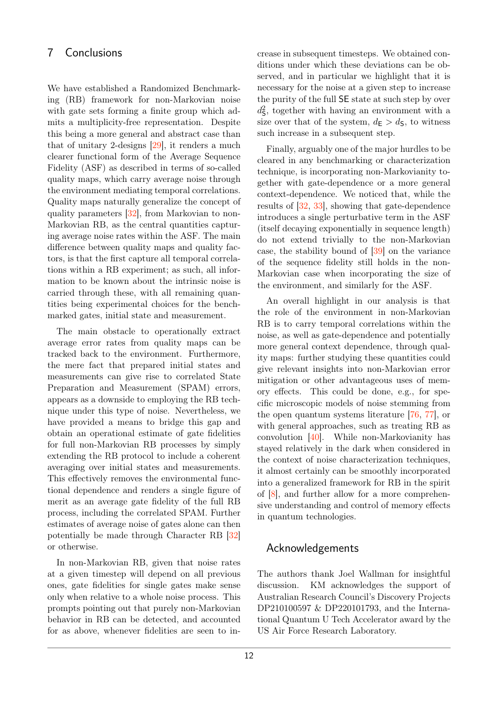# <span id="page-11-0"></span>7 Conclusions

We have established a Randomized Benchmarking (RB) framework for non-Markovian noise with gate sets forming a finite group which admits a multiplicity-free representation. Despite this being a more general and abstract case than that of unitary 2-designs [\[29\]](#page-13-3), it renders a much clearer functional form of the Average Sequence Fidelity (ASF) as described in terms of so-called quality maps, which carry average noise through the environment mediating temporal correlations. Quality maps naturally generalize the concept of quality parameters [\[32\]](#page-13-6), from Markovian to non-Markovian RB, as the central quantities capturing average noise rates within the ASF. The main difference between quality maps and quality factors, is that the first capture all temporal correlations within a RB experiment; as such, all information to be known about the intrinsic noise is carried through these, with all remaining quantities being experimental choices for the benchmarked gates, initial state and measurement.

The main obstacle to operationally extract average error rates from quality maps can be tracked back to the environment. Furthermore, the mere fact that prepared initial states and measurements can give rise to correlated State Preparation and Measurement (SPAM) errors, appears as a downside to employing the RB technique under this type of noise. Nevertheless, we have provided a means to bridge this gap and obtain an operational estimate of gate fidelities for full non-Markovian RB processes by simply extending the RB protocol to include a coherent averaging over initial states and measurements. This effectively removes the environmental functional dependence and renders a single figure of merit as an average gate fidelity of the full RB process, including the correlated SPAM. Further estimates of average noise of gates alone can then potentially be made through Character RB [\[32\]](#page-13-6) or otherwise.

In non-Markovian RB, given that noise rates at a given timestep will depend on all previous ones, gate fidelities for single gates make sense only when relative to a whole noise process. This prompts pointing out that purely non-Markovian behavior in RB can be detected, and accounted for as above, whenever fidelities are seen to in-

crease in subsequent timesteps. We obtained conditions under which these deviations can be observed, and in particular we highlight that it is necessary for the noise at a given step to increase the purity of the full SE state at such step by over  $d_{\mathsf{S}}^2$ , together with having an environment with a size over that of the system,  $d_{\mathsf{E}} > d_{\mathsf{S}}$ , to witness such increase in a subsequent step.

Finally, arguably one of the major hurdles to be cleared in any benchmarking or characterization technique, is incorporating non-Markovianity together with gate-dependence or a more general context-dependence. We noticed that, while the results of [\[32,](#page-13-6) [33\]](#page-13-7), showing that gate-dependence introduces a single perturbative term in the ASF (itself decaying exponentially in sequence length) do not extend trivially to the non-Markovian case, the stability bound of [\[39\]](#page-13-11) on the variance of the sequence fidelity still holds in the non-Markovian case when incorporating the size of the environment, and similarly for the ASF.

An overall highlight in our analysis is that the role of the environment in non-Markovian RB is to carry temporal correlations within the noise, as well as gate-dependence and potentially more general context dependence, through quality maps: further studying these quantities could give relevant insights into non-Markovian error mitigation or other advantageous uses of memory effects. This could be done, e.g., for specific microscopic models of noise stemming from the open quantum systems literature [\[76,](#page-15-5) [77\]](#page-15-6), or with general approaches, such as treating RB as convolution [\[40\]](#page-13-12). While non-Markovianity has stayed relatively in the dark when considered in the context of noise characterization techniques, it almost certainly can be smoothly incorporated into a generalized framework for RB in the spirit of [\[8\]](#page-12-4), and further allow for a more comprehensive understanding and control of memory effects in quantum technologies.

# Acknowledgements

The authors thank Joel Wallman for insightful discussion. KM acknowledges the support of Australian Research Council's Discovery Projects DP210100597 & DP220101793, and the International Quantum U Tech Accelerator award by the US Air Force Research Laboratory.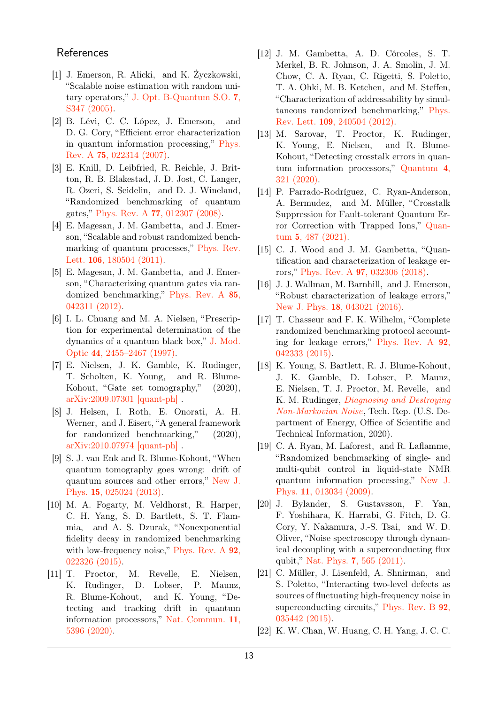# **References**

- <span id="page-12-0"></span>[1] J. Emerson, R. Alicki, and K. Życzkowski, "Scalable noise estimation with random unitary operators," [J. Opt. B-Quantum S.O.](https://doi.org/ 10.1088/1464-4266/7/10/021) 7, [S347 \(2005\).](https://doi.org/ 10.1088/1464-4266/7/10/021)
- [2] B. Lévi, C. C. López, J. Emerson, and D. G. Cory, "Efficient error characterization in quantum information processing," [Phys.](https://doi.org/ 10.1103/PhysRevA.75.022314) Rev. A 75[, 022314 \(2007\).](https://doi.org/ 10.1103/PhysRevA.75.022314)
- [3] E. Knill, D. Leibfried, R. Reichle, J. Britton, R. B. Blakestad, J. D. Jost, C. Langer, R. Ozeri, S. Seidelin, and D. J. Wineland, "Randomized benchmarking of quantum gates," Phys. Rev. A 77[, 012307 \(2008\).](https://doi.org/ 10.1103/PhysRevA.77.012307)
- <span id="page-12-13"></span>[4] E. Magesan, J. M. Gambetta, and J. Emerson, "Scalable and robust randomized benchmarking of quantum processes," [Phys. Rev.](https://doi.org/ 10.1103/PhysRevLett.106.180504) Lett. 106[, 180504 \(2011\).](https://doi.org/ 10.1103/PhysRevLett.106.180504)
- <span id="page-12-1"></span>[5] E. Magesan, J. M. Gambetta, and J. Emerson, "Characterizing quantum gates via randomized benchmarking," [Phys. Rev. A](https://doi.org/ 10.1103/PhysRevA.85.042311) 85, [042311 \(2012\).](https://doi.org/ 10.1103/PhysRevA.85.042311)
- <span id="page-12-2"></span>[6] I. L. Chuang and M. A. Nielsen, "Prescription for experimental determination of the dynamics of a quantum black box," [J. Mod.](https://doi.org/10.1080/09500349708231894) Optic 44[, 2455–2467 \(1997\).](https://doi.org/10.1080/09500349708231894)
- <span id="page-12-3"></span>[7] E. Nielsen, J. K. Gamble, K. Rudinger, T. Scholten, K. Young, and R. Blume-Kohout, "Gate set tomography," (2020), [arXiv:2009.07301 \[quant-ph\]](http://arxiv.org/abs/2009.07301) .
- <span id="page-12-4"></span>[8] J. Helsen, I. Roth, E. Onorati, A. H. Werner, and J. Eisert, "A general framework for randomized benchmarking," (2020), [arXiv:2010.07974 \[quant-ph\]](http://arxiv.org/abs/2010.07974) .
- <span id="page-12-5"></span>[9] S. J. van Enk and R. Blume-Kohout, "When quantum tomography goes wrong: drift of quantum sources and other errors," [New J.](https://doi.org/10.1088/1367-2630/15/2/025024) Phys. 15[, 025024 \(2013\).](https://doi.org/10.1088/1367-2630/15/2/025024)
- <span id="page-12-11"></span>[10] M. A. Fogarty, M. Veldhorst, R. Harper, C. H. Yang, S. D. Bartlett, S. T. Flammia, and A. S. Dzurak, "Nonexponential fidelity decay in randomized benchmarking with low-frequency noise," [Phys. Rev. A](https://doi.org/ 10.1103/PhysRevA.92.022326)  $92$ , [022326 \(2015\).](https://doi.org/ 10.1103/PhysRevA.92.022326)
- <span id="page-12-6"></span>[11] T. Proctor, M. Revelle, E. Nielsen, K. Rudinger, D. Lobser, P. Maunz, R. Blume-Kohout, and K. Young, "Detecting and tracking drift in quantum information processors," [Nat. Commun.](https://doi.org/10.1038/s41467-020-19074-4) 11, [5396 \(2020\).](https://doi.org/10.1038/s41467-020-19074-4)
- <span id="page-12-7"></span>[12] J. M. Gambetta, A. D. Córcoles, S. T. Merkel, B. R. Johnson, J. A. Smolin, J. M. Chow, C. A. Ryan, C. Rigetti, S. Poletto, T. A. Ohki, M. B. Ketchen, and M. Steffen, "Characterization of addressability by simultaneous randomized benchmarking," [Phys.](https://doi.org/10.1103/PhysRevLett.109.240504) Rev. Lett. 109[, 240504 \(2012\).](https://doi.org/10.1103/PhysRevLett.109.240504)
- [13] M. Sarovar, T. Proctor, K. Rudinger, K. Young, E. Nielsen, and R. Blume-Kohout, "Detecting crosstalk errors in quantum information processors," [Quantum](https://doi.org/10.22331/q-2020-09-11-321) 4, [321 \(2020\).](https://doi.org/10.22331/q-2020-09-11-321)
- <span id="page-12-8"></span>[14] P. Parrado-Rodríguez, C. Ryan-Anderson, A. Bermudez, and M. Müller, "Crosstalk Suppression for Fault-tolerant Quantum Error Correction with Trapped Ions," [Quan](https://doi.org/ 10.22331/q-2021-06-29-487)tum 5[, 487 \(2021\).](https://doi.org/ 10.22331/q-2021-06-29-487)
- <span id="page-12-9"></span>[15] C. J. Wood and J. M. Gambetta, "Quantification and characterization of leakage errors," Phys. Rev. A 97[, 032306 \(2018\).](https://doi.org/ 10.1103/PhysRevA.97.032306)
- [16] J. J. Wallman, M. Barnhill, and J. Emerson, "Robust characterization of leakage errors," New J. Phys. 18[, 043021 \(2016\).](https://doi.org/10.1088/1367-2630/18/4/043021)
- <span id="page-12-10"></span>[17] T. Chasseur and F. K. Wilhelm, "Complete randomized benchmarking protocol accounting for leakage errors," [Phys. Rev. A](https://doi.org/10.1103/PhysRevA.92.042333) 92, [042333 \(2015\).](https://doi.org/10.1103/PhysRevA.92.042333)
- <span id="page-12-12"></span>[18] K. Young, S. Bartlett, R. J. Blume-Kohout, J. K. Gamble, D. Lobser, P. Maunz, E. Nielsen, T. J. Proctor, M. Revelle, and K. M. Rudinger, [Diagnosing and Destroying](https://doi.org/10.2172/1671379) [Non-Markovian Noise](https://doi.org/10.2172/1671379), Tech. Rep. (U.S. Department of Energy, Office of Scientific and Technical Information, 2020).
- [19] C. A. Ryan, M. Laforest, and R. Laflamme, "Randomized benchmarking of single- and multi-qubit control in liquid-state NMR quantum information processing," [New J.](https://doi.org/10.1088/1367-2630/11/1/013034) Phys. 11[, 013034 \(2009\).](https://doi.org/10.1088/1367-2630/11/1/013034)
- [20] J. Bylander, S. Gustavsson, F. Yan, F. Yoshihara, K. Harrabi, G. Fitch, D. G. Cory, Y. Nakamura, J.-S. Tsai, and W. D. Oliver, "Noise spectroscopy through dynamical decoupling with a superconducting flux qubit," Nat. Phys. 7[, 565 \(2011\).](https://doi.org/10.1038/nphys1994)
- [21] C. Müller, J. Lisenfeld, A. Shnirman, and S. Poletto, "Interacting two-level defects as sources of fluctuating high-frequency noise in superconducting circuits," [Phys. Rev. B](https://doi.org/10.1103/PhysRevB.92.035442) 92, [035442 \(2015\).](https://doi.org/10.1103/PhysRevB.92.035442)
- [22] K. W. Chan, W. Huang, C. H. Yang, J. C. C.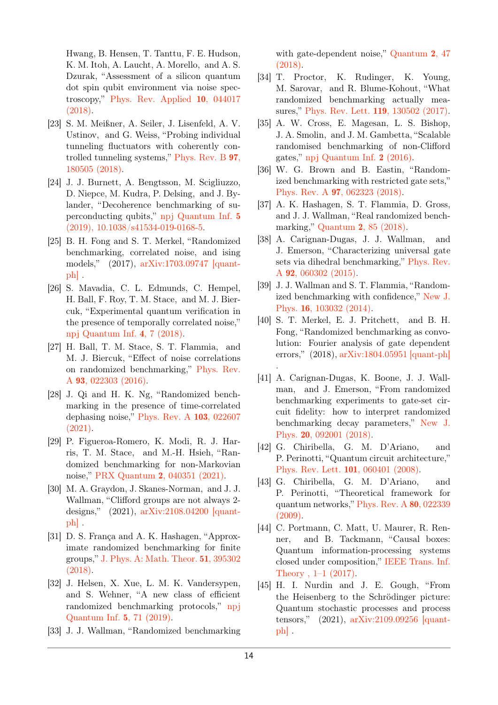Hwang, B. Hensen, T. Tanttu, F. E. Hudson, K. M. Itoh, A. Laucht, A. Morello, and A. S. Dzurak, "Assessment of a silicon quantum dot spin qubit environment via noise spectroscopy," [Phys. Rev. Applied](https://doi.org/10.1103/PhysRevApplied.10.044017) 10, 044017 [\(2018\).](https://doi.org/10.1103/PhysRevApplied.10.044017)

- [23] S. M. Meißner, A. Seiler, J. Lisenfeld, A. V. Ustinov, and G. Weiss, "Probing individual tunneling fluctuators with coherently controlled tunneling systems," [Phys. Rev. B](https://doi.org/ 10.1103/PhysRevB.97.180505) 97, [180505 \(2018\).](https://doi.org/ 10.1103/PhysRevB.97.180505)
- <span id="page-13-0"></span>[24] J. J. Burnett, A. Bengtsson, M. Scigliuzzo, D. Niepce, M. Kudra, P. Delsing, and J. Bylander, "Decoherence benchmarking of superconducting qubits," [npj Quantum Inf.](https://doi.org/10.1038/s41534-019-0168-5) 5 [\(2019\), 10.1038/s41534-019-0168-5.](https://doi.org/10.1038/s41534-019-0168-5)
- <span id="page-13-1"></span>[25] B. H. Fong and S. T. Merkel, "Randomized benchmarking, correlated noise, and ising models," (2017), [arXiv:1703.09747 \[quant](http://arxiv.org/abs/1703.09747)[ph\]](http://arxiv.org/abs/1703.09747) .
- [26] S. Mavadia, C. L. Edmunds, C. Hempel, H. Ball, F. Roy, T. M. Stace, and M. J. Biercuk, "Experimental quantum verification in the presence of temporally correlated noise," [npj Quantum Inf.](https://doi.org/10.1038/s41534-017-0052-0) 4, 7 (2018).
- <span id="page-13-14"></span>[27] H. Ball, T. M. Stace, S. T. Flammia, and M. J. Biercuk, "Effect of noise correlations on randomized benchmarking," [Phys. Rev.](https://doi.org/10.1103/PhysRevA.93.022303) A 93[, 022303 \(2016\).](https://doi.org/10.1103/PhysRevA.93.022303)
- <span id="page-13-2"></span>[28] J. Qi and H. K. Ng, "Randomized benchmarking in the presence of time-correlated dephasing noise," [Phys. Rev. A](https://doi.org/ 10.1103/PhysRevA.103.022607) 103, 022607 [\(2021\).](https://doi.org/ 10.1103/PhysRevA.103.022607)
- <span id="page-13-3"></span>[29] P. Figueroa-Romero, K. Modi, R. J. Harris, T. M. Stace, and M.-H. Hsieh, "Randomized benchmarking for non-Markovian noise," PRX Quantum 2[, 040351 \(2021\).](https://doi.org/10.1103/PRXQuantum.2.040351)
- <span id="page-13-4"></span>[30] M. A. Graydon, J. Skanes-Norman, and J. J. Wallman, "Clifford groups are not always 2 designs," (2021), [arXiv:2108.04200 \[quant](http://arxiv.org/abs/2108.04200)[ph\]](http://arxiv.org/abs/2108.04200) .
- <span id="page-13-5"></span>[31] D. S. Franca and A. K. Hashagen, "Approximate randomized benchmarking for finite groups," [J. Phys. A: Math. Theor.](https://doi.org/ 10.1088/1751-8121/aad6fa) 51, 395302 [\(2018\).](https://doi.org/ 10.1088/1751-8121/aad6fa)
- <span id="page-13-6"></span>[32] J. Helsen, X. Xue, L. M. K. Vandersypen, and S. Wehner, "A new class of efficient randomized benchmarking protocols," [npj](https://doi.org/ 10.1038/s41534-019-0182-7) [Quantum Inf.](https://doi.org/ 10.1038/s41534-019-0182-7) 5, 71 (2019).
- <span id="page-13-7"></span>[33] J. J. Wallman, "Randomized benchmarking

with gate-dependent noise," [Quantum](https://doi.org/ 10.22331/q-2018-01-29-47) 2, 47 [\(2018\).](https://doi.org/ 10.22331/q-2018-01-29-47)

- <span id="page-13-8"></span>[34] T. Proctor, K. Rudinger, K. Young, M. Sarovar, and R. Blume-Kohout, "What randomized benchmarking actually measures," [Phys. Rev. Lett.](https://doi.org/10.1103/PhysRevLett.119.130502) 119, 130502 (2017).
- <span id="page-13-9"></span>[35] A. W. Cross, E. Magesan, L. S. Bishop, J. A. Smolin, and J. M. Gambetta, "Scalable randomised benchmarking of non-Clifford gates," [npj Quantum Inf.](http://dx.doi.org/10.1038/npjqi.2016.12) 2 (2016).
- [36] W. G. Brown and B. Eastin, "Randomized benchmarking with restricted gate sets," Phys. Rev. A 97[, 062323 \(2018\).](https://doi.org/10.1103/PhysRevA.97.062323)
- [37] A. K. Hashagen, S. T. Flammia, D. Gross, and J. J. Wallman, "Real randomized benchmarking," Quantum 2[, 85 \(2018\).](https://doi.org/10.22331/q-2018-08-22-85)
- <span id="page-13-10"></span>[38] A. Carignan-Dugas, J. J. Wallman, and J. Emerson, "Characterizing universal gate sets via dihedral benchmarking," [Phys. Rev.](https://doi.org/ 10.1103/PhysRevA.92.060302) A 92[, 060302 \(2015\).](https://doi.org/ 10.1103/PhysRevA.92.060302)
- <span id="page-13-11"></span>[39] J. J. Wallman and S. T. Flammia, "Randomized benchmarking with confidence," [New J.](https://doi.org/ 10.1088/1367-2630/16/10/103032) Phys. 16[, 103032 \(2014\).](https://doi.org/ 10.1088/1367-2630/16/10/103032)
- <span id="page-13-12"></span>[40] S. T. Merkel, E. J. Pritchett, and B. H. Fong, "Randomized benchmarking as convolution: Fourier analysis of gate dependent errors," (2018), [arXiv:1804.05951 \[quant-ph\]](http://arxiv.org/abs/1804.05951)

.

- <span id="page-13-13"></span>[41] A. Carignan-Dugas, K. Boone, J. J. Wallman, and J. Emerson, "From randomized benchmarking experiments to gate-set circuit fidelity: how to interpret randomized benchmarking decay parameters," [New J.](https://doi.org/10.1088/1367-2630/aadcc7) Phys. 20[, 092001 \(2018\).](https://doi.org/10.1088/1367-2630/aadcc7)
- <span id="page-13-15"></span>[42] G. Chiribella, G. M. D'Ariano, and P. Perinotti, "Quantum circuit architecture," [Phys. Rev. Lett.](https://doi.org/10.1103/PhysRevLett.101.060401) 101, 060401 (2008).
- <span id="page-13-16"></span>[43] G. Chiribella, G. M. D'Ariano, and P. Perinotti, "Theoretical framework for quantum networks," [Phys. Rev. A](https://doi.org/ 10.1103/PhysRevA.80.022339) 80, 022339 [\(2009\).](https://doi.org/ 10.1103/PhysRevA.80.022339)
- <span id="page-13-17"></span>[44] C. Portmann, C. Matt, U. Maurer, R. Renner, and B. Tackmann, "Causal boxes: Quantum information-processing systems closed under composition," [IEEE Trans. Inf.](https://doi.org/10.1109/tit.2017.2676805) [Theory , 1–1 \(2017\).](https://doi.org/10.1109/tit.2017.2676805)
- <span id="page-13-18"></span>[45] H. I. Nurdin and J. E. Gough, "From the Heisenberg to the Schrödinger picture: Quantum stochastic processes and process tensors," (2021), [arXiv:2109.09256 \[quant](http://arxiv.org/abs/2109.09256)[ph\]](http://arxiv.org/abs/2109.09256) .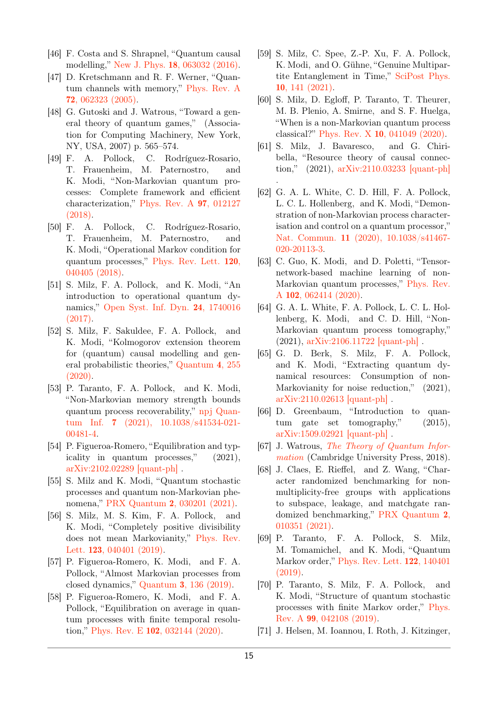- <span id="page-14-3"></span>[46] F. Costa and S. Shrapnel, "Quantum causal modelling," New J. Phys. 18[, 063032 \(2016\).](https://doi.org/10.1088/1367-2630/18/6/063032)
- <span id="page-14-4"></span>[47] D. Kretschmann and R. F. Werner, "Quantum channels with memory," [Phys. Rev. A](https://doi.org/10.1103/PhysRevA.72.062323) 72[, 062323 \(2005\).](https://doi.org/10.1103/PhysRevA.72.062323)
- <span id="page-14-5"></span>[48] G. Gutoski and J. Watrous, "Toward a general theory of quantum games," (Association for Computing Machinery, New York, NY, USA, 2007) p. 565–574.
- <span id="page-14-0"></span>[49] F. A. Pollock, C. Rodríguez-Rosario, T. Frauenheim, M. Paternostro, and K. Modi, "Non-Markovian quantum processes: Complete framework and efficient characterization," [Phys. Rev. A](https://doi.org/10.1103/PhysRevA.97.012127) 97, 012127 [\(2018\).](https://doi.org/10.1103/PhysRevA.97.012127)
- <span id="page-14-2"></span>[50] F. A. Pollock, C. Rodríguez-Rosario, T. Frauenheim, M. Paternostro, and K. Modi, "Operational Markov condition for quantum processes," [Phys. Rev. Lett.](https://doi.org/ 10.1103/PhysRevLett.120.040405) 120, [040405 \(2018\).](https://doi.org/ 10.1103/PhysRevLett.120.040405)
- [51] S. Milz, F. A. Pollock, and K. Modi, "An introduction to operational quantum dynamics," [Open Syst. Inf. Dyn.](https://doi.org/10.1142/s1230161217400169) 24, 1740016 [\(2017\).](https://doi.org/10.1142/s1230161217400169)
- <span id="page-14-6"></span>[52] S. Milz, F. Sakuldee, F. A. Pollock, and K. Modi, "Kolmogorov extension theorem for (quantum) causal modelling and general probabilistic theories," [Quantum](https://doi.org/10.22331/q-2020-04-20-255) 4, 255 [\(2020\).](https://doi.org/10.22331/q-2020-04-20-255)
- [53] P. Taranto, F. A. Pollock, and K. Modi, "Non-Markovian memory strength bounds quantum process recoverability," [npj Quan](https://doi.org/ 10.1038/s41534-021-00481-4)tum Inf. 7 [\(2021\), 10.1038/s41534-021-](https://doi.org/ 10.1038/s41534-021-00481-4) [00481-4.](https://doi.org/ 10.1038/s41534-021-00481-4)
- [54] P. Figueroa-Romero, "Equilibration and typicality in quantum processes," (2021), [arXiv:2102.02289 \[quant-ph\]](http://arxiv.org/abs/2102.02289) .
- <span id="page-14-7"></span>[55] S. Milz and K. Modi, "Quantum stochastic processes and quantum non-Markovian phenomena," PRX Quantum 2[, 030201 \(2021\).](https://doi.org/ 10.1103/PRXQuantum.2.030201)
- <span id="page-14-1"></span>[56] S. Milz, M. S. Kim, F. A. Pollock, and K. Modi, "Completely positive divisibility does not mean Markovianity," [Phys. Rev.](https://doi.org/10.1103/PhysRevLett.123.040401) Lett. 123[, 040401 \(2019\).](https://doi.org/10.1103/PhysRevLett.123.040401)
- <span id="page-14-8"></span>[57] P. Figueroa-Romero, K. Modi, and F. A. Pollock, "Almost Markovian processes from closed dynamics," Quantum 3[, 136 \(2019\).](https://doi.org/ 10.22331/q-2019-04-30-136)
- [58] P. Figueroa-Romero, K. Modi, and F. A. Pollock, "Equilibration on average in quantum processes with finite temporal resolution," Phys. Rev. E 102[, 032144 \(2020\).](https://doi.org/10.1103/PhysRevE.102.032144)
- [59] S. Milz, C. Spee, Z.-P. Xu, F. A. Pollock, K. Modi, and O. Gühne, "Genuine Multipartite Entanglement in Time," [SciPost Phys.](https://doi.org/10.21468/SciPostPhys.10.6.141) 10[, 141 \(2021\).](https://doi.org/10.21468/SciPostPhys.10.6.141)
- [60] S. Milz, D. Egloff, P. Taranto, T. Theurer, M. B. Plenio, A. Smirne, and S. F. Huelga, "When is a non-Markovian quantum process classical?" Phys. Rev. X 10[, 041049 \(2020\).](https://doi.org/10.1103/PhysRevX.10.041049)
- <span id="page-14-9"></span>[61] S. Milz, J. Bavaresco, and G. Chiribella, "Resource theory of causal connection," (2021), [arXiv:2110.03233 \[quant-ph\]](http://arxiv.org/abs/2110.03233) .
- <span id="page-14-10"></span>[62] G. A. L. White, C. D. Hill, F. A. Pollock, L. C. L. Hollenberg, and K. Modi, "Demonstration of non-Markovian process characterisation and control on a quantum processor," Nat. Commun. 11 [\(2020\), 10.1038/s41467-](https://doi.org/ 10.1038/s41467-020-20113-3) [020-20113-3.](https://doi.org/ 10.1038/s41467-020-20113-3)
- [63] C. Guo, K. Modi, and D. Poletti, "Tensornetwork-based machine learning of non-Markovian quantum processes," [Phys. Rev.](https://doi.org/ 10.1103/PhysRevA.102.062414) A 102[, 062414 \(2020\).](https://doi.org/ 10.1103/PhysRevA.102.062414)
- [64] G. A. L. White, F. A. Pollock, L. C. L. Hollenberg, K. Modi, and C. D. Hill, "Non-Markovian quantum process tomography," (2021), [arXiv:2106.11722 \[quant-ph\]](http://arxiv.org/abs/2106.11722) .
- <span id="page-14-11"></span>[65] G. D. Berk, S. Milz, F. A. Pollock, and K. Modi, "Extracting quantum dynamical resources: Consumption of non-Markovianity for noise reduction,"  $(2021)$ , [arXiv:2110.02613 \[quant-ph\]](http://arxiv.org/abs/2110.02613) .
- <span id="page-14-12"></span>[66] D. Greenbaum, "Introduction to quantum gate set tomography," (2015), [arXiv:1509.02921 \[quant-ph\]](http://arxiv.org/abs/1509.02921) .
- <span id="page-14-13"></span>[67] J. Watrous, [The Theory of Quantum Infor](https://books.google.com.au/books?id=GRNSDwAAQBAJ)[mation](https://books.google.com.au/books?id=GRNSDwAAQBAJ) (Cambridge University Press, 2018).
- <span id="page-14-14"></span>[68] J. Claes, E. Rieffel, and Z. Wang, "Character randomized benchmarking for nonmultiplicity-free groups with applications to subspace, leakage, and matchgate randomized benchmarking," [PRX Quantum](https://doi.org/ 10.1103/PRXQuantum.2.010351) 2, [010351 \(2021\).](https://doi.org/ 10.1103/PRXQuantum.2.010351)
- <span id="page-14-15"></span>[69] P. Taranto, F. A. Pollock, S. Milz, M. Tomamichel, and K. Modi, "Quantum Markov order," [Phys. Rev. Lett.](https://doi.org/10.1103/PhysRevLett.122.140401) 122, 140401 [\(2019\).](https://doi.org/10.1103/PhysRevLett.122.140401)
- <span id="page-14-16"></span>[70] P. Taranto, S. Milz, F. A. Pollock, and K. Modi, "Structure of quantum stochastic processes with finite Markov order," [Phys.](https://doi.org/ 10.1103/PhysRevA.99.042108) Rev. A 99[, 042108 \(2019\).](https://doi.org/ 10.1103/PhysRevA.99.042108)
- <span id="page-14-17"></span>[71] J. Helsen, M. Ioannou, I. Roth, J. Kitzinger,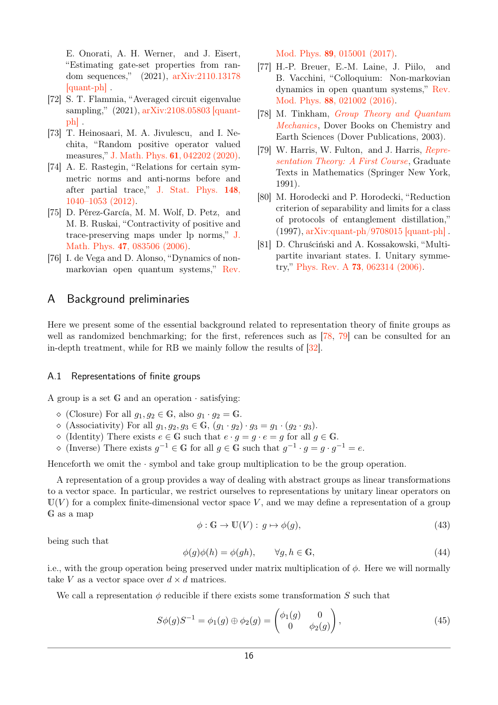E. Onorati, A. H. Werner, and J. Eisert, "Estimating gate-set properties from random sequences," (2021), [arXiv:2110.13178](http://arxiv.org/abs/2110.13178) [\[quant-ph\]](http://arxiv.org/abs/2110.13178) .

- <span id="page-15-1"></span>[72] S. T. Flammia, "Averaged circuit eigenvalue sampling," (2021), [arXiv:2108.05803 \[quant](http://arxiv.org/abs/2108.05803)[ph\]](http://arxiv.org/abs/2108.05803) .
- <span id="page-15-2"></span>[73] T. Heinosaari, M. A. Jivulescu, and I. Nechita, "Random positive operator valued measures," J. Math. Phys. 61[, 042202 \(2020\).](https://doi.org/10.1063/1.5131028)
- <span id="page-15-3"></span>[74] A. E. Rastegin, "Relations for certain symmetric norms and anti-norms before and after partial trace," [J. Stat. Phys.](https://doi.org/10.1007/s10955-012-0569-8) 148, [1040–1053 \(2012\).](https://doi.org/10.1007/s10955-012-0569-8)
- <span id="page-15-4"></span>[75] D. Pérez-García, M. M. Wolf, D. Petz, and M. B. Ruskai, "Contractivity of positive and trace-preserving maps under lp norms," [J.](https://doi.org/10.1063/1.2218675) Math. Phys. 47[, 083506 \(2006\).](https://doi.org/10.1063/1.2218675)
- <span id="page-15-5"></span>[76] I. de Vega and D. Alonso, "Dynamics of nonmarkovian open quantum systems," [Rev.](https://doi.org/ 10.1103/RevModPhys.89.015001)

# A Background preliminaries

Mod. Phys. 89[, 015001 \(2017\).](https://doi.org/ 10.1103/RevModPhys.89.015001)

- <span id="page-15-6"></span>[77] H.-P. Breuer, E.-M. Laine, J. Piilo, and B. Vacchini, "Colloquium: Non-markovian dynamics in open quantum systems," [Rev.](https://doi.org/10.1103/RevModPhys.88.021002) Mod. Phys. 88[, 021002 \(2016\).](https://doi.org/10.1103/RevModPhys.88.021002)
- <span id="page-15-7"></span>[78] M. Tinkham, [Group Theory and Quantum](https://books.google.com.tw/books?id=r4GIU2wJCAEC) [Mechanics](https://books.google.com.tw/books?id=r4GIU2wJCAEC), Dover Books on Chemistry and Earth Sciences (Dover Publications, 2003).
- <span id="page-15-8"></span>[79] W. Harris, W. Fulton, and J. Harris, [Repre](https://books.google.com.tw/books?id=6GUH8ARxhp8C)[sentation Theory: A First Course](https://books.google.com.tw/books?id=6GUH8ARxhp8C), Graduate Texts in Mathematics (Springer New York, 1991).
- <span id="page-15-9"></span>[80] M. Horodecki and P. Horodecki, "Reduction criterion of separability and limits for a class of protocols of entanglement distillation," (1997), [arXiv:quant-ph/9708015 \[quant-ph\]](http://arxiv.org/abs/quant-ph/9708015) .
- <span id="page-15-10"></span>[81] D. Chruściński and A. Kossakowski, "Multipartite invariant states. I. Unitary symmetry," Phys. Rev. A 73[, 062314 \(2006\).](https://doi.org/ 10.1103/PhysRevA.73.062314)

Here we present some of the essential background related to representation theory of finite groups as well as randomized benchmarking; for the first, references such as [\[78,](#page-15-7) [79\]](#page-15-8) can be consulted for an in-depth treatment, while for RB we mainly follow the results of [\[32\]](#page-13-6).

#### <span id="page-15-0"></span>A.1 Representations of finite groups

A group is a set  $G$  and an operation  $\cdot$  satisfying:

- $\Diamond$  (Closure) For all  $g_1, g_2 \in \mathbb{G}$ , also  $g_1 \cdot g_2 = \mathbb{G}$ .
- $\Diamond$  (Associativity) For all  $g_1, g_2, g_3 \in \mathbb{G}$ ,  $(g_1 \cdot g_2) \cdot g_3 = g_1 \cdot (g_2 \cdot g_3)$ .
- $\Diamond$  (Identity) There exists  $e \in \mathbb{G}$  such that  $e \cdot g = g \cdot e = g$  for all  $g \in \mathbb{G}$ .
- ↑ (Inverse) There exists  $g^{-1} \in \mathbb{G}$  for all  $g \in \mathbb{G}$  such that  $g^{-1} \cdot g = g \cdot g^{-1} = e$ .

Henceforth we omit the  $\cdot$  symbol and take group multiplication to be the group operation.

A representation of a group provides a way of dealing with abstract groups as linear transformations to a vector space. In particular, we restrict ourselves to representations by unitary linear operators on  $U(V)$  for a complex finite-dimensional vector space V, and we may define a representation of a group G as a map

$$
\phi: \mathbb{G} \to \mathbb{U}(V): g \mapsto \phi(g), \tag{43}
$$

being such that

$$
\phi(g)\phi(h) = \phi(gh), \qquad \forall g, h \in \mathbb{G},\tag{44}
$$

i.e., with the group operation being preserved under matrix multiplication of *φ*. Here we will normally take *V* as a vector space over  $d \times d$  matrices.

We call a representation  $\phi$  reducible if there exists some transformation *S* such that

$$
S\phi(g)S^{-1} = \phi_1(g) \oplus \phi_2(g) = \begin{pmatrix} \phi_1(g) & 0\\ 0 & \phi_2(g) \end{pmatrix},
$$
\n(45)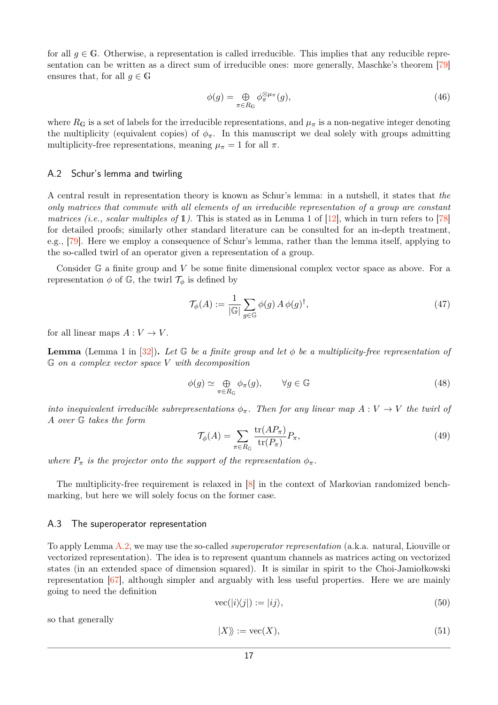for all  $q \in \mathbb{G}$ . Otherwise, a representation is called irreducible. This implies that any reducible representation can be written as a direct sum of irreducible ones: more generally, Maschke's theorem [\[79\]](#page-15-8) ensures that, for all  $q \in \mathbb{G}$ 

$$
\phi(g) = \bigoplus_{\pi \in R_{\mathbb{G}}} \phi_{\pi}^{\otimes \mu_{\pi}}(g),\tag{46}
$$

where  $R_G$  is a set of labels for the irreducible representations, and  $\mu_{\pi}$  is a non-negative integer denoting the multiplicity (equivalent copies) of  $\phi_{\pi}$ . In this manuscript we deal solely with groups admitting multiplicity-free representations, meaning  $\mu_{\pi} = 1$  for all  $\pi$ .

#### A.2 Schur's lemma and twirling

A central result in representation theory is known as Schur's lemma: in a nutshell, it states that the only matrices that commute with all elements of an irreducible representation of a group are constant matrices (i.e., scalar multiples of  $\mathbb{1}$ ). This is stated as in Lemma 1 of  $|12|$ , which in turn refers to [\[78\]](#page-15-7) for detailed proofs; similarly other standard literature can be consulted for an in-depth treatment, e.g., [\[79\]](#page-15-8). Here we employ a consequence of Schur's lemma, rather than the lemma itself, applying to the so-called twirl of an operator given a representation of a group.

Consider G a finite group and *V* be some finite dimensional complex vector space as above. For a representation  $\phi$  of  $\mathbb{G}$ , the twirl  $\mathcal{T}_{\phi}$  is defined by

<span id="page-16-1"></span>
$$
\mathcal{T}_{\phi}(A) := \frac{1}{|\mathbb{G}|} \sum_{g \in \mathbb{G}} \phi(g) A \phi(g)^{\dagger}, \tag{47}
$$

for all linear maps  $A: V \to V$ .

**Lemma** (Lemma 1 in [\[32\]](#page-13-6)). Let  $\mathbb{G}$  be a finite group and let  $\phi$  be a multiplicity-free representation of G *on a complex vector space V with decomposition*

$$
\phi(g) \simeq \bigoplus_{\pi \in R_{\mathbb{G}}} \phi_{\pi}(g), \qquad \forall g \in \mathbb{G}
$$
\n(48)

*into inequivalent irreducible subrepresentations*  $\phi_{\pi}$ . Then for any linear map  $A: V \to V$  the twirl of *A over* G *takes the form*

$$
\mathcal{T}_{\phi}(A) = \sum_{\pi \in R_{\mathbb{G}}} \frac{\text{tr}(AP_{\pi})}{\text{tr}(P_{\pi})} P_{\pi},\tag{49}
$$

*where*  $P_{\pi}$  *is the projector onto the support of the representation*  $\phi_{\pi}$ *.* 

The multiplicity-free requirement is relaxed in [\[8\]](#page-12-4) in the context of Markovian randomized benchmarking, but here we will solely focus on the former case.

#### <span id="page-16-0"></span>A.3 The superoperator representation

To apply Lemma [A.2,](#page-16-1) we may use the so-called superoperator representation (a.k.a. natural, Liouville or vectorized representation). The idea is to represent quantum channels as matrices acting on vectorized states (in an extended space of dimension squared). It is similar in spirit to the Choi-Jamiołkowski representation [\[67\]](#page-14-13), although simpler and arguably with less useful properties. Here we are mainly going to need the definition

<span id="page-16-2"></span>
$$
\text{vec}(|i\rangle\!\langle j|) := |ij\rangle,\tag{50}
$$

so that generally

$$
|X\rangle := \text{vec}(X),\tag{51}
$$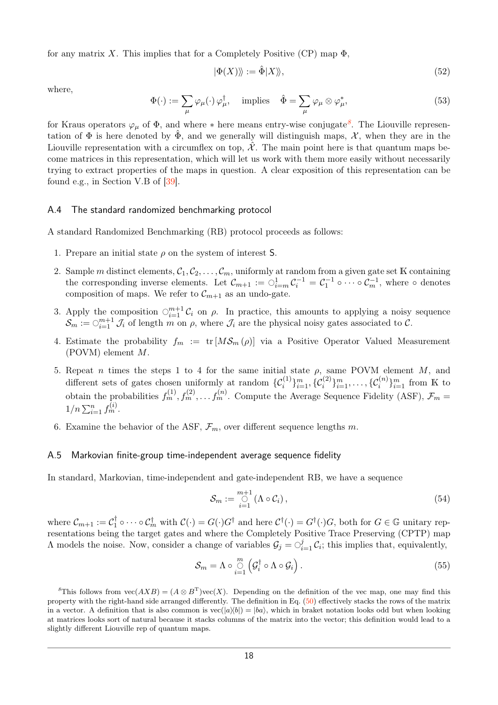for any matrix X. This implies that for a Completely Positive (CP) map  $\Phi$ ,

$$
|\Phi(X)\rangle := \hat{\Phi}|X\rangle,
$$
\n(52)

where,

$$
\Phi(\cdot) := \sum_{\mu} \varphi_{\mu}(\cdot) \varphi_{\mu}^{\dagger}, \quad \text{implies} \quad \hat{\Phi} = \sum_{\mu} \varphi_{\mu} \otimes \varphi_{\mu}^{*}, \tag{53}
$$

for Kraus operators  $\varphi_{\mu}$  of  $\Phi$ , and where \* here means entry-wise conjugate<sup>[8](#page-17-1)</sup>. The Liouville representation of  $\Phi$  is here denoted by  $\Phi$ , and we generally will distinguish maps,  $\mathcal{X}$ , when they are in the Liouville representation with a circumflex on top,  $\mathcal{X}$ . The main point here is that quantum maps become matrices in this representation, which will let us work with them more easily without necessarily trying to extract properties of the maps in question. A clear exposition of this representation can be found e.g., in Section V.B of [\[39\]](#page-13-11).

#### <span id="page-17-0"></span>A.4 The standard randomized benchmarking protocol

A standard Randomized Benchmarking (RB) protocol proceeds as follows:

- 1. Prepare an initial state *ρ* on the system of interest S.
- 2. Sample *m* distinct elements,  $C_1, C_2, \ldots, C_m$ , uniformly at random from a given gate set K containing the corresponding inverse elements. Let  $\mathcal{C}_{m+1} := \bigcirc_{i=m}^1 \mathcal{C}_i^{-1} = \mathcal{C}_1^{-1} \circ \cdots \circ \mathcal{C}_m^{-1}$ , where  $\circ$  denotes composition of maps. We refer to  $\mathcal{C}_{m+1}$  as an undo-gate.
- 3. Apply the composition  $\bigcirc_{i=1}^{m+1} C_i$  on  $\rho$ . In practice, this amounts to applying a noisy sequence  $\mathcal{S}_m := \bigcirc_{i=1}^{m+1} \mathcal{J}_i$  of length *m* on *ρ*, where  $\mathcal{J}_i$  are the physical noisy gates associated to  $\mathcal{C}$ .
- 4. Estimate the probability  $f_m := \text{tr} [M \mathcal{S}_m (\rho)]$  via a Positive Operator Valued Measurement (POVM) element *M*.
- 5. Repeat *n* times the steps 1 to 4 for the same initial state  $\rho$ , same POVM element *M*, and different sets of gates chosen uniformly at random  $\{\mathcal{C}_i^{(1)}\}_{i=1}^m, \{\mathcal{C}_i^{(2)}\}_{i=1}^m, \ldots, \{\mathcal{C}_i^{(n)}\}_{i=1}^m$  from K to obtain the probabilities  $f_m^{(1)}, f_m^{(2)}, \ldots, f_m^{(n)}$ . Compute the Average Sequence Fidelity (ASF),  $\mathcal{F}_m$  =  $1/n \sum_{i=1}^{n} f_m^{(i)}$ .
- 6. Examine the behavior of the ASF,  $\mathcal{F}_m$ , over different sequence lengths m.

#### A.5 Markovian finite-group time-independent average sequence fidelity

In standard, Markovian, time-independent and gate-independent RB, we have a sequence

$$
\mathcal{S}_m := \bigcirc_{i=1}^{m+1} (\Lambda \circ \mathcal{C}_i), \tag{54}
$$

where  $\mathcal{C}_{m+1} := \mathcal{C}_1^\dagger$  $\mathcal{C}_1^{\dagger} \circ \cdots \circ \mathcal{C}_m^{\dagger}$  with  $\mathcal{C}(\cdot) = G(\cdot)G^{\dagger}$  and here  $\mathcal{C}^{\dagger}(\cdot) = G^{\dagger}(\cdot)G$ , both for  $G \in \mathbb{G}$  unitary representations being the target gates and where the Completely Positive Trace Preserving (CPTP) map  $\Lambda$  models the noise. Now, consider a change of variables  $\mathcal{G}_j = \bigcirc_{i=1}^j \mathcal{C}_i$ ; this implies that, equivalently,

$$
S_m = \Lambda \circ \bigcirc_{i=1}^m \left( \mathcal{G}_i^{\dagger} \circ \Lambda \circ \mathcal{G}_i \right). \tag{55}
$$

<span id="page-17-1"></span>*8*This follows from  $\text{vec}(AXB) = (A \otimes B^T)\text{vec}(X)$ . Depending on the definition of the vec map, one may find this property with the right-hand side arranged differently. The definition in Eq. [\(50\)](#page-16-2) effectively stacks the rows of the matrix in a vector. A definition that is also common is  $vec(|a\rangle\langle b|) = |ba\rangle$ , which in braket notation looks odd but when looking at matrices looks sort of natural because it stacks columns of the matrix into the vector; this definition would lead to a slightly different Liouville rep of quantum maps.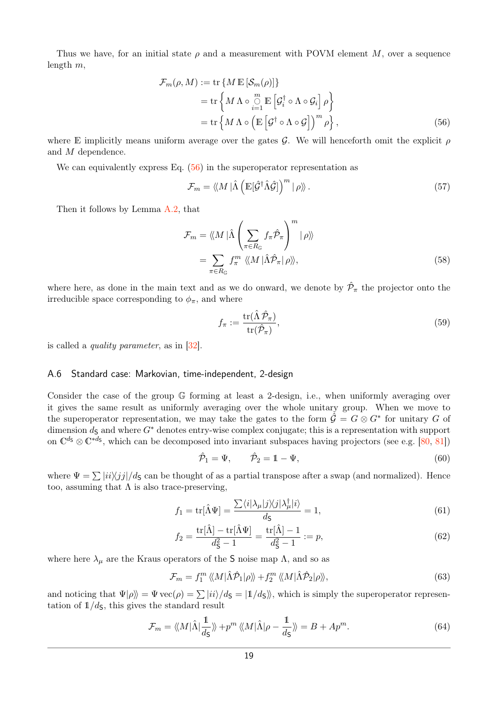Thus we have, for an initial state  $\rho$  and a measurement with POVM element M, over a sequence length *m*,

$$
\mathcal{F}_m(\rho, M) := \text{tr}\left\{M \mathbb{E}\left[\mathcal{S}_m(\rho)\right]\right\}
$$
  
= 
$$
\text{tr}\left\{M \Lambda \circ \bigcup_{i=1}^m \mathbb{E}\left[\mathcal{G}_i^\dagger \circ \Lambda \circ \mathcal{G}_i\right] \rho\right\}
$$
  
= 
$$
\text{tr}\left\{M \Lambda \circ \left(\mathbb{E}\left[\mathcal{G}^\dagger \circ \Lambda \circ \mathcal{G}\right]\right)^m \rho\right\},
$$
 (56)

where E implicitly means uniform average over the gates  $\mathcal{G}$ . We will henceforth omit the explicit  $\rho$ and *M* dependence.

We can equivalently express Eq.  $(56)$  in the superoperator representation as

<span id="page-18-1"></span>
$$
\mathcal{F}_m = \langle \! \langle M | \hat{\Lambda} \left( \mathbb{E}[\hat{\mathcal{G}}^\dagger \hat{\Lambda} \hat{\mathcal{G}}] \right)^m | \rho \rangle \! \rangle. \tag{57}
$$

Then it follows by Lemma [A.2,](#page-16-1) that

$$
\mathcal{F}_m = \langle\!\langle M | \hat{\Lambda} \left( \sum_{\pi \in R_{\mathbb{G}}} f_{\pi} \hat{\mathcal{P}}_{\pi} \right)^m | \rho \rangle\!\rangle
$$
  
= 
$$
\sum_{\pi \in R_{\mathbb{G}}} f_{\pi}^m \langle\!\langle M | \hat{\Lambda} \hat{\mathcal{P}}_{\pi} | \rho \rangle\!\rangle,
$$
 (58)

where here, as done in the main text and as we do onward, we denote by  $\hat{\mathcal{P}}_{\pi}$  the projector onto the irreducible space corresponding to  $\phi_{\pi}$ , and where

$$
f_{\pi} := \frac{\text{tr}(\hat{\Lambda}\,\hat{\mathcal{P}}_{\pi})}{\text{tr}(\hat{\mathcal{P}}_{\pi})},\tag{59}
$$

is called a quality parameter, as in [\[32\]](#page-13-6).

#### <span id="page-18-0"></span>A.6 Standard case: Markovian, time-independent, 2-design

Consider the case of the group G forming at least a 2-design, i.e., when uniformly averaging over it gives the same result as uniformly averaging over the whole unitary group. When we move to the superoperator representation, we may take the gates to the form  $\hat{\mathcal{G}} = G \otimes G^*$  for unitary *G* of dimension  $d_S$  and where  $G^*$  denotes entry-wise complex conjugate; this is a representation with support on  $\mathbb{C}^{d_5} \otimes \mathbb{C}^{*d_5}$ , which can be decomposed into invariant subspaces having projectors (see e.g. [\[80,](#page-15-9) [81\]](#page-15-10))

$$
\hat{\mathcal{P}}_1 = \Psi, \qquad \hat{\mathcal{P}}_2 = 1 - \Psi, \tag{60}
$$

where  $\Psi = \sum |ii\rangle\langle jj|/d\mathbf{s}$  can be thought of as a partial transpose after a swap (and normalized). Hence too, assuming that  $\Lambda$  is also trace-preserving,

$$
f_1 = \text{tr}[\hat{\Lambda}\Psi] = \frac{\sum \langle i|\lambda_\mu|j\rangle\langle j|\lambda_\mu^{\dagger}|i\rangle}{d_{\mathsf{S}}} = 1,\tag{61}
$$

$$
f_2 = \frac{\text{tr}[\hat{\Lambda}] - \text{tr}[\hat{\Lambda}\Psi]}{d_{\mathsf{S}}^2 - 1} = \frac{\text{tr}[\hat{\Lambda}] - 1}{d_{\mathsf{S}}^2 - 1} := p,\tag{62}
$$

where here  $\lambda_{\mu}$  are the Kraus operators of the S noise map  $\Lambda$ , and so as

$$
\mathcal{F}_m = f_1^m \langle M | \hat{\Lambda} \hat{\mathcal{P}}_1 | \rho \rangle \rangle + f_2^m \langle M | \hat{\Lambda} \hat{\mathcal{P}}_2 | \rho \rangle \rangle, \tag{63}
$$

and noticing that  $\Psi|\rho\rangle = \Psi \text{vec}(\rho) = \sum |ii\rangle/d\varsigma = |1/d\varsigma\rangle$ , which is simply the superoperator representation of  $1/d<sub>S</sub>$ , this gives the standard result

$$
\mathcal{F}_m = \langle \! \langle M | \hat{\Lambda} | \frac{1}{d_{\mathsf{S}}} \rangle \! \rangle + p^m \langle \! \langle M | \hat{\Lambda} | \rho - \frac{1}{d_{\mathsf{S}}} \rangle \! \rangle = B + Ap^m. \tag{64}
$$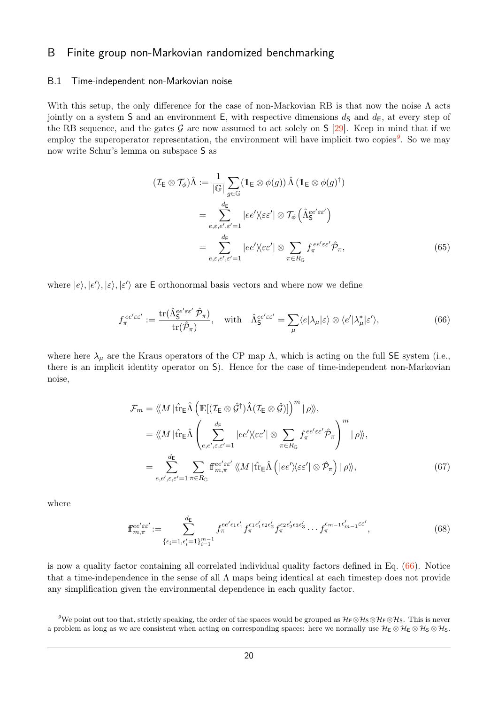# B Finite group non-Markovian randomized benchmarking

#### <span id="page-19-0"></span>B.1 Time-independent non-Markovian noise

With this setup, the only difference for the case of non-Markovian RB is that now the noise  $\Lambda$  acts jointly on a system S and an environment E, with respective dimensions  $d<sub>S</sub>$  and  $d<sub>E</sub>$ , at every step of the RB sequence, and the gates  $G$  are now assumed to act solely on  $S$  [\[29\]](#page-13-3). Keep in mind that if we employ the superoperator representation, the environment will have implicit two copies*[9](#page-19-1)* . So we may now write Schur's lemma on subspace S as

<span id="page-19-2"></span>
$$
(\mathcal{I}_{\mathsf{E}} \otimes \mathcal{T}_{\phi})\hat{\Lambda} := \frac{1}{|\mathbb{G}|} \sum_{g \in \mathbb{G}} (\mathbb{1}_{\mathsf{E}} \otimes \phi(g)) \hat{\Lambda} (\mathbb{1}_{\mathsf{E}} \otimes \phi(g)^{\dagger})
$$
  
\n
$$
= \sum_{e,\varepsilon,e',\varepsilon'=1}^{d_{\mathsf{E}}} |ee'\rangle\langle \varepsilon \varepsilon' | \otimes \mathcal{T}_{\phi} \left(\hat{\Lambda}_{\mathsf{S}}^{ee'\varepsilon e'}\right)
$$
  
\n
$$
= \sum_{e,\varepsilon,e',\varepsilon'=1}^{d_{\mathsf{E}}} |ee'\rangle\langle \varepsilon \varepsilon' | \otimes \sum_{\pi \in R_{\mathbb{G}}} f_{\pi}^{ee'\varepsilon \varepsilon'} \hat{\mathcal{P}}_{\pi}, \tag{65}
$$

where  $|e\rangle, |e'\rangle, |\varepsilon\rangle$  are **E** orthonormal basis vectors and where now we define

$$
f_{\pi}^{ee'\varepsilon\varepsilon'} := \frac{\text{tr}(\hat{\Lambda}_{\mathsf{S}}^{ee'\varepsilon\varepsilon'}\hat{\mathcal{P}}_{\pi})}{\text{tr}(\hat{\mathcal{P}}_{\pi})}, \quad \text{with} \quad \hat{\Lambda}_{\mathsf{S}}^{ee'\varepsilon\varepsilon'} = \sum_{\mu} \langle e|\lambda_{\mu}|\varepsilon\rangle \otimes \langle e'|\lambda_{\mu}^*|\varepsilon'\rangle, \tag{66}
$$

where here  $\lambda_\mu$  are the Kraus operators of the CP map  $\Lambda$ , which is acting on the full SE system (i.e., there is an implicit identity operator on S). Hence for the case of time-independent non-Markovian noise,

$$
\mathcal{F}_{m} = \langle\!\langle M | \hat{\text{tr}}_{\text{E}} \hat{\Lambda} \left( \mathbb{E} [ (\mathcal{I}_{\text{E}} \otimes \hat{\mathcal{G}}^{\dagger}) \hat{\Lambda} (\mathcal{I}_{\text{E}} \otimes \hat{\mathcal{G}})] \right)^{m} | \rho \rangle\rangle, \n= \langle\!\langle M | \hat{\text{tr}}_{\text{E}} \hat{\Lambda} \left( \sum_{e,e',\varepsilon,\varepsilon'=1}^{d_{\text{E}}} |ee' \rangle\langle \varepsilon \varepsilon' | \otimes \sum_{\pi \in R_{\text{G}}} f_{\pi}^{ee' \varepsilon \varepsilon'} \hat{\mathcal{P}}_{\pi} \right)^{m} | \rho \rangle\rangle, \n= \sum_{e,e',\varepsilon,\varepsilon'=1}^{d_{\text{E}}} \sum_{\pi \in R_{\text{G}}} \mathbb{f}_{m,\pi}^{ee' \varepsilon \varepsilon'} \langle\!\langle M | \hat{\text{tr}}_{\text{E}} \hat{\Lambda} \left( |ee' \rangle\langle \varepsilon \varepsilon' | \otimes \hat{\mathcal{P}}_{\pi} \right) | \rho \rangle\rangle, \tag{67}
$$

where

<span id="page-19-3"></span>
$$
\mathbf{f}_{m,\pi}^{ee'\varepsilon\varepsilon'} := \sum_{\{\epsilon_i=1,\epsilon'_i=1\}_{i=1}^{m-1}}^{d_{\mathsf{E}}} f_{\pi}^{ee'\epsilon_1\epsilon'_1} f_{\pi}^{\epsilon_1\epsilon'_1\epsilon_2\epsilon'_2} f_{\pi}^{\epsilon_2\epsilon'_2\epsilon_3\epsilon'_3} \cdots f_{\pi}^{\epsilon_{m-1}\epsilon'_{m-1}\varepsilon\varepsilon'},\tag{68}
$$

is now a quality factor containing all correlated individual quality factors defined in Eq. [\(66\)](#page-19-2). Notice that a time-independence in the sense of all Λ maps being identical at each timestep does not provide any simplification given the environmental dependence in each quality factor.

<span id="page-19-1"></span><sup>&</sup>lt;sup>9</sup>We point out too that, strictly speaking, the order of the spaces would be grouped as  $H_E \otimes H_S \otimes H_E \otimes H_S$ . This is never a problem as long as we are consistent when acting on corresponding spaces: here we normally use  $\mathcal{H}_{\mathsf{E}} \otimes \mathcal{H}_{\mathsf{S}} \otimes \mathcal{H}_{\mathsf{S}}$ .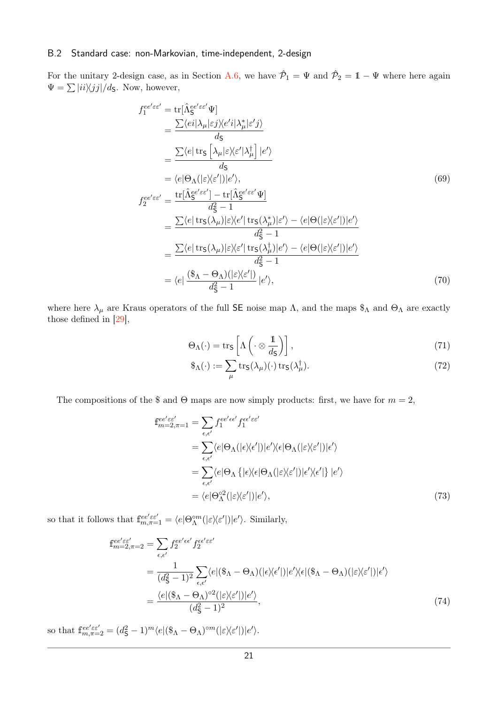#### <span id="page-20-0"></span>B.2 Standard case: non-Markovian, time-independent, 2-design

For the unitary 2-design case, as in Section [A.6,](#page-18-0) we have  $\hat{\mathcal{P}}_1 = \Psi$  and  $\hat{\mathcal{P}}_2 = 1 - \Psi$  where here again  $\Psi = \sum |i i \rangle \langle j j | / d_{\mathsf{S}}$ . Now, however,

$$
f_1^{ee'\varepsilon\varepsilon'} = \text{tr}[\hat{\Lambda}_{\mathcal{S}}^{ee'\varepsilon\varepsilon'}\Psi]
$$
  
\n
$$
= \frac{\sum \langle ei|\lambda_{\mu}|\varepsilon j\rangle\langle e'i|\lambda_{\mu}^*|\varepsilon' j\rangle}{d_{\mathcal{S}}}
$$
  
\n
$$
= \frac{\sum \langle e|\text{ tr}_{\mathcal{S}}\left[\lambda_{\mu}|\varepsilon\rangle\langle \varepsilon'|\lambda_{\mu}^{\dagger}\right] |e'\rangle}{d_{\mathcal{S}}}
$$
  
\n
$$
= \langle e|\Theta_{\Lambda}(|\varepsilon\rangle\langle \varepsilon'|)|e'\rangle,
$$
  
\n
$$
f_2^{ee'\varepsilon\varepsilon'} = \frac{\text{tr}[\hat{\Lambda}_{\mathcal{S}}^{ee'\varepsilon\varepsilon'}]-\text{tr}[\hat{\Lambda}_{\mathcal{S}}^{ee'\varepsilon\varepsilon'}\Psi]}{d_{\mathcal{S}}^2-1}
$$
  
\n
$$
= \frac{\sum \langle e|\text{ tr}_{\mathcal{S}}(\lambda_{\mu})|\varepsilon\rangle\langle e'|\text{ tr}_{\mathcal{S}}(\lambda_{\mu}^*)|\varepsilon'\rangle - \langle e|\Theta(|\varepsilon\rangle\langle e'|)|e'\rangle}{d_{\mathcal{S}}^2-1}
$$
  
\n
$$
= \frac{\sum \langle e|\text{ tr}_{\mathcal{S}}(\lambda_{\mu})|\varepsilon\rangle\langle e'|\text{ tr}_{\mathcal{S}}(\lambda_{\mu}^{\dagger})|e'\rangle - \langle e|\Theta(|\varepsilon\rangle\langle e'|)|e'\rangle}{d_{\mathcal{S}}^2-1}
$$
  
\n
$$
= \langle e|\frac{(\$\mathbf{A}-\Theta_{\Lambda})(|\varepsilon\rangle\langle e'|)}{d_{\mathcal{S}}^2-1}|e'\rangle,
$$
\n(70)

where here  $\lambda_\mu$  are Kraus operators of the full SE noise map  $\Lambda$ , and the maps  $\hat{\mathcal{S}}_\Lambda$  and  $\Theta_\Lambda$  are exactly those defined in [\[29\]](#page-13-3),

$$
\Theta_{\Lambda}(\cdot) = \text{tr}_{\mathsf{S}}\left[\Lambda\left(\cdot \otimes \frac{1}{d_{\mathsf{S}}}\right)\right],\tag{71}
$$

$$
\mathcal{F}_{\Lambda}(\cdot) := \sum_{\mu} \text{tr}_{\mathsf{S}}(\lambda_{\mu})(\cdot) \text{tr}_{\mathsf{S}}(\lambda_{\mu}^{\dagger}). \tag{72}
$$

The compositions of the \$ and  $\Theta$  maps are now simply products: first, we have for  $m = 2$ ,

$$
\begin{split} \mathbf{f}_{m=2,\pi=1}^{ee'\varepsilon\varepsilon'} &= \sum_{\epsilon,\epsilon'} f_1^{ee'\epsilon\epsilon'} f_1^{\epsilon\epsilon'\varepsilon\varepsilon'} \\ &= \sum_{\epsilon,\epsilon'} \langle e|\Theta_\Lambda(|\epsilon\rangle\langle\epsilon'|)|e'\rangle\langle\epsilon|\Theta_\Lambda(|\varepsilon\rangle\langle\epsilon'|)|\epsilon'\rangle \\ &= \sum_{\epsilon,\epsilon'} \langle e|\Theta_\Lambda\left\{|\epsilon\rangle\langle\epsilon|\Theta_\Lambda(|\varepsilon\rangle\langle\epsilon'|)|\epsilon'\rangle\langle\epsilon'|\right\}|e'\rangle \\ &= \langle e|\Theta_\Lambda^{o2}(|\varepsilon\rangle\langle\epsilon'|)|e'\rangle, \end{split} \tag{73}
$$

so that it follows that  $f_{m,\pi=1}^{ee'\varepsilon\varepsilon'} = \langle e|\Theta_{\Lambda}^{\circ m}(|\varepsilon\rangle\langle \varepsilon'|)|e'\rangle$ . Similarly,

$$
\begin{split} \mathbf{f}_{m=2,\pi=2}^{ee'\varepsilon\varepsilon'} &= \sum_{\epsilon,\epsilon'} f_2^{ee'\epsilon\varepsilon'} f_2^{\epsilon\varepsilon'\varepsilon\varepsilon'} \\ &= \frac{1}{(d_\mathsf{S}^2-1)^2} \sum_{\epsilon,\epsilon'} \langle e|(\mathbb{S}_\Lambda - \Theta_\Lambda)(|\epsilon \rangle \langle \epsilon'|)|e'\rangle \langle \epsilon|(\mathbb{S}_\Lambda - \Theta_\Lambda)(|\varepsilon \rangle \langle \epsilon'|)|\epsilon'\rangle \\ &= \frac{\langle e|(\mathbb{S}_\Lambda - \Theta_\Lambda)^{\circ 2}(|\varepsilon \rangle \langle \epsilon'|)|e'\rangle}{(d_\mathsf{S}^2-1)^2}, \end{split} \tag{74}
$$

so that  $\mathbb{f}_{m,\pi=2}^{ee'\varepsilon\varepsilon'} = (d_{\mathsf{S}}^2 - 1)^m \langle e | (\mathbb{S}_{\Lambda} - \Theta_{\Lambda})^{\circ m} (|\varepsilon \rangle \langle \varepsilon' |) | e' \rangle$ .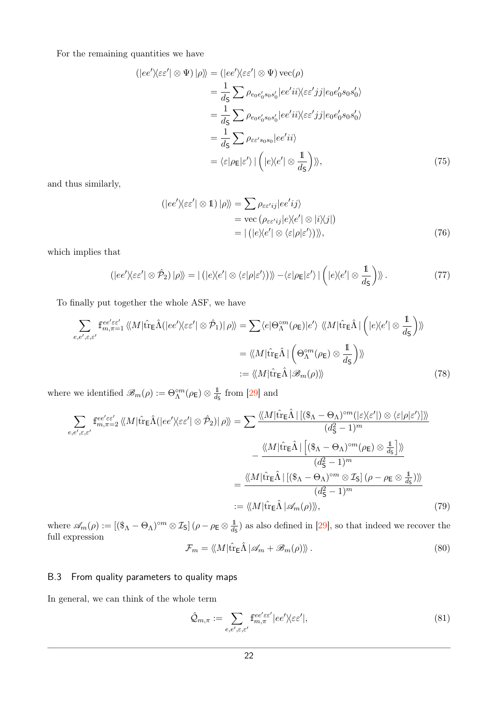For the remaining quantities we have

$$
\langle |ee'\rangle\langle \varepsilon \varepsilon' | \otimes \Psi) | \rho \rangle \rangle = \langle |ee'\rangle\langle \varepsilon \varepsilon' | \otimes \Psi) \operatorname{vec}(\rho) \n= \frac{1}{d_{\mathsf{S}}} \sum \rho_{e_0 e'_0 s_0 s'_0} |ee'ii\rangle\langle \varepsilon \varepsilon' jj | e_0 e'_0 s_0 s'_0 \rangle \n= \frac{1}{d_{\mathsf{S}}} \sum \rho_{e_0 e'_0 s_0 s'_0} |ee'ii\rangle\langle \varepsilon \varepsilon' jj | e_0 e'_0 s_0 s'_0 \rangle \n= \frac{1}{d_{\mathsf{S}}} \sum \rho_{\varepsilon \varepsilon' s_0 s_0} |ee'ii\rangle \n= \langle \varepsilon | \rho_{\mathsf{E}} | \varepsilon' \rangle | (|e \rangle\langle e' | \otimes \frac{1}{d_{\mathsf{S}}} ) \rangle \rangle, \tag{75}
$$

and thus similarly,

$$
\langle |ee'\rangle\langle \varepsilon \varepsilon' | \otimes 1 \rangle |\rho\rangle\rangle = \sum \rho_{\varepsilon \varepsilon' ij} |e e' ij\rangle
$$
  
= vec  $(\rho_{\varepsilon \varepsilon' ij} |e\rangle\langle e' | \otimes |i\rangle\langle j|)$   
=  $| (|e\rangle\langle e' | \otimes \langle \varepsilon | \rho | \varepsilon' \rangle) \rangle\rangle,$  (76)

which implies that

$$
(|ee'\rangle\langle \varepsilon \varepsilon' | \otimes \hat{\mathcal{P}}_2) | \rho \rangle\!\rangle = | (|e\rangle\langle e' | \otimes \langle \varepsilon | \rho | \varepsilon' \rangle) \rangle\!\rangle - \langle \varepsilon | \rho_E | \varepsilon' \rangle | (|e\rangle\langle e' | \otimes \frac{1}{d_{\mathsf{S}}}) \rangle\!\rangle. \tag{77}
$$

To finally put together the whole ASF, we have

$$
\sum_{e,e',\varepsilon,\varepsilon'} f_{m,\pi=1}^{ee'\varepsilon\varepsilon'} \langle M|\hat{\text{tr}}_{\mathsf{E}}\hat{\Lambda}(|ee'\rangle\langle \varepsilon\varepsilon'|\otimes\hat{\mathcal{P}}_1)|\,\rho\rangle\!\rangle = \sum \langle e|\Theta_{\Lambda}^{\circ m}(\rho_{\mathsf{E}})|e'\rangle \langle M|\hat{\text{tr}}_{\mathsf{E}}\hat{\Lambda}|\left(|e\rangle\langle e'|\otimes\frac{1}{d_{\mathsf{S}}}\right)\rangle\!\rangle
$$

$$
= \langle\!\langle M|\hat{\text{tr}}_{\mathsf{E}}\hat{\Lambda}|\left(\Theta_{\Lambda}^{\circ m}(\rho_{\mathsf{E}})\otimes\frac{1}{d_{\mathsf{S}}}\right)\rangle\!\rangle
$$

$$
:= \langle\!\langle M|\hat{\text{tr}}_{\mathsf{E}}\hat{\Lambda}|\mathscr{B}_{m}(\rho)\rangle\rangle \tag{78}
$$

where we identified  $\mathscr{B}_m(\rho) := \Theta_{\Lambda}^{\circ m}(\rho_{\mathsf{E}}) \otimes \frac{1}{d_S}$  $\frac{1}{d_{\mathsf{S}}}$  from [\[29\]](#page-13-3) and

$$
\sum_{e,e',\varepsilon,\varepsilon'}\mathbf{f}_{m,\pi=2}^{ee'\varepsilon\varepsilon'}\langle\!\langle M|\hat{\mathrm{tr}}_{\mathsf{E}}\hat{\Lambda}(|ee'\rangle\!\langle\varepsilon\varepsilon'|\otimes\hat{\mathcal{P}}_2)|\rho\rangle\!\rangle = \sum_{e',\varepsilon,\varepsilon'}\frac{\langle\!\langle M|\hat{\mathrm{tr}}_{\mathsf{E}}\hat{\Lambda}|[(\mathbb{S}_{\Lambda}-\Theta_{\Lambda})^{\circ m}(|\varepsilon\rangle\langle\varepsilon'|)\otimes\langle\varepsilon|\rho|\varepsilon'\rangle]\rangle\!\rangle}{(d_{\mathsf{S}}^2-1)^m} - \frac{\langle\!\langle M|\hat{\mathrm{tr}}_{\mathsf{E}}\hat{\Lambda}|[(\mathbb{S}_{\Lambda}-\Theta_{\Lambda})^{\circ m}(\rho_{\mathsf{E}})\otimes\frac{\mathbb{I}}{d_{\mathsf{S}}}]|\rangle\!\rangle}{(d_{\mathsf{S}}^2-1)^m}
$$
  

$$
= \frac{\langle\!\langle M|\hat{\mathrm{tr}}_{\mathsf{E}}\hat{\Lambda}|[(\mathbb{S}_{\Lambda}-\Theta_{\Lambda})^{\circ m}\otimes\mathcal{I}_{\mathsf{S}}](\rho-\rho_{\mathsf{E}}\otimes\frac{\mathbb{I}}{d_{\mathsf{S}}})|\rangle\!\rangle}{(d_{\mathsf{S}}^2-1)^m}
$$
  

$$
:= \langle\!\langle M|\hat{\mathrm{tr}}_{\mathsf{E}}\hat{\Lambda}|\mathscr{A}_m(\rho)\rangle\!\rangle, \tag{79}
$$

where  $\mathscr{A}_m(\rho) := [(\$_{\Lambda} - \Theta_{\Lambda})^{\circ m} \otimes \mathcal{I}_\mathsf{S}] (\rho - \rho_\mathsf{E} \otimes \frac{1}{d\sigma})$  $\frac{1}{d_{\mathsf{S}}}\right)$  as also defined in [\[29\]](#page-13-3), so that indeed we recover the full expression

$$
\mathcal{F}_m = \langle \langle M | \hat{\text{tr}}_{\text{E}} \hat{\Lambda} | \mathcal{A}_m + \mathcal{B}_m(\rho) \rangle \rangle. \tag{80}
$$

### B.3 From quality parameters to quality maps

In general, we can think of the whole term

$$
\hat{\mathcal{Q}}_{m,\pi} := \sum_{e,e',\varepsilon,\varepsilon'} f_{m,\pi}^{ee'\varepsilon'} |ee'\rangle\langle\varepsilon\varepsilon'|,\tag{81}
$$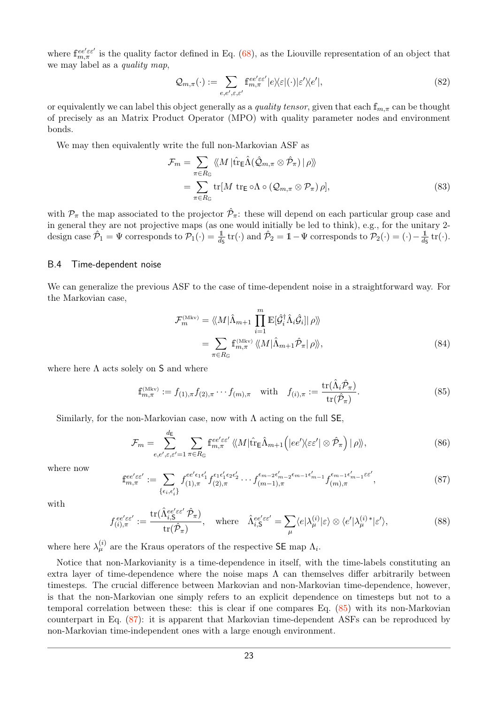where  $f_{m,\pi}^{ee' \varepsilon e'}$  is the quality factor defined in Eq. [\(68\)](#page-19-3), as the Liouville representation of an object that we may label as a *quality map*,

$$
\mathcal{Q}_{m,\pi}(\cdot) := \sum_{e,e',\varepsilon,\varepsilon'} \mathbf{f}_{m,\pi}^{ee'\varepsilon\varepsilon'} |e\rangle\langle\varepsilon|(\cdot)|\varepsilon'\rangle\langle e'|,\tag{82}
$$

or equivalently we can label this object generally as a quality tensor, given that each f*m,π* can be thought of precisely as an Matrix Product Operator (MPO) with quality parameter nodes and environment bonds.

We may then equivalently write the full non-Markovian ASF as

<span id="page-22-3"></span>
$$
\mathcal{F}_m = \sum_{\pi \in R_{\mathbb{G}}} \langle \langle M | \hat{\text{tr}}_{\mathsf{E}} \hat{\Lambda} (\hat{\mathcal{Q}}_{m,\pi} \otimes \hat{\mathcal{P}}_{\pi}) | \rho \rangle \rangle
$$
  
= 
$$
\sum_{\pi \in R_{\mathbb{G}}} \text{tr}[M \text{ tr}_{\mathsf{E}} \circ \Lambda \circ (\mathcal{Q}_{m,\pi} \otimes \mathcal{P}_{\pi}) \rho],
$$
 (83)

with  $\mathcal{P}_{\pi}$  the map associated to the projector  $\hat{\mathcal{P}}_{\pi}$ : these will depend on each particular group case and in general they are not projective maps (as one would initially be led to think), e.g., for the unitary 2 design case  $\hat{\mathcal{P}}_1 = \Psi$  corresponds to  $\mathcal{P}_1(\cdot) = \frac{1}{d_5}$  tr(·) and  $\hat{\mathcal{P}}_2 = 1 - \Psi$  corresponds to  $\mathcal{P}_2(\cdot) = (\cdot) - \frac{1}{d_5}$  $\frac{1}{d\varsigma}$  tr( $\cdot$ ).

#### <span id="page-22-2"></span>B.4 Time-dependent noise

We can generalize the previous ASF to the case of time-dependent noise in a straightforward way. For the Markovian case,

$$
\mathcal{F}_{m}^{(\text{Mkv})} = \langle\!\langle M | \hat{\Lambda}_{m+1} \prod_{i=1}^{m} \mathbb{E}[\hat{\mathcal{G}}_{i}^{\dagger} \hat{\Lambda}_{i} \hat{\mathcal{G}}_{i} | \rho \rangle\!\rangle
$$
  
= 
$$
\sum_{\pi \in R_{\mathbb{G}}} \mathbb{f}_{m,\pi}^{(\text{Mkv})} \langle\!\langle M | \hat{\Lambda}_{m+1} \hat{\mathcal{P}}_{\pi} | \rho \rangle\!\rangle,
$$
 (84)

where here  $\Lambda$  acts solely on S and where

<span id="page-22-0"></span>
$$
\mathbf{f}_{m,\pi}^{(\text{Mkv})} := f_{(1),\pi} f_{(2),\pi} \cdots f_{(m),\pi} \quad \text{with} \quad f_{(i),\pi} := \frac{\text{tr}(\hat{\Lambda}_i \hat{\mathcal{P}}_{\pi})}{\text{tr}(\hat{\mathcal{P}}_{\pi})}.
$$
\n(85)

Similarly, for the non-Markovian case, now with  $\Lambda$  acting on the full SE,

$$
\mathcal{F}_m = \sum_{e,e',\varepsilon,\varepsilon'=1}^{d_{\mathsf{E}}} \sum_{\pi \in R_{\mathbb{G}}} f_{m,\pi}^{ee'\varepsilon\varepsilon'} \langle\langle M | \hat{\text{tr}}_{\mathsf{E}} \hat{\Lambda}_{m+1} \left( |ee' \rangle\langle \varepsilon \varepsilon' | \otimes \hat{\mathcal{P}}_{\pi} \right) | \rho \rangle\rangle, \tag{86}
$$

where now

<span id="page-22-1"></span>
$$
\mathbf{f}_{m,\pi}^{ee'\varepsilon\varepsilon'} := \sum_{\{\epsilon_i,\epsilon'_i\}} f_{(1),\pi}^{ee'\epsilon_1\epsilon'_1} f_{(2),\pi}^{\epsilon_1\epsilon'_1\epsilon_2\epsilon'_2} \cdots f_{(m-1),\pi}^{\epsilon_{m-2}\epsilon'_{m-1}\epsilon'_{m-1}} f_{(m),\pi}^{\epsilon_{m-1}\epsilon'_{m-1}\varepsilon\epsilon'},\tag{87}
$$

with

$$
f_{(i),\pi}^{ee'\varepsilon\varepsilon'} := \frac{\text{tr}(\hat{\Lambda}_{i,\mathsf{S}}^{ee'\varepsilon\varepsilon'}\hat{\mathcal{P}}_{\pi})}{\text{tr}(\hat{\mathcal{P}}_{\pi})}, \quad \text{where} \quad \hat{\Lambda}_{i,\mathsf{S}}^{ee'\varepsilon\varepsilon'} = \sum_{\mu} \langle e|\lambda_{\mu}^{(i)}|\varepsilon\rangle \otimes \langle e'|\lambda_{\mu}^{(i)*}|\varepsilon'\rangle,\tag{88}
$$

where here  $\lambda_{\mu}^{(i)}$  are the Kraus operators of the respective SE map  $\Lambda_i$ .

Notice that non-Markovianity is a time-dependence in itself, with the time-labels constituting an extra layer of time-dependence where the noise maps  $\Lambda$  can themselves differ arbitrarily between timesteps. The crucial difference between Markovian and non-Markovian time-dependence, however, is that the non-Markovian one simply refers to an explicit dependence on timesteps but not to a temporal correlation between these: this is clear if one compares Eq. [\(85\)](#page-22-0) with its non-Markovian counterpart in Eq. [\(87\)](#page-22-1): it is apparent that Markovian time-dependent ASFs can be reproduced by non-Markovian time-independent ones with a large enough environment.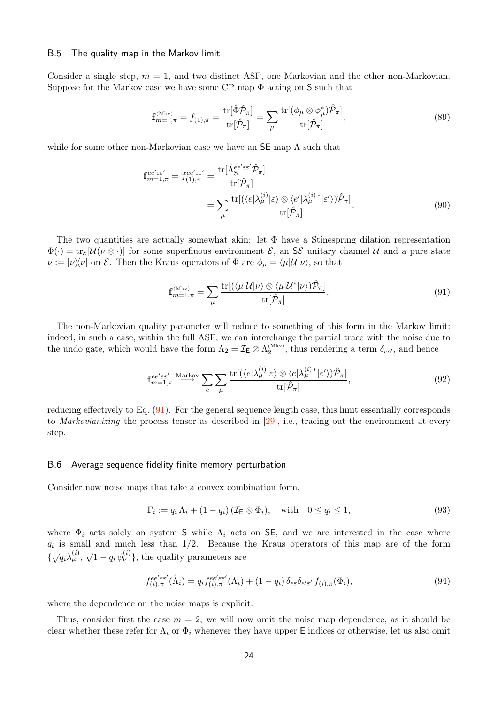#### B.5 The quality map in the Markov limit

Consider a single step,  $m = 1$ , and two distinct ASF, one Markovian and the other non-Markovian. Suppose for the Markov case we have some CP map  $\Phi$  acting on S such that

$$
\mathbf{f}_{m=1,\pi}^{(\text{Mkv})} = f_{(1),\pi} = \frac{\text{tr}[\hat{\Phi}\hat{\mathcal{P}}_{\pi}]}{\text{tr}[\hat{\mathcal{P}}_{\pi}]} = \sum_{\mu} \frac{\text{tr}[(\phi_{\mu} \otimes \phi_{\mu}^{*})\hat{\mathcal{P}}_{\pi}]}{\text{tr}[\hat{\mathcal{P}}_{\pi}]},\tag{89}
$$

while for some other non-Markovian case we have an  $SE$  map  $\Lambda$  such that

$$
\mathbf{f}_{m=1,\pi}^{ee'\varepsilon\varepsilon'} = f_{(1),\pi}^{ee'\varepsilon\varepsilon'} = \frac{\text{tr}[\hat{\Lambda}_{\mathsf{S}}^{ee'\varepsilon\varepsilon'}\hat{\mathcal{P}}_{\pi}]}{\text{tr}[\hat{\mathcal{P}}_{\pi}]} \n= \sum_{\mu} \frac{\text{tr}[(\langle e|\lambda_{\mu}^{(i)}|\varepsilon\rangle \otimes \langle e'|\lambda_{\mu}^{(i)*}|\varepsilon'\rangle)\hat{\mathcal{P}}_{\pi}]}{\text{tr}[\hat{\mathcal{P}}_{\pi}]}.
$$
\n(90)

The two quantities are actually somewhat akin: let  $\Phi$  have a Stinespring dilation representation  $\Phi(\cdot) = \text{tr}_{\mathcal{E}}[\mathcal{U}(\nu \otimes \cdot)]$  for some superfluous environment  $\mathcal{E}$ , an  $\mathcal{S}\mathcal{E}$  unitary channel  $\mathcal{U}$  and a pure state  $\nu := |\nu\rangle\langle \nu|$  on  $\mathcal{E}$ . Then the Kraus operators of  $\Phi$  are  $\phi_{\mu} = \langle \mu | \mathcal{U} | \nu \rangle$ , so that

<span id="page-23-1"></span>
$$
\mathbf{f}_{m=1,\pi}^{(\text{Mkv})} = \sum_{\mu} \frac{\text{tr}[(\langle \mu | \mathcal{U} | \nu \rangle \otimes \langle \mu | \mathcal{U}^* | \nu \rangle) \hat{\mathcal{P}}_{\pi}]}{\text{tr}[\hat{\mathcal{P}}_{\pi}]}.
$$
\n(91)

The non-Markovian quality parameter will reduce to something of this form in the Markov limit: indeed, in such a case, within the full ASF, we can interchange the partial trace with the noise due to the undo gate, which would have the form  $\Lambda_2 = \mathcal{I}_E \otimes \Lambda_2^{(\text{Mkv})}$ , thus rendering a term  $\delta_{ee'}$ , and hence

$$
\mathbb{f}_{m=1,\pi}^{ee'\varepsilon\varepsilon'} \xrightarrow{\text{Markov}} \sum_{e} \sum_{\mu} \frac{\text{tr}[(\langle e | \lambda_{\mu}^{(i)} | \varepsilon \rangle \otimes \langle e | \lambda_{\mu}^{(i) \,*} | \varepsilon' \rangle) \hat{\mathcal{P}}_{\pi}]}{\text{tr}[\hat{\mathcal{P}}_{\pi}]},\tag{92}
$$

reducing effectively to Eq. [\(91\)](#page-23-1). For the general sequence length case, this limit essentially corresponds to Markovianizing the process tensor as described in [\[29\]](#page-13-3), i.e., tracing out the environment at every step.

#### <span id="page-23-0"></span>B.6 Average sequence fidelity finite memory perturbation

Consider now noise maps that take a convex combination form,

$$
\Gamma_i := q_i \Lambda_i + (1 - q_i) (\mathcal{I}_E \otimes \Phi_i), \quad \text{with} \quad 0 \le q_i \le 1,
$$
\n(93)

where  $\Phi_i$  acts solely on system S while  $\Lambda_i$  acts on SE, and we are interested in the case where *qi* is small and much less than 1*/*2. Because the Kraus operators of this map are of the form  $\{\sqrt{q_i}\lambda^{(i)}_\mu,$  $\sqrt{1-q_i} \phi_{\nu}^{(i)}$ , the quality parameters are

$$
f_{(i),\pi}^{ee'\varepsilon\varepsilon'}(\hat{\Lambda}_i) = q_i f_{(i),\pi}^{ee'\varepsilon\varepsilon'}(\Lambda_i) + (1 - q_i) \,\delta_{e\varepsilon} \delta_{e'\varepsilon'} f_{(i),\pi}(\Phi_i),\tag{94}
$$

where the dependence on the noise maps is explicit.

Thus, consider first the case  $m = 2$ ; we will now omit the noise map dependence, as it should be clear whether these refer for  $\Lambda_i$  or  $\Phi_i$  whenever they have upper E indices or otherwise, let us also omit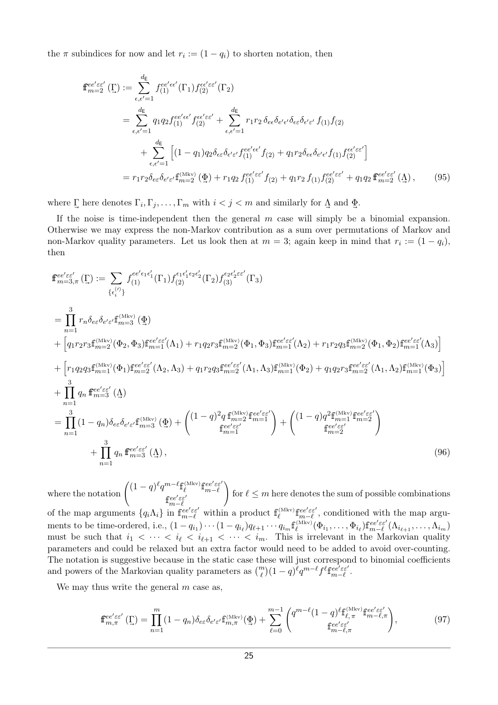the  $\pi$  subindices for now and let  $r_i := (1 - q_i)$  to shorten notation, then

$$
\mathbf{f}_{m=2}^{ee'\varepsilon\varepsilon'}(\Gamma) := \sum_{\epsilon,\epsilon'=1}^{d_{\mathsf{E}}} f_{(1)}^{ee'\epsilon\epsilon'}(\Gamma_{1}) f_{(2)}^{\epsilon\epsilon'\varepsilon\varepsilon'}(\Gamma_{2})
$$
\n
$$
= \sum_{\epsilon,\epsilon'=1}^{d_{\mathsf{E}}} q_{1} q_{2} f_{(1)}^{ee'\epsilon\varepsilon'} f_{(2)}^{\epsilon\varepsilon'\varepsilon\varepsilon'} + \sum_{\epsilon,\epsilon'=1}^{d_{\mathsf{E}}} r_{1} r_{2} \delta_{e\epsilon} \delta_{e'\epsilon'} \delta_{\epsilon\varepsilon} \delta_{e'\epsilon'} f_{(1)} f_{(2)}
$$
\n
$$
+ \sum_{\epsilon,\epsilon'=1}^{d_{\mathsf{E}}} \left[ (1-q_{1}) q_{2} \delta_{\epsilon\varepsilon} \delta_{\epsilon'\varepsilon'} f_{(1)}^{ee'\epsilon\varepsilon'} f_{(2)} + q_{1} r_{2} \delta_{e\epsilon} \delta_{e'\epsilon'} f_{(1)} f_{(2)}^{\epsilon\varepsilon'\varepsilon\varepsilon'} \right]
$$
\n
$$
= r_{1} r_{2} \delta_{e\varepsilon} \delta_{e'\varepsilon'} \mathbf{f}_{m=2}^{(\text{Mkv})}(\Phi) + r_{1} q_{2} f_{(1)}^{ee'\varepsilon\varepsilon'} f_{(2)} + q_{1} r_{2} f_{(1)} f_{(2)}^{ee'\epsilon\varepsilon'} + q_{1} q_{2} \mathbf{f}_{m=2}^{ee'\epsilon\varepsilon'}(\Delta), \qquad (95)
$$

where  $\Gamma$  here denotes  $\Gamma_i, \Gamma_j, \ldots, \Gamma_m$  with  $i < j < m$  and similarly for  $\Lambda$ Λ and *~* Φ.

If the noise is time-independent then the general *m* case will simply be a binomial expansion. Otherwise we may express the non-Markov contribution as a sum over permutations of Markov and non-Markov quality parameters. Let us look then at  $m = 3$ ; again keep in mind that  $r_i := (1 - q_i)$ , then

$$
\begin{split}\n\mathbf{f}_{m=3,\pi}^{ee'ee'}(\Gamma) &:= \sum_{\{\epsilon_i^{(\prime)}\}} f_{(1)}^{ee'\epsilon_1\epsilon_1'}(\Gamma_1) f_{(2)}^{\epsilon_1\epsilon_1'\epsilon_2\epsilon_2'}(\Gamma_2) f_{(3)}^{\epsilon_2\epsilon_2'\epsilon_2'}(\Gamma_3) \\
&= \prod_{n=1}^3 r_n \delta_{ee} \delta_{e'e'} \mathbf{f}_{m=3}^{\text{(Mkv)}}(\Phi) \\
&+ \left[ q_1 r_2 r_3 \mathbf{f}_{m=2}^{\text{(Mkv)}}(\Phi_2, \Phi_3) \mathbf{f}_{m=1}^{ee'\epsilon_2'}(\Lambda_1) + r_1 q_2 r_3 \mathbf{f}_{m=2}^{\text{(Mkv)}}(\Phi_1, \Phi_3) \mathbf{f}_{m=1}^{ee'\epsilon_2'}(\Lambda_2) + r_1 r_2 q_3 \mathbf{f}_{m=2}^{\text{(Mkv)}}(\Phi_1, \Phi_2) \mathbf{f}_{m=1}^{ee'\epsilon_2'}(\Lambda_3) \right] \\
&+ \left[ r_1 q_2 q_3 \mathbf{f}_{m=1}^{\text{(Mkv)}}(\Phi_1) \mathbf{f}_{m=2}^{ee'\epsilon_2'}(\Lambda_2, \Lambda_3) + q_1 r_2 q_3 \mathbf{f}_{m=2}^{ee'\epsilon_2'}(\Lambda_1, \Lambda_3) \mathbf{f}_{m=1}^{\text{(Mkv)}}(\Phi_2) + q_1 q_2 r_3 \mathbf{f}_{m=2}^{ee'\epsilon_2'}(\Lambda_1, \Lambda_2) \mathbf{f}_{m=1}^{\text{(Mkv)}}(\Phi_3) \right] \\
&+ \prod_{n=1}^3 q_n \mathbf{f}_{m=3}^{ee'\epsilon_2'}(\Delta) \\
&= \prod_{n=1}^3 (1 - q_n) \delta_{ee} \delta_{e'\epsilon'} \mathbf{f}_{m=3}^{\text{(Mkv)}}(\Phi) + \begin{pmatrix} (1 - q)^2 q \mathbf{f}_{m=2}^{\text{(Mkv)}} \mathbf{f}_{me}^{ee'\epsilon_2'} \\ \mathbf{f}_{me=1}^{ee'\epsilon_2'} \end{pmatrix} + \begin{pmatrix} (1 - q) q^2 \mathbf{f}_{m=1}^{\text{(Mkv)}} \mathbf{f}_{me=2}^{ee'\epsilon_2'} \\ \mathbf{f}_{me=1}^{\text{(Mkv)}} \end
$$

where the notation  $\int (1-q)^{\ell} q^{m-\ell} \mathbf{f}_{\ell}^{(\text{Mkv})} \mathbf{f}_{m-\ell}^{ee'\varepsilon\epsilon'}$  $f_{m-\ell}^{ee'\varepsilon\varepsilon'}$  $\setminus$ for  $\ell \leq m$  here denotes the sum of possible combinations of the map arguments  $\{q_i \Lambda_i\}$  in  $\mathbf{f}_{m-\ell}^{ee'\varepsilon \varepsilon'}$  within a product  $\mathbf{f}_{\ell}^{(\text{Mkv})} \mathbf{f}_{m-\ell}^{ee'\varepsilon \varepsilon'}$ , conditioned with the map arguments to be time-ordered, i.e.,  $(1-q_{i_1})\cdots(1-q_{i_\ell})q_{\ell+1}\cdots q_{i_m} \mathbf{f}_{\ell}^{(\text{Mkv})}(\Phi_{i_1},\ldots,\Phi_{i_\ell})\mathbf{f}_{m-\ell}^{ee'\varepsilon\varepsilon'}(\Lambda_{i_{\ell+1}},\ldots,\Lambda_{i_m})$ must be such that  $i_1 < \cdots < i_\ell < i_{\ell+1} < \cdots < i_m$ . This is irrelevant in the Markovian quality parameters and could be relaxed but an extra factor would need to be added to avoid over-counting. The notation is suggestive because in the static case these will just correspond to binomial coefficients and powers of the Markovian quality parameters as  $\binom{m}{\ell} (1 - q)^{\ell} q^{m-\ell} f^{\ell} \mathbf{f}_{m-\ell}^{\epsilon e^{\ell} \epsilon e^{\ell}}$ .

We may thus write the general *m* case as,

$$
\mathbf{f}_{m,\pi}^{ee'\varepsilon\varepsilon'}\left(\underline{\Gamma}\right) = \prod_{n=1}^{m} (1 - q_n) \delta_{e\varepsilon} \delta_{e'\varepsilon'} \mathbf{f}_{m,\pi}^{(\text{Mkv})}\left(\underline{\Phi}\right) + \sum_{\ell=0}^{m-1} \begin{pmatrix} q^{m-\ell} (1 - q)^\ell \mathbf{f}_{\ell,\pi}^{(\text{Mkv})} \mathbf{f}_{m-\ell,\pi}^{ee'\varepsilon\varepsilon'}\\ \mathbf{f}_{m-\ell,\pi}^{ee'\varepsilon\varepsilon'} \end{pmatrix},\tag{97}
$$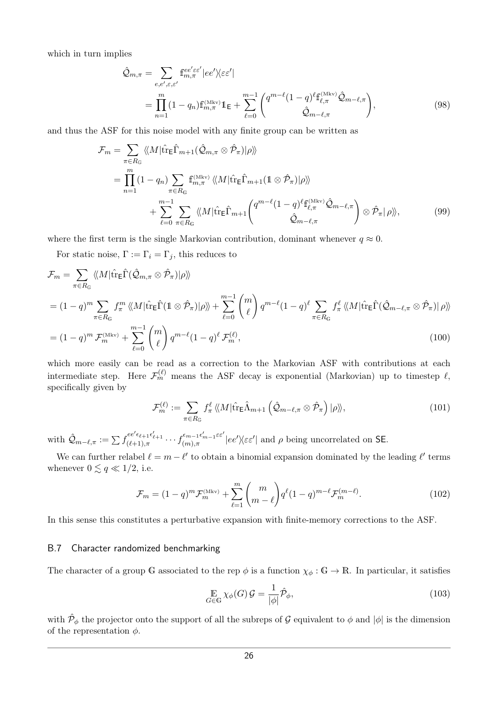which in turn implies

$$
\hat{\mathcal{Q}}_{m,\pi} = \sum_{e,e',\varepsilon,\varepsilon'} \mathbf{f}_{m,\pi}^{ee'\varepsilon\varepsilon'} |ee'\rangle\langle\varepsilon\varepsilon'|
$$
\n
$$
= \prod_{n=1}^{m} (1 - q_n) \mathbf{f}_{m,\pi}^{(\text{Mkv})} \mathbf{1}_{\mathsf{E}} + \sum_{\ell=0}^{m-1} \binom{q^{m-\ell}(1-q)^{\ell} \mathbf{f}_{\ell,\pi}^{(\text{Mkv})} \hat{\mathcal{Q}}_{m-\ell,\pi}}{\hat{\mathcal{Q}}_{m-\ell,\pi}},
$$
\n(98)

and thus the ASF for this noise model with any finite group can be written as

$$
\mathcal{F}_{m} = \sum_{\pi \in R_{\mathbb{G}}} \langle\!\langle M | \hat{\text{tr}}_{\mathsf{E}} \hat{\Gamma}_{m+1} (\hat{\mathcal{Q}}_{m,\pi} \otimes \hat{\mathcal{P}}_{\pi}) | \rho \rangle\!\rangle
$$
\n
$$
= \prod_{n=1}^{m} (1 - q_{n}) \sum_{\pi \in R_{\mathbb{G}}} \text{f}_{m,\pi}^{(\text{Mkv})} \langle\!\langle M | \hat{\text{tr}}_{\mathsf{E}} \hat{\Gamma}_{m+1} (\mathbb{1} \otimes \hat{\mathcal{P}}_{\pi}) | \rho \rangle\!\rangle
$$
\n
$$
+ \sum_{\ell=0}^{m-1} \sum_{\pi \in R_{\mathbb{G}}} \langle\!\langle M | \hat{\text{tr}}_{\mathsf{E}} \hat{\Gamma}_{m+1} \langle \frac{q^{m-\ell} (1-q)^{\ell} \text{f}_{\ell,\pi}^{(\text{Mkv})} \hat{\mathcal{Q}}_{m-\ell,\pi} - \text{f}_{\pi} \rangle \rangle \rangle \langle \hat{\mathcal{P}}_{\pi} | \rho \rangle\rangle, \tag{99}
$$

where the first term is the single Markovian contribution, dominant whenever  $q \approx 0$ .

For static noise,  $\Gamma := \Gamma_i = \Gamma_j$ , this reduces to

$$
\mathcal{F}_{m} = \sum_{\pi \in R_{\mathbb{G}}} \langle\!\langle M | \hat{\text{tr}} \hat{\text{E}} \hat{\Gamma} (\hat{\mathcal{Q}}_{m,\pi} \otimes \hat{\mathcal{P}}_{\pi}) | \rho \rangle\rangle
$$
\n
$$
= (1 - q)^{m} \sum_{\pi \in R_{\mathbb{G}}} f_{\pi}^{m} \langle\!\langle M | \hat{\text{tr}} \hat{\text{E}} \hat{\Gamma} (1 \otimes \hat{\mathcal{P}}_{\pi}) | \rho \rangle\rangle + \sum_{\ell=0}^{m-1} {m \choose \ell} q^{m-\ell} (1 - q)^{\ell} \sum_{\pi \in R_{\mathbb{G}}} f_{\pi}^{\ell} \langle\!\langle M | \hat{\text{tr}} \hat{\text{E}} \hat{\Gamma} (\hat{\mathcal{Q}}_{m-\ell,\pi} \otimes \hat{\mathcal{P}}_{\pi}) | \rho \rangle\rangle
$$
\n
$$
= (1 - q)^{m} \mathcal{F}_{m}^{(\text{Mkv})} + \sum_{\ell=0}^{m-1} {m \choose \ell} q^{m-\ell} (1 - q)^{\ell} \mathcal{F}_{m}^{(\ell)}, \qquad (100)
$$

which more easily can be read as a correction to the Markovian ASF with contributions at each intermediate step. Here  $\mathcal{F}_m^{(\ell)}$  means the ASF decay is exponential (Markovian) up to timestep  $\ell$ , specifically given by

$$
\mathcal{F}_m^{(\ell)} := \sum_{\pi \in R_{\mathbb{G}}} f_\pi^{\ell} \langle M | \hat{\text{tr}}_{\mathsf{E}} \hat{\Lambda}_{m+1} \left( \hat{\mathcal{Q}}_{m-\ell,\pi} \otimes \hat{\mathcal{P}}_{\pi} \right) | \rho \rangle \rangle, \tag{101}
$$

with  $\hat{\mathcal{Q}}_{m-\ell,\pi} := \sum f_{(\ell+1),\pi}^{ee'\epsilon_{\ell+1}\epsilon'_{\ell+1}} \cdots f_{(m),\pi}^{\epsilon_{m-1}\epsilon'_{m-1}\varepsilon_{\ell'}}$  $\int_{(m),\pi}^{\infty} e^{-(m-1)\epsilon} e^{-m} |\epsilon e'|\langle \epsilon \epsilon' |\rangle|$  and  $\rho$  being uncorrelated on SE.

We can further relabel  $\ell = m - \ell'$  to obtain a binomial expansion dominated by the leading  $\ell'$  terms whenever  $0 \lesssim q \ll 1/2$ , i.e.

$$
\mathcal{F}_m = (1 - q)^m \mathcal{F}_m^{(\text{Mkv})} + \sum_{\ell=1}^m \binom{m}{m-\ell} q^{\ell} (1 - q)^{m-\ell} \mathcal{F}_m^{(m-\ell)}.
$$
 (102)

In this sense this constitutes a perturbative expansion with finite-memory corrections to the ASF.

#### <span id="page-25-0"></span>B.7 Character randomized benchmarking

The character of a group G associated to the rep  $\phi$  is a function  $\chi_{\phi} : \mathbb{G} \to \mathbb{R}$ . In particular, it satisfies

$$
\mathop{\mathbb{E}}_{G \in \mathbb{G}} \chi_{\phi}(G) \mathcal{G} = \frac{1}{|\phi|} \hat{\mathcal{P}}_{\phi},\tag{103}
$$

with  $\hat{\mathcal{P}}_{\phi}$  the projector onto the support of all the subreps of  $\mathcal G$  equivalent to  $\phi$  and  $|\phi|$  is the dimension of the representation  $\phi$ .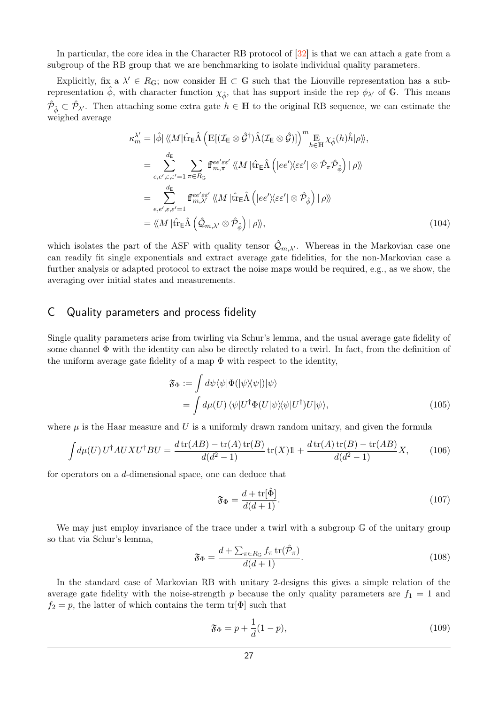In particular, the core idea in the Character RB protocol of [\[32\]](#page-13-6) is that we can attach a gate from a subgroup of the RB group that we are benchmarking to isolate individual quality parameters.

Explicitly, fix a  $\lambda' \in R_G$ ; now consider  $\mathbb{H} \subset \mathbb{G}$  such that the Liouville representation has a subrepresentation  $\phi$ , with character function  $\chi_{\hat{\phi}}$ , that has support inside the rep  $\phi_{\lambda'}$  of G. This means  $\hat{\mathcal{P}}_{\hat{\phi}} \subset \hat{\mathcal{P}}_{\lambda'}$ . Then attaching some extra gate  $h \in \mathbb{H}$  to the original RB sequence, we can estimate the weighed average

$$
\kappa_m^{\lambda'} = |\hat{\phi}| \langle M | \hat{\text{tr}}_{\text{E}} \hat{\Lambda} \left( \mathbb{E} [ (\mathcal{I}_{\text{E}} \otimes \hat{\mathcal{G}}^{\dagger}) \hat{\Lambda} (\mathcal{I}_{\text{E}} \otimes \hat{\mathcal{G}})] \right)^m \underset{h \in \mathbb{H}}{\mathbb{E}} \chi_{\hat{\phi}}(h) \hat{h} | \rho \rangle, \n= \sum_{e,e',\varepsilon,\varepsilon'=1}^{d_{\text{E}}} \sum_{\pi \in R_{\text{G}}} \mathbf{f}_{m,\pi}^{ee'\varepsilon\varepsilon'} \langle M | \hat{\text{tr}}_{\text{E}} \hat{\Lambda} \left( |ee' \rangle \langle \varepsilon \varepsilon' | \otimes \hat{\mathcal{P}}_{\pi} \hat{\mathcal{P}}_{\hat{\phi}} \right) | \rho \rangle \rangle \n= \sum_{e,e',\varepsilon,\varepsilon'=1}^{d_{\text{E}}} \mathbf{f}_{m,\lambda'}^{ee'\varepsilon\varepsilon'} \langle M | \hat{\text{tr}}_{\text{E}} \hat{\Lambda} \left( |ee' \rangle \langle \varepsilon \varepsilon' | \otimes \hat{\mathcal{P}}_{\hat{\phi}} \right) | \rho \rangle \rangle \n= \langle \langle M | \hat{\text{tr}}_{\text{E}} \hat{\Lambda} \left( \hat{\mathcal{Q}}_{m,\lambda'} \otimes \hat{\mathcal{P}}_{\hat{\phi}} \right) | \rho \rangle \rangle, \tag{104}
$$

which isolates the part of the ASF with quality tensor  $\hat{Q}_{m,\lambda'}$ . Whereas in the Markovian case one can readily fit single exponentials and extract average gate fidelities, for the non-Markovian case a further analysis or adapted protocol to extract the noise maps would be required, e.g., as we show, the averaging over initial states and measurements.

### <span id="page-26-0"></span>C Quality parameters and process fidelity

Single quality parameters arise from twirling via Schur's lemma, and the usual average gate fidelity of some channel  $\Phi$  with the identity can also be directly related to a twirl. In fact, from the definition of the uniform average gate fidelity of a map  $\Phi$  with respect to the identity,

$$
\mathfrak{F}_{\Phi} := \int d\psi \langle \psi | \Phi (|\psi \rangle \langle \psi |) | \psi \rangle \n= \int d\mu(U) \langle \psi | U^{\dagger} \Phi (U | \psi \rangle \langle \psi | U^{\dagger}) U | \psi \rangle,
$$
\n(105)

where  $\mu$  is the Haar measure and U is a uniformly drawn random unitary, and given the formula

$$
\int d\mu(U) U^{\dagger} A U X U^{\dagger} B U = \frac{d \operatorname{tr}(A B) - \operatorname{tr}(A) \operatorname{tr}(B)}{d(d^2 - 1)} \operatorname{tr}(X) \mathbb{1} + \frac{d \operatorname{tr}(A) \operatorname{tr}(B) - \operatorname{tr}(A B)}{d(d^2 - 1)} X, \tag{106}
$$

for operators on a *d*-dimensional space, one can deduce that

<span id="page-26-2"></span><span id="page-26-1"></span>
$$
\mathfrak{F}_{\Phi} = \frac{d + \text{tr}[\hat{\Phi}]}{d(d+1)}.
$$
\n(107)

We may just employ invariance of the trace under a twirl with a subgroup  $\mathbb{G}$  of the unitary group so that via Schur's lemma,

$$
\mathfrak{F}_{\Phi} = \frac{d + \sum_{\pi \in R_{\mathbb{G}}} f_{\pi} \operatorname{tr}(\hat{\mathcal{P}}_{\pi})}{d(d+1)}.
$$
\n(108)

In the standard case of Markovian RB with unitary 2-designs this gives a simple relation of the average gate fidelity with the noise-strength *p* because the only quality parameters are  $f_1 = 1$  and  $f_2 = p$ , the latter of which contains the term tr[ $\Phi$ ] such that

$$
\mathfrak{F}_\Phi = p + \frac{1}{d}(1 - p),\tag{109}
$$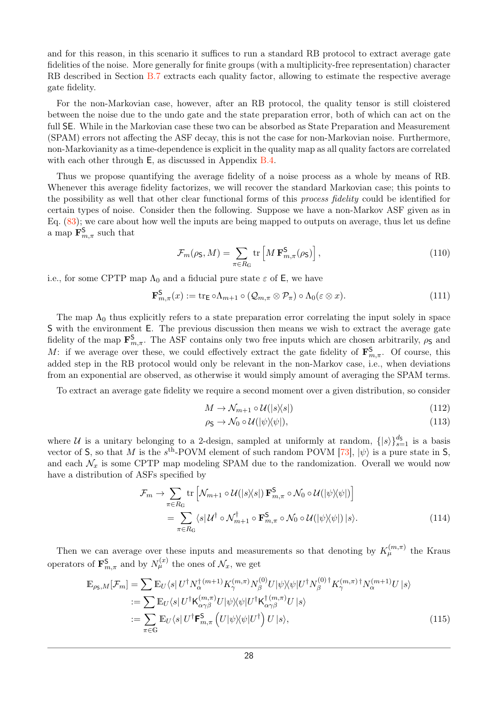and for this reason, in this scenario it suffices to run a standard RB protocol to extract average gate fidelities of the noise. More generally for finite groups (with a multiplicity-free representation) character RB described in Section [B.7](#page-25-0) extracts each quality factor, allowing to estimate the respective average gate fidelity.

For the non-Markovian case, however, after an RB protocol, the quality tensor is still cloistered between the noise due to the undo gate and the state preparation error, both of which can act on the full SE. While in the Markovian case these two can be absorbed as State Preparation and Measurement (SPAM) errors not affecting the ASF decay, this is not the case for non-Markovian noise. Furthermore, non-Markovianity as a time-dependence is explicit in the quality map as all quality factors are correlated with each other through  $E$ , as discussed in Appendix [B.4.](#page-22-2)

Thus we propose quantifying the average fidelity of a noise process as a whole by means of RB. Whenever this average fidelity factorizes, we will recover the standard Markovian case; this points to the possibility as well that other clear functional forms of this process fidelity could be identified for certain types of noise. Consider then the following. Suppose we have a non-Markov ASF given as in Eq. [\(83\)](#page-22-3); we care about how well the inputs are being mapped to outputs on average, thus let us define a map  $\mathbf{F}^{\mathsf{S}}_{m,\pi}$  such that

$$
\mathcal{F}_m(\rho_{\mathsf{S}}, M) = \sum_{\pi \in R_{\mathsf{G}}} \text{tr}\left[M \, \mathbf{F}_{m,\pi}^{\mathsf{S}}(\rho_{\mathsf{S}})\right],\tag{110}
$$

i.e., for some CPTP map  $\Lambda_0$  and a fiducial pure state  $\varepsilon$  of E, we have

$$
\mathbf{F}_{m,\pi}^{\mathbf{S}}(x) := \text{tr}_{\mathsf{E}} \circ \Lambda_{m+1} \circ (\mathcal{Q}_{m,\pi} \otimes \mathcal{P}_{\pi}) \circ \Lambda_0(\varepsilon \otimes x). \tag{111}
$$

The map  $\Lambda_0$  thus explicitly refers to a state preparation error correlating the input solely in space S with the environment E. The previous discussion then means we wish to extract the average gate fidelity of the map  $\mathbf{F}_{m,\pi}^{\mathbf{S}}$ . The ASF contains only two free inputs which are chosen arbitrarily,  $\rho_{\mathbf{S}}$  and *M*: if we average over these, we could effectively extract the gate fidelity of  $\mathbf{F}^{\mathsf{S}}_{m,\pi}$ . Of course, this added step in the RB protocol would only be relevant in the non-Markov case, i.e., when deviations from an exponential are observed, as otherwise it would simply amount of averaging the SPAM terms.

To extract an average gate fidelity we require a second moment over a given distribution, so consider

$$
M \to \mathcal{N}_{m+1} \circ \mathcal{U}(|s\rangle\langle s|) \tag{112}
$$

$$
\rho_{\mathsf{S}} \to \mathcal{N}_0 \circ \mathcal{U}(|\psi\rangle\langle\psi|),\tag{113}
$$

where U is a unitary belonging to a 2-design, sampled at uniformly at random,  $\{|s\rangle\}_{s=1}^{d_{\mathsf{S}}}$  is a basis vector of S, so that *M* is the  $s^{\text{th}}$ -POVM element of such random POVM [\[73\]](#page-15-2),  $|\psi\rangle$  is a pure state in S, and each  $\mathcal{N}_x$  is some CPTP map modeling SPAM due to the randomization. Overall we would now have a distribution of ASFs specified by

$$
\mathcal{F}_m \to \sum_{\pi \in R_G} \text{tr} \left[ \mathcal{N}_{m+1} \circ \mathcal{U}(|s\rangle\langle s|) \mathbf{F}_{m,\pi}^{\mathbf{S}} \circ \mathcal{N}_0 \circ \mathcal{U}(|\psi\rangle\langle\psi|) \right]
$$
  
= 
$$
\sum_{\pi \in R_G} \langle s | \mathcal{U}^{\dagger} \circ \mathcal{N}_{m+1}^{\dagger} \circ \mathbf{F}_{m,\pi}^{\mathbf{S}} \circ \mathcal{N}_0 \circ \mathcal{U}(|\psi\rangle\langle\psi|) | s \rangle.
$$
 (114)

Then we can average over these inputs and measurements so that denoting by  $K_{\mu}^{(m,\pi)}$  the Kraus operators of  $\mathbf{F}^{\mathsf{S}}_{m,\pi}$  and by  $N^{(x)}_{\mu}$  the ones of  $\mathcal{N}_x$ , we get

$$
\mathbb{E}_{\rho_{\mathsf{S}},M}[\mathcal{F}_m] = \sum \mathbb{E}_U \langle s | U^{\dagger} N_{\alpha}^{\dagger (m+1)} K_{\gamma}^{(m,\pi)} N_{\beta}^{(0)} U | \psi \rangle \langle \psi | U^{\dagger} N_{\beta}^{(0) \dagger} K_{\gamma}^{(m,\pi) \dagger} N_{\alpha}^{(m+1)} U | s \rangle \n:= \sum \mathbb{E}_U \langle s | U^{\dagger} \mathsf{K}_{\alpha \gamma \beta}^{(m,\pi)} U | \psi \rangle \langle \psi | U^{\dagger} \mathsf{K}_{\alpha \gamma \beta}^{\dagger (m,\pi)} U | s \rangle \n:= \sum_{\pi \in \mathbb{G}} \mathbb{E}_U \langle s | U^{\dagger} \mathsf{F}_{m,\pi}^{\mathsf{S}} \left( U | \psi \rangle \langle \psi | U^{\dagger} \right) U | s \rangle,
$$
\n(115)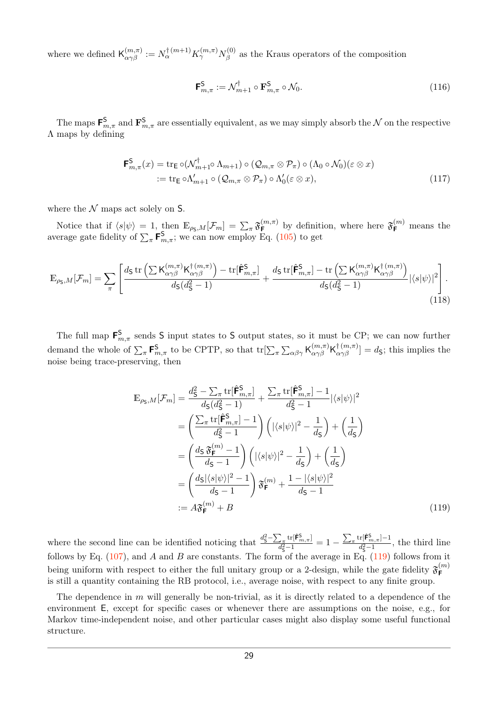where we defined  $\mathsf{K}^{(m,\pi)}_{\alpha\gamma\beta} := N^{\dagger (m+1)}_{\alpha} K^{(m,\pi)}_{\gamma} N^{(0)}_{\beta}$  $\beta$ <sup>(0)</sup> as the Kraus operators of the composition

<span id="page-28-1"></span>
$$
\mathbf{F}_{m,\pi}^{\mathbf{S}} := \mathcal{N}_{m+1}^{\dagger} \circ \mathbf{F}_{m,\pi}^{\mathbf{S}} \circ \mathcal{N}_0. \tag{116}
$$

The maps  $\mathbf{F}_{m,\pi}^{\mathbf{S}}$  and  $\mathbf{F}_{m,\pi}^{\mathbf{S}}$  are essentially equivalent, as we may simply absorb the  $\mathcal N$  on the respective Λ maps by defining

$$
\mathbf{F}_{m,\pi}^{\mathsf{S}}(x) = \text{tr}_{\mathsf{E}} \circ (\mathcal{N}_{m+1}^{\dagger} \circ \Lambda_{m+1}) \circ (\mathcal{Q}_{m,\pi} \otimes \mathcal{P}_{\pi}) \circ (\Lambda_{0} \circ \mathcal{N}_{0})(\varepsilon \otimes x)
$$
  
 :=  $\text{tr}_{\mathsf{E}} \circ \Lambda'_{m+1} \circ (\mathcal{Q}_{m,\pi} \otimes \mathcal{P}_{\pi}) \circ \Lambda'_{0}(\varepsilon \otimes x),$  (117)

where the  $N$  maps act solely on S.

Notice that if  $\langle s|\psi\rangle = 1$ , then  $\mathbb{E}_{\rho_{\mathsf{S}},M}[\mathcal{F}_m] = \sum_{\pi} \mathfrak{F}_{\mathsf{F}}^{(m,\pi)}$  $\mathbf{F}^{(m,\pi)}$  by definition, where here  $\mathfrak{F}^{(m)}_{\mathbf{F}}$  means the average gate fidelity of  $\sum_{\pi}$  **F**<sup>S</sup><sub>*m*,*π*</sub>; we can now employ Eq. [\(105\)](#page-26-1) to get

$$
\mathbb{E}_{\rho_{\mathsf{S}},M}[\mathcal{F}_m] = \sum_{\pi} \left[ \frac{d_{\mathsf{S}} \operatorname{tr} \left( \sum \mathsf{K}_{\alpha\gamma\beta}^{(m,\pi)} \mathsf{K}_{\alpha\gamma\beta}^{\dagger\,(m,\pi)} \right) - \operatorname{tr}[\hat{\mathsf{F}}_{m,\pi}^{\mathsf{S}}]}{d_{\mathsf{S}}(d_{\mathsf{S}}^2 - 1)} + \frac{d_{\mathsf{S}} \operatorname{tr}[\hat{\mathsf{F}}_{m,\pi}^{\mathsf{S}}] - \operatorname{tr} \left( \sum \mathsf{K}_{\alpha\gamma\beta}^{(m,\pi)} \mathsf{K}_{\alpha\gamma\beta}^{\dagger\,(m,\pi)} \right)}{d_{\mathsf{S}}(d_{\mathsf{S}}^2 - 1)} |\langle s|\psi\rangle|^2 \right]. \tag{118}
$$

The full map  $\mathbf{F}_{m,\pi}^{\mathbf{S}}$  sends S input states to S output states, so it must be CP; we can now further demand the whole of  $\sum_{\pi}$  **F**<sup>S</sup><sub>*m*,π</sub></sub> to be CPTP, so that tr $[\sum_{\pi} \sum_{\alpha\beta\gamma}$  **K** $_{\alpha\gamma\beta}^{(m,\pi)}$ **K** $_{\alpha\gamma\beta}^{(m,\pi)}$  = *d*<sub>S</sub>; this implies the noise being trace-preserving, then

<span id="page-28-0"></span>
$$
\mathbb{E}_{\rho_{\mathsf{S}},M}[\mathcal{F}_{m}] = \frac{d_{\mathsf{S}}^{2} - \sum_{\pi} \text{tr}[\hat{\mathsf{F}}_{m,\pi}^{\mathsf{S}}]}{d_{\mathsf{S}}(d_{\mathsf{S}}^{2} - 1)} + \frac{\sum_{\pi} \text{tr}[\hat{\mathsf{F}}_{m,\pi}^{\mathsf{S}}] - 1}{d_{\mathsf{S}}^{2} - 1} |\langle s | \psi \rangle|^{2}
$$
\n
$$
= \left(\frac{\sum_{\pi} \text{tr}[\hat{\mathsf{F}}_{m,\pi}^{\mathsf{S}}] - 1}{d_{\mathsf{S}}^{2} - 1}\right) \left(|\langle s | \psi \rangle|^{2} - \frac{1}{d_{\mathsf{S}}}\right) + \left(\frac{1}{d_{\mathsf{S}}}\right)
$$
\n
$$
= \left(\frac{d_{\mathsf{S}} \mathfrak{F}_{\mathsf{F}}^{(m)} - 1}{d_{\mathsf{S}} - 1}\right) \left(|\langle s | \psi \rangle|^{2} - \frac{1}{d_{\mathsf{S}}}\right) + \left(\frac{1}{d_{\mathsf{S}}}\right)
$$
\n
$$
= \left(\frac{d_{\mathsf{S}} |\langle s | \psi \rangle|^{2} - 1}{d_{\mathsf{S}} - 1}\right) \mathfrak{F}_{\mathsf{F}}^{(m)} + \frac{1 - |\langle s | \psi \rangle|^{2}}{d_{\mathsf{S}} - 1}
$$
\n
$$
:= A \mathfrak{F}_{\mathsf{F}}^{(m)} + B \tag{119}
$$

where the second line can be identified noticing that  $\frac{d_{\rm S}^2 - \sum_{\pi} {\rm tr}[\hat{\mathbf{F}}_{m,\pi}^{\rm S}]}{d^2 - 1}$  $\frac{\sum_{\pi} \text{tr}[\hat{\mathsf{F}}_{m,\pi}^{\mathsf{S}}]}{d_{\mathsf{S}}^2-1} = 1 - \frac{\sum_{\pi} \text{tr}[\hat{\mathsf{F}}_{m,\pi}^{\mathsf{S}}] - 1}{d_{\mathsf{S}}^2-1}$  $\frac{d^2\mathbf{I} \cdot \mathbf{m}, \pi \mathbf{I}^{-1}}{d^2\mathbf{S}^{-1}},$  the third line follows by Eq. [\(107\)](#page-26-2), and *A* and *B* are constants. The form of the average in Eq. [\(119\)](#page-28-0) follows from it being uniform with respect to either the full unitary group or a 2-design, while the gate fidelity  $\mathfrak{F}_{\mathsf{F}}^{(m)}$ **F** is still a quantity containing the RB protocol, i.e., average noise, with respect to any finite group.

The dependence in *m* will generally be non-trivial, as it is directly related to a dependence of the environment E, except for specific cases or whenever there are assumptions on the noise, e.g., for Markov time-independent noise, and other particular cases might also display some useful functional structure.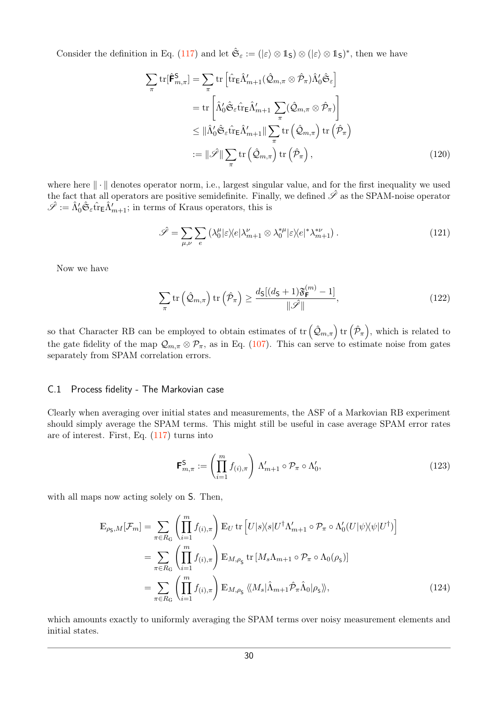Consider the definition in Eq. [\(117\)](#page-28-1) and let  $\hat{\mathfrak{S}}_{\varepsilon} := (\ket{\varepsilon} \otimes \mathbb{1}_{\mathsf{S}}) \otimes (\ket{\varepsilon} \otimes \mathbb{1}_{\mathsf{S}})^*$ , then we have

$$
\sum_{\pi} \text{tr}[\hat{\mathbf{F}}_{m,\pi}^{\mathsf{S}}] = \sum_{\pi} \text{tr} \left[ \hat{\text{tr}}_{\mathsf{E}} \hat{\Lambda}_{m+1}'(\hat{\mathcal{Q}}_{m,\pi} \otimes \hat{\mathcal{P}}_{\pi}) \hat{\Lambda}_{0}' \hat{\mathfrak{S}}_{\varepsilon} \right]
$$

$$
= \text{tr} \left[ \hat{\Lambda}_{0}' \hat{\mathfrak{S}}_{\varepsilon} \hat{\text{tr}}_{\mathsf{E}} \hat{\Lambda}_{m+1}' \sum_{\pi} (\hat{\mathcal{Q}}_{m,\pi} \otimes \hat{\mathcal{P}}_{\pi}) \right]
$$

$$
\leq ||\hat{\Lambda}_{0}' \hat{\mathfrak{S}}_{\varepsilon} \hat{\text{tr}}_{\mathsf{E}} \hat{\Lambda}_{m+1}' || \sum_{\pi} \text{tr} (\hat{\mathcal{Q}}_{m,\pi}) \text{tr} (\hat{\mathcal{P}}_{\pi})
$$

$$
:= ||\hat{\mathcal{S}}|| \sum_{\pi} \text{tr} (\hat{\mathcal{Q}}_{m,\pi}) \text{tr} (\hat{\mathcal{P}}_{\pi}), \qquad (120)
$$

where here  $\|\cdot\|$  denotes operator norm, i.e., largest singular value, and for the first inequality we used the fact that all operators are positive semidefinite. Finally, we defined  $\hat{\mathscr{S}}$  as the SPAM-noise operator  $\hat{\mathscr{S}} := \hat{\Lambda}'_0 \hat{\mathfrak{S}}_{\varepsilon} \hat{\mathrm{tr}}_{\mathsf{E}} \hat{\Lambda}'_{m+1}$ ; in terms of Kraus operators, this is

$$
\hat{\mathscr{S}} = \sum_{\mu,\nu} \sum_{e} \left( \lambda_0^{\mu} |\varepsilon \rangle \langle e | \lambda_{m+1}^{\nu} \otimes \lambda_0^{*\mu} | \varepsilon \rangle \langle e |^* \lambda_{m+1}^{*\nu} \right). \tag{121}
$$

Now we have

$$
\sum_{\pi} \operatorname{tr} \left( \hat{\mathcal{Q}}_{m,\pi} \right) \operatorname{tr} \left( \hat{\mathcal{P}}_{\pi} \right) \ge \frac{d_{\mathsf{S}}[(d_{\mathsf{S}}+1)\mathfrak{F}_{\mathsf{F}}^{(m)}-1]}{\|\hat{\mathcal{S}}\|},\tag{122}
$$

so that Character RB can be employed to obtain estimates of  $\text{tr}(\hat{\mathcal{Q}}_{m,\pi}) \text{tr}(\hat{\mathcal{P}}_{\pi})$ , which is related to the gate fidelity of the map  $\mathcal{Q}_{m,\pi} \otimes \mathcal{P}_{\pi}$ , as in Eq. [\(107\)](#page-26-2). This can serve to estimate noise from gates separately from SPAM correlation errors.

#### <span id="page-29-0"></span>C.1 Process fidelity - The Markovian case

Clearly when averaging over initial states and measurements, the ASF of a Markovian RB experiment should simply average the SPAM terms. This might still be useful in case average SPAM error rates are of interest. First, Eq. [\(117\)](#page-28-1) turns into

$$
\mathbf{F}_{m,\pi}^{\mathsf{S}} := \left(\prod_{i=1}^{m} f_{(i),\pi}\right) \Lambda'_{m+1} \circ \mathcal{P}_{\pi} \circ \Lambda'_{0},\tag{123}
$$

with all maps now acting solely on  $S$ . Then,

$$
\mathbb{E}_{\rho_{\mathsf{S},M}}[\mathcal{F}_m] = \sum_{\pi \in R_{\mathsf{G}}} \left( \prod_{i=1}^m f_{(i),\pi} \right) \mathbb{E}_U \operatorname{tr} \left[ U|s\rangle\langle s| U^\dagger \Lambda_{m+1}' \circ \mathcal{P}_\pi \circ \Lambda_0'(U|\psi\rangle\langle\psi|U^\dagger) \right]
$$
\n
$$
= \sum_{\pi \in R_{\mathsf{G}}} \left( \prod_{i=1}^m f_{(i),\pi} \right) \mathbb{E}_{M,\rho_{\mathsf{S}}} \operatorname{tr} \left[ M_s \Lambda_{m+1} \circ \mathcal{P}_\pi \circ \Lambda_0(\rho_{\mathsf{S}}) \right]
$$
\n
$$
= \sum_{\pi \in R_{\mathsf{G}}} \left( \prod_{i=1}^m f_{(i),\pi} \right) \mathbb{E}_{M,\rho_{\mathsf{S}}} \langle \langle M_s | \hat{\Lambda}_{m+1} \hat{\mathcal{P}}_\pi \hat{\Lambda}_0 | \rho_{\mathsf{S}} \rangle\rangle, \tag{124}
$$

which amounts exactly to uniformly averaging the SPAM terms over noisy measurement elements and initial states.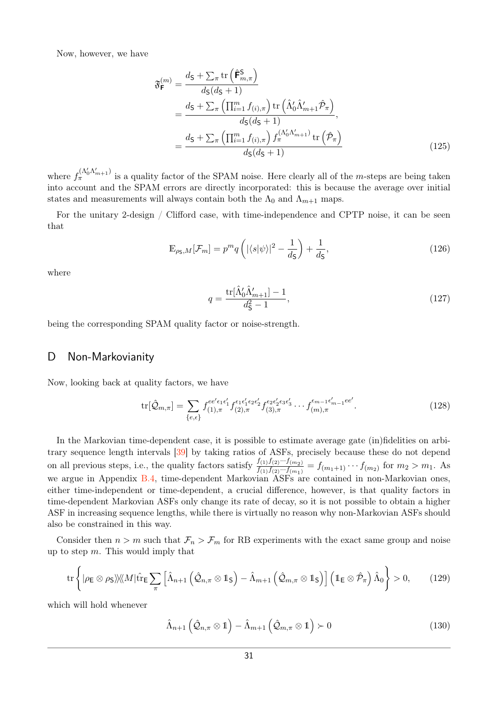Now, however, we have

$$
\mathfrak{F}_{\mathsf{F}}^{(m)} = \frac{d_{\mathsf{S}} + \sum_{\pi} \text{tr}\left(\hat{\mathsf{F}}_{m,\pi}^{\mathsf{S}}\right)}{d_{\mathsf{S}}(d_{\mathsf{S}} + 1)} \n= \frac{d_{\mathsf{S}} + \sum_{\pi} \left(\prod_{i=1}^{m} f_{(i),\pi}\right) \text{tr}\left(\hat{\Lambda}'_{0}\hat{\Lambda}'_{m+1}\hat{\mathcal{P}}_{\pi}\right)}{d_{\mathsf{S}}(d_{\mathsf{S}} + 1)}, \n= \frac{d_{\mathsf{S}} + \sum_{\pi} \left(\prod_{i=1}^{m} f_{(i),\pi}\right) f_{\pi}^{(\Lambda'_{0}\Lambda'_{m+1})} \text{tr}\left(\hat{\mathcal{P}}_{\pi}\right)}{d_{\mathsf{S}}(d_{\mathsf{S}} + 1)}
$$
\n(125)

where  $f_{\pi}^{(\Lambda_0'\Lambda_{m+1}')}$  is a quality factor of the SPAM noise. Here clearly all of the *m*-steps are being taken into account and the SPAM errors are directly incorporated: this is because the average over initial states and measurements will always contain both the  $\Lambda_0$  and  $\Lambda_{m+1}$  maps.

For the unitary 2-design / Clifford case, with time-independence and CPTP noise, it can be seen that

$$
\mathbb{E}_{\rho_{\mathsf{S}},M}[\mathcal{F}_m] = p^m q \left( |\langle s|\psi \rangle|^2 - \frac{1}{d_{\mathsf{S}}} \right) + \frac{1}{d_{\mathsf{S}}},\tag{126}
$$

where

$$
q = \frac{\text{tr}[\hat{\Lambda}'_0 \hat{\Lambda}'_{m+1}] - 1}{d_{\mathsf{S}}^2 - 1},\tag{127}
$$

being the corresponding SPAM quality factor or noise-strength.

### <span id="page-30-0"></span>D Non-Markovianity

Now, looking back at quality factors, we have

$$
\text{tr}[\hat{\mathcal{Q}}_{m,\pi}] = \sum_{\{e,\epsilon\}} f_{(1),\pi}^{ee'\epsilon_1\epsilon_1'} f_{(2),\pi}^{\epsilon_1\epsilon_1'\epsilon_2\epsilon_2'} f_{(3),\pi}^{\epsilon_2\epsilon_2'\epsilon_3\epsilon_3'} \cdots f_{(m),\pi}^{\epsilon_{m-1}\epsilon_{m-1}'ee'}.
$$
(128)

In the Markovian time-dependent case, it is possible to estimate average gate (in)fidelities on arbitrary sequence length intervals [\[39\]](#page-13-11) by taking ratios of ASFs, precisely because these do not depend on all previous steps, i.e., the quality factors satisfy  $\frac{f_{(1)}f_{(2)}\cdots f_{(m_2)}}{f_{(1)}f_{(2)}\cdots f_{(m_1)}} = f_{(m_1+1)}\cdots f_{(m_2)}$  for  $m_2 > m_1$ . As we argue in Appendix [B.4,](#page-22-2) time-dependent Markovian ASFs are contained in non-Markovian ones, either time-independent or time-dependent, a crucial difference, however, is that quality factors in time-dependent Markovian ASFs only change its rate of decay, so it is not possible to obtain a higher ASF in increasing sequence lengths, while there is virtually no reason why non-Markovian ASFs should also be constrained in this way.

Consider then  $n > m$  such that  $\mathcal{F}_n > \mathcal{F}_m$  for RB experiments with the exact same group and noise up to step *m*. This would imply that

$$
\operatorname{tr}\left\{|\rho_{\mathsf{E}}\otimes\rho_{\mathsf{S}}\rangle\!\rangle\!\langle\!\langle M|\hat{\operatorname{tr}}_{\mathsf{E}}\sum_{\pi}\left[\hat{\Lambda}_{n+1}\left(\hat{\mathcal{Q}}_{n,\pi}\otimes\mathbb{1}_{\mathsf{S}}\right)-\hat{\Lambda}_{m+1}\left(\hat{\mathcal{Q}}_{m,\pi}\otimes\mathbb{1}_{\mathsf{S}}\right)\right]\left(\mathbb{1}_{\mathsf{E}}\otimes\hat{\mathcal{P}}_{\pi}\right)\hat{\Lambda}_{0}\right\}>0,\qquad(129)
$$

which will hold whenever

$$
\hat{\Lambda}_{n+1}\left(\hat{\mathcal{Q}}_{n,\pi}\otimes\mathbb{1}\right)-\hat{\Lambda}_{m+1}\left(\hat{\mathcal{Q}}_{m,\pi}\otimes\mathbb{1}\right)\succ 0\tag{130}
$$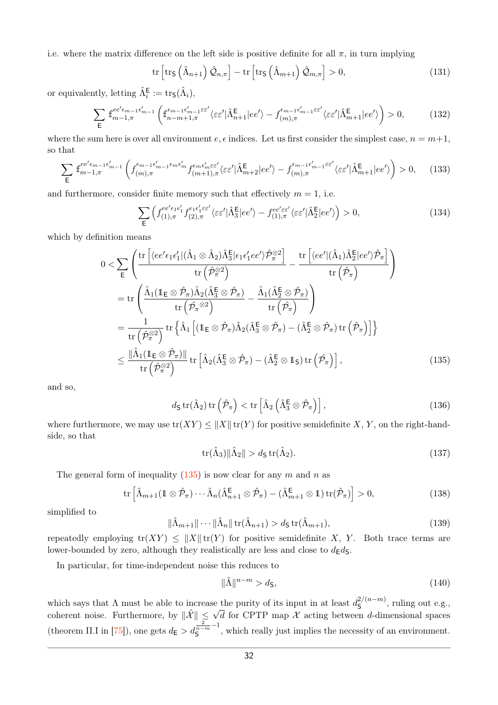i.e. where the matrix difference on the left side is positive definite for all  $\pi$ , in turn implying

$$
\operatorname{tr}\left[\operatorname{tr}_{\mathsf{S}}\left(\hat{\Lambda}_{n+1}\right)\hat{\mathcal{Q}}_{n,\pi}\right] - \operatorname{tr}\left[\operatorname{tr}_{\mathsf{S}}\left(\hat{\Lambda}_{m+1}\right)\hat{\mathcal{Q}}_{m,\pi}\right] > 0,\tag{131}
$$

or equivalently, letting  $\hat{\Lambda}_{i}^{\textsf{E}} := \text{tr}_{\textsf{S}}(\hat{\Lambda}_{i}),$ 

$$
\sum_{\mathsf{E}} \mathbb{f}_{m-1,\pi}^{ee' \epsilon_{m-1} \epsilon'_{m-1}} \left( \mathbb{f}_{n-m+1,\pi}^{\epsilon_{m-1} \epsilon'_{m-1} \epsilon e'} \langle \epsilon \epsilon' | \hat{\Lambda}_{n+1}^{\mathsf{E}} | ee' \rangle - f_{(m),\pi}^{\epsilon_{m-1} \epsilon'_{m-1} \epsilon e'} \langle \epsilon \epsilon' | \hat{\Lambda}_{m+1}^{\mathsf{E}} | ee' \rangle \right) > 0, \tag{132}
$$

where the sum here is over all environment  $e, \epsilon$  indices. Let us first consider the simplest case,  $n = m+1$ , so that

$$
\sum_{\mathsf{E}} \mathbf{f}_{m-1,\pi}^{ee'e_{m-1}\epsilon'_{m-1}} \left( f_{(m),\pi}^{\epsilon_{m-1}\epsilon'_{m-1}\epsilon_{m}\epsilon'_{m}} f_{(m+1),\pi}^{\epsilon_{m}\epsilon'_{m}\varepsilon\varepsilon'} \langle \varepsilon \varepsilon' |\hat{\Lambda}_{m+2}^{\mathsf{E}} |ee' \rangle - f_{(m),\pi}^{\epsilon_{m-1}\epsilon'_{m-1}\varepsilon\varepsilon'} \langle \varepsilon \varepsilon' |\hat{\Lambda}_{m+1}^{\mathsf{E}} |ee' \rangle \right) > 0, \quad (133)
$$

and furthermore, consider finite memory such that effectively  $m = 1$ , i.e.

$$
\sum_{\mathsf{E}} \left( f_{(1),\pi}^{ee'e_1\epsilon_1'} f_{(2),\pi}^{\epsilon_1\epsilon_1'\epsilon_2'} \langle \varepsilon \varepsilon' | \hat{\Lambda}_3^{\mathsf{E}} |ee' \rangle - f_{(1),\pi}^{ee'\epsilon \varepsilon'} \langle \varepsilon \varepsilon' | \hat{\Lambda}_2^{\mathsf{E}} |ee' \rangle \right) > 0, \tag{134}
$$

which by definition means

$$
0 < \sum_{\mathsf{E}} \left( \frac{\text{tr}\left[ \langle ee' \epsilon_1 \epsilon'_1 | (\hat{\Lambda}_1 \otimes \hat{\Lambda}_2) \hat{\Lambda}_3^{\mathsf{E}} | \epsilon_1 \epsilon'_1 e e' \rangle \hat{\mathcal{P}}_{\pi}^{\otimes 2} \right]}{\text{tr}\left( \hat{\mathcal{P}}_{\pi}^{\otimes 2} \right)} - \frac{\text{tr}\left[ \langle ee' | (\hat{\Lambda}_1) \hat{\Lambda}_2^{\mathsf{E}} | e e' \rangle \hat{\mathcal{P}}_{\pi} \right]}{\text{tr}\left( \hat{\mathcal{P}}_{\pi} \right)} \right)
$$
  
\n
$$
= \text{tr}\left( \frac{\hat{\Lambda}_1 (\mathbb{1}_{\mathsf{E}} \otimes \hat{\mathcal{P}}_{\pi}) \hat{\Lambda}_2 (\hat{\Lambda}_3^{\mathsf{E}} \otimes \hat{\mathcal{P}}_{\pi})}{\text{tr}\left( \hat{\mathcal{P}}_{\pi}^{\otimes 2} \right)} - \frac{\hat{\Lambda}_1 (\hat{\Lambda}_2^{\mathsf{E}} \otimes \hat{\mathcal{P}}_{\pi})}{\text{tr}\left( \hat{\mathcal{P}}_{\pi} \right)} \right)
$$
  
\n
$$
= \frac{1}{\text{tr}\left( \hat{\mathcal{P}}_{\pi}^{\otimes 2} \right)} \text{tr}\left\{ \hat{\Lambda}_1 \left[ (\mathbb{1}_{\mathsf{E}} \otimes \hat{\mathcal{P}}_{\pi}) \hat{\Lambda}_2 (\hat{\Lambda}_3^{\mathsf{E}} \otimes \hat{\mathcal{P}}_{\pi}) - (\hat{\Lambda}_2^{\mathsf{E}} \otimes \hat{\mathcal{P}}_{\pi}) \text{tr}\left( \hat{\mathcal{P}}_{\pi} \right) \right] \right\}
$$
  
\n
$$
\leq \frac{\|\hat{\Lambda}_1 (\mathbb{1}_{\mathsf{E}} \otimes \hat{\mathcal{P}}_{\pi})\|}{\text{tr}\left( \hat{\mathcal{P}}_{\pi}^{\otimes 2} \right)} \text{tr}\left[ \hat{\Lambda}_2 (\hat{\Lambda}_3^{\mathsf{E}} \otimes \hat{\mathcal{P}}_{\pi}) - (\hat{\Lambda}_2^{\mathsf{E}} \otimes \mathbb{1}_{\mathsf{S}}) \text{tr}\left( \hat{\mathcal{P}}_{\pi} \right) \right], \tag{135}
$$

and so,

$$
d_{\mathsf{S}}\operatorname{tr}(\hat{\Lambda}_2)\operatorname{tr}\left(\hat{\mathcal{P}}_{\pi}\right) < \operatorname{tr}\left[\hat{\Lambda}_2\left(\hat{\Lambda}_3^{\mathsf{E}} \otimes \hat{\mathcal{P}}_{\pi}\right)\right],\tag{136}
$$

where furthermore, we may use  $tr(XY) \leq ||X|| tr(Y)$  for positive semidefinite X, Y, on the right-handside, so that

<span id="page-31-0"></span>
$$
\operatorname{tr}(\hat{\Lambda}_3) \|\hat{\Lambda}_2\| > d_{\mathsf{S}} \operatorname{tr}(\hat{\Lambda}_2). \tag{137}
$$

The general form of inequality [\(135\)](#page-31-0) is now clear for any *m* and *n* as

$$
\operatorname{tr}\left[\hat{\Lambda}_{m+1}(\mathbb{1}\otimes\hat{\mathcal{P}}_{\pi})\cdots\hat{\Lambda}_{n}(\hat{\Lambda}_{n+1}^{\mathsf{E}}\otimes\hat{\mathcal{P}}_{\pi})-(\hat{\Lambda}_{m+1}^{\mathsf{E}}\otimes\mathbb{1})\operatorname{tr}(\hat{\mathcal{P}}_{\pi})\right] > 0,
$$
\n(138)

simplified to

$$
\|\hat{\Lambda}_{m+1}\|\cdots\|\hat{\Lambda}_n\|\operatorname{tr}(\hat{\Lambda}_{n+1}) > d_{\mathsf{S}}\operatorname{tr}(\hat{\Lambda}_{m+1}),\tag{139}
$$

repeatedly employing  $tr(XY) \leq ||X|| tr(Y)$  for positive semidefinite X, Y. Both trace terms are lower-bounded by zero, although they realistically are less and close to  $d_{\mathsf{E}}d_{\mathsf{S}}$ .

In particular, for time-independent noise this reduces to

$$
\|\hat{\Lambda}\|^{n-m} > d_{\mathsf{S}},\tag{140}
$$

which says that  $\Lambda$  must be able to increase the purity of its input in at least  $d_{\mathsf{S}}^{2/(n-m)}$ se the purity of its input in at least  $d_{\mathsf{S}}^{2/(n-m)}$ , ruling out e.g., coherent noise. Furthermore, by  $\|\hat{\mathcal{X}}\| \leq \sqrt{d}$  for CPTP map  $\mathcal X$  acting between *d*-dimensional spaces (theorem II.I in [\[75\]](#page-15-4)), one gets  $d_{\mathsf{E}} > d_{\mathsf{S}}^{\frac{2}{n-m}-1}$  $S^{n-m}$ , which really just implies the necessity of an environment.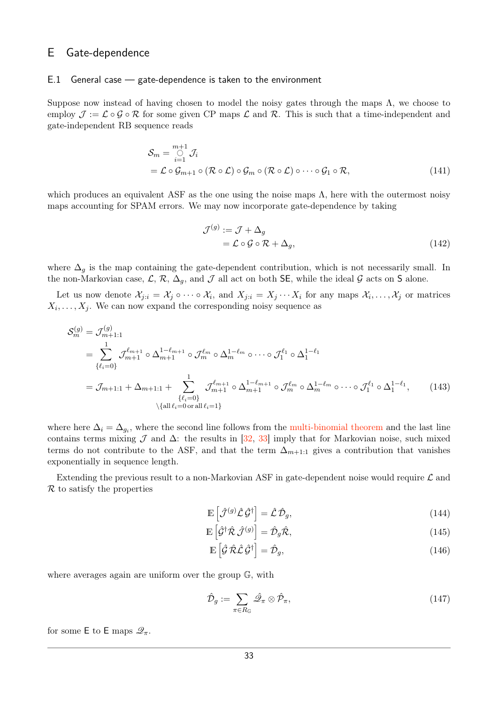### E Gate-dependence

#### E.1 General case — gate-dependence is taken to the environment

Suppose now instead of having chosen to model the noisy gates through the maps  $\Lambda$ , we choose to employ  $\mathcal{J} := \mathcal{L} \circ \mathcal{G} \circ \mathcal{R}$  for some given CP maps  $\mathcal{L}$  and  $\mathcal{R}$ . This is such that a time-independent and gate-independent RB sequence reads

$$
S_m = \bigcup_{i=1}^{m+1} \mathcal{J}_i
$$
  
=  $\mathcal{L} \circ \mathcal{G}_{m+1} \circ (\mathcal{R} \circ \mathcal{L}) \circ \mathcal{G}_m \circ (\mathcal{R} \circ \mathcal{L}) \circ \cdots \circ \mathcal{G}_1 \circ \mathcal{R},$  (141)

which produces an equivalent ASF as the one using the noise maps  $\Lambda$ , here with the outermost noisy maps accounting for SPAM errors. We may now incorporate gate-dependence by taking

$$
\mathcal{J}^{(g)} := \mathcal{J} + \Delta_g
$$
  
=  $\mathcal{L} \circ \mathcal{G} \circ \mathcal{R} + \Delta_g,$  (142)

where  $\Delta_g$  is the map containing the gate-dependent contribution, which is not necessarily small. In the non-Markovian case,  $\mathcal{L}, \mathcal{R}, \Delta_g$ , and  $\mathcal{J}$  all act on both SE, while the ideal  $\mathcal{G}$  acts on S alone.

Let us now denote  $\mathcal{X}_{j:i} = \mathcal{X}_j \circ \cdots \circ \mathcal{X}_i$ , and  $X_{j:i} = X_j \cdots X_i$  for any maps  $\mathcal{X}_i, \ldots, \mathcal{X}_j$  or matrices  $X_i, \ldots, X_j$ . We can now expand the corresponding noisy sequence as

$$
S_{m}^{(g)} = \mathcal{J}_{m+1:1}^{(g)}
$$
  
=  $\sum_{\{\ell_{i}=0\}}^{1} \mathcal{J}_{m+1}^{\ell_{m+1}} \circ \Delta_{m+1}^{1-\ell_{m+1}} \circ \mathcal{J}_{m}^{\ell_{m}} \circ \Delta_{m}^{1-\ell_{m}} \circ \cdots \circ \mathcal{J}_{1}^{\ell_{1}} \circ \Delta_{1}^{1-\ell_{1}}$   
=  $\mathcal{J}_{m+1:1} + \Delta_{m+1:1} + \sum_{\{\ell_{i}=0\}}^{1} \mathcal{J}_{m+1}^{\ell_{m+1}} \circ \Delta_{m+1}^{1-\ell_{m+1}} \circ \mathcal{J}_{m}^{\ell_{m}} \circ \Delta_{m}^{1-\ell_{m}} \circ \cdots \circ \mathcal{J}_{1}^{\ell_{1}} \circ \Delta_{1}^{1-\ell_{1}}, \qquad (143)$   
\
$$
\setminus \{\text{all } \ell_{i}=0 \text{ or all } \ell_{i}=1\}
$$

where here  $\Delta_i = \Delta_{g_i}$ , where the second line follows from the [multi-binomial theorem](https://en.wikipedia.org/wiki/Binomial_theorem#Multi-binomial_theorem) and the last line contains terms mixing  $\mathcal J$  and  $\Delta$ : the results in [\[32,](#page-13-6) [33\]](#page-13-7) imply that for Markovian noise, such mixed terms do not contribute to the ASF, and that the term  $\Delta_{m+1:1}$  gives a contribution that vanishes exponentially in sequence length.

Extending the previous result to a non-Markovian ASF in gate-dependent noise would require  $\mathcal L$  and  $\mathcal R$  to satisfy the properties

<span id="page-32-2"></span><span id="page-32-0"></span>
$$
\mathbb{E}\left[\hat{\mathcal{J}}^{(g)}\hat{\mathcal{L}}\hat{\mathcal{G}}^{\dagger}\right] = \hat{\mathcal{L}}\hat{\mathcal{D}}_{g},\tag{144}
$$

$$
\mathbb{E}\left[\hat{\mathcal{G}}^{\dagger}\hat{\mathcal{R}}\,\hat{\mathcal{J}}^{(g)}\right] = \hat{\mathcal{D}}_g\hat{\mathcal{R}},\tag{145}
$$

<span id="page-32-1"></span>
$$
\mathbb{E}\left[\hat{\mathcal{G}}\,\hat{\mathcal{R}}\hat{\mathcal{L}}\,\hat{\mathcal{G}}^{\dagger}\right] = \hat{\mathcal{D}}_{g},\tag{146}
$$

where averages again are uniform over the group G, with

$$
\hat{\mathcal{D}}_g := \sum_{\pi \in R_{\mathbb{G}}} \hat{\mathcal{Q}}_\pi \otimes \hat{\mathcal{P}}_\pi,\tag{147}
$$

for some E to E maps  $\mathcal{Q}_{\pi}$ .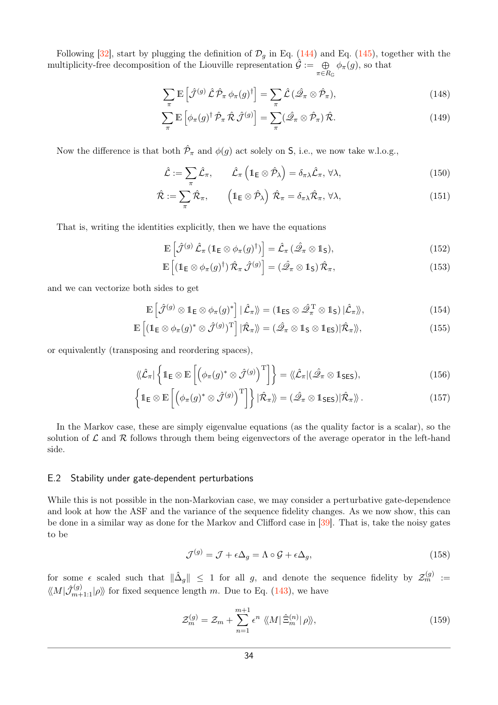Following [\[32\]](#page-13-6), start by plugging the definition of  $\mathcal{D}_q$  in Eq. [\(144\)](#page-32-0) and Eq. [\(145\)](#page-32-1), together with the multiplicity-free decomposition of the Liouville representation  $\hat{\mathcal{G}} := \Theta$  $\bigoplus_{\pi \in R_{\mathbb{G}}} \phi_{\pi}(g)$ , so that

$$
\sum_{\pi} \mathbb{E} \left[ \hat{\mathcal{J}}^{(g)} \hat{\mathcal{L}} \hat{\mathcal{P}}_{\pi} \phi_{\pi}(g)^{\dagger} \right] = \sum_{\pi} \hat{\mathcal{L}} \left( \hat{\mathcal{Q}}_{\pi} \otimes \hat{\mathcal{P}}_{\pi} \right), \tag{148}
$$

$$
\sum_{\pi} \mathbb{E} \left[ \phi_{\pi}(g)^{\dagger} \hat{\mathcal{P}}_{\pi} \hat{\mathcal{R}} \hat{\mathcal{J}}^{(g)} \right] = \sum_{\pi} (\hat{\mathcal{Q}}_{\pi} \otimes \hat{\mathcal{P}}_{\pi}) \hat{\mathcal{R}}.
$$
\n(149)

Now the difference is that both  $\hat{\mathcal{P}}_{\pi}$  and  $\phi(g)$  act solely on S, i.e., we now take w.l.o.g.,

$$
\hat{\mathcal{L}} := \sum_{\pi} \hat{\mathcal{L}}_{\pi}, \qquad \hat{\mathcal{L}}_{\pi} \left( \mathbb{1}_{\mathsf{E}} \otimes \hat{\mathcal{P}}_{\lambda} \right) = \delta_{\pi\lambda} \hat{\mathcal{L}}_{\pi}, \forall \lambda,
$$
\n(150)

$$
\hat{\mathcal{R}} := \sum_{\pi} \hat{\mathcal{R}}_{\pi}, \qquad \left( \mathbb{1}_{\mathsf{E}} \otimes \hat{\mathcal{P}}_{\lambda} \right) \hat{\mathcal{R}}_{\pi} = \delta_{\pi\lambda} \hat{\mathcal{R}}_{\pi}, \,\forall \lambda,
$$
\n(151)

That is, writing the identities explicitly, then we have the equations

$$
\mathbb{E}\left[\hat{\mathcal{J}}^{(g)}\hat{\mathcal{L}}_{\pi}\left(\mathbb{1}_{\mathsf{E}}\otimes\phi_{\pi}(g)^{\dagger}\right)\right]=\hat{\mathcal{L}}_{\pi}\left(\hat{\mathscr{Q}}_{\pi}\otimes\mathbb{1}_{\mathsf{S}}\right),\tag{152}
$$

$$
\mathbb{E}\left[\left(\mathbb{1}_{\mathsf{E}}\otimes\phi_{\pi}(g)^{\dagger}\right)\hat{\mathcal{R}}_{\pi}\hat{\mathcal{J}}^{(g)}\right]=\left(\hat{\mathscr{Q}}_{\pi}\otimes\mathbb{1}_{\mathsf{S}}\right)\hat{\mathcal{R}}_{\pi},\tag{153}
$$

and we can vectorize both sides to get

$$
\mathbb{E}\left[\hat{\mathcal{J}}^{(g)}\otimes\mathbb{1}_{\mathsf{E}}\otimes\phi_{\pi}(g)^{*}\right]|\hat{\mathcal{L}}_{\pi}\rangle\!\rangle=(\mathbb{1}_{\mathsf{ES}}\otimes\hat{\mathcal{Q}}_{\pi}^{\mathrm{T}}\otimes\mathbb{1}_{\mathsf{S}})|\hat{\mathcal{L}}_{\pi}\rangle\!\rangle,\tag{154}
$$

$$
\mathbb{E}\left[ (\mathbb{1}_{\mathsf{E}} \otimes \phi_{\pi}(g)^{*} \otimes \hat{\mathcal{J}}^{(g)})^{\mathrm{T}} \right] | \hat{\mathcal{R}}_{\pi} \rangle\!\rangle = (\hat{\mathcal{Q}}_{\pi} \otimes \mathbb{1}_{\mathsf{S}} \otimes \mathbb{1}_{\mathsf{ES}}) | \hat{\mathcal{R}}_{\pi} \rangle\!\rangle, \tag{155}
$$

or equivalently (transposing and reordering spaces),

$$
\langle\!\langle \hat{\mathcal{L}}_{\pi} | \left\{ 1_{\mathsf{E}} \otimes \mathbb{E} \left[ \left( \phi_{\pi}(g)^* \otimes \hat{\mathcal{J}}^{(g)} \right)^{\mathrm{T}} \right] \right\} = \langle\!\langle \hat{\mathcal{L}}_{\pi} | (\hat{\mathcal{Q}}_{\pi} \otimes 1_{\mathsf{SES}}), \tag{156}
$$

$$
\left\{1\mathbf{E}\otimes\mathbb{E}\left[\left(\phi_{\pi}(g)^*\otimes\hat{\mathcal{J}}^{(g)}\right)^{\mathrm{T}}\right]\right\}|\hat{\mathcal{R}}_{\pi}\rangle\!\rangle=\left(\hat{\mathscr{Q}}_{\pi}\otimes1_{\mathsf{SES}}\right)|\hat{\mathcal{R}}_{\pi}\rangle\!\rangle\,.
$$
\n(157)

In the Markov case, these are simply eigenvalue equations (as the quality factor is a scalar), so the solution of  $\mathcal L$  and  $\mathcal R$  follows through them being eigenvectors of the average operator in the left-hand side.

#### <span id="page-33-0"></span>E.2 Stability under gate-dependent perturbations

While this is not possible in the non-Markovian case, we may consider a perturbative gate-dependence and look at how the ASF and the variance of the sequence fidelity changes. As we now show, this can be done in a similar way as done for the Markov and Clifford case in [\[39\]](#page-13-11). That is, take the noisy gates to be

$$
\mathcal{J}^{(g)} = \mathcal{J} + \epsilon \Delta_g = \Lambda \circ \mathcal{G} + \epsilon \Delta_g,\tag{158}
$$

for some  $\epsilon$  scaled such that  $\|\hat{\Delta}_g\| \leq 1$  for all *g*, and denote the sequence fidelity by  $\mathcal{Z}_m^{(g)} :=$  $\langle M|\hat{\mathcal{J}}_{m+1:1}^{(g)}|\rho\rangle$  for fixed sequence length *m*. Due to Eq. [\(143\)](#page-32-2), we have

$$
\mathcal{Z}_m^{(g)} = \mathcal{Z}_m + \sum_{n=1}^{m+1} \epsilon^n \ \langle\!\langle M | \hat{\Xi}_m^{(n)} | \rho \rangle\!\rangle, \tag{159}
$$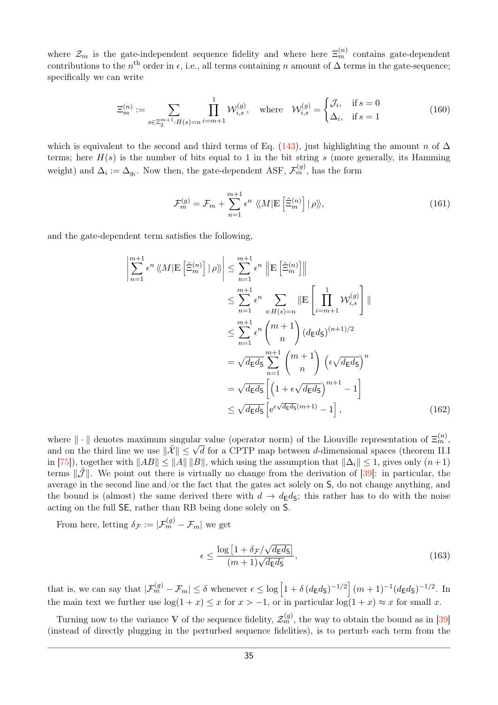where  $\mathcal{Z}_m$  is the gate-independent sequence fidelity and where here  $\Xi_m^{(n)}$  contains gate-dependent contributions to the  $n^{\text{th}}$  order in  $\epsilon$ , i.e., all terms containing *n* amount of  $\Delta$  terms in the gate-sequence; specifically we can write

$$
\Xi_{m}^{(n)} := \sum_{s \in \mathbb{Z}_{2}^{m+1}: H(s) = n} \prod_{i=m+1}^{1} \mathcal{W}_{i,s}^{(g)}, \quad \text{where} \quad \mathcal{W}_{i,s}^{(g)} = \begin{cases} \mathcal{J}_{i}, & \text{if } s = 0 \\ \Delta_{i}, & \text{if } s = 1 \end{cases} \tag{160}
$$

which is equivalent to the second and third terms of Eq. [\(143\)](#page-32-2), just highlighting the amount *n* of  $\Delta$ terms; here  $H(s)$  is the number of bits equal to 1 in the bit string  $s$  (more generally, its Hamming weight) and  $\Delta_i := \Delta_{g_i}$ . Now then, the gate-dependent ASF,  $\mathcal{F}_m^{(g)}$ , has the form

$$
\mathcal{F}_m^{(g)} = \mathcal{F}_m + \sum_{n=1}^{m+1} \epsilon^n \ \langle M | \mathbb{E} \left[ \hat{\Xi}_m^{(n)} \right] | \rho \rangle \rangle, \tag{161}
$$

and the gate-dependent term satisfies the following,

$$
\left| \sum_{n=1}^{m+1} \epsilon^n \left\langle M | \mathbb{E} \left[ \hat{\Xi}_m^{(n)} \right] | \rho \right\rangle \right| \leq \sum_{n=1}^{m+1} \epsilon^n \left\| \mathbb{E} \left[ \hat{\Xi}_m^{(n)} \right] \right\|
$$
  
\n
$$
\leq \sum_{n=1}^{m+1} \epsilon^n \sum_{s:H(s)=n} \left\| \mathbb{E} \left[ \prod_{i=m+1}^1 \mathcal{W}_{i,s}^{(g)} \right] \right\|
$$
  
\n
$$
\leq \sum_{n=1}^{m+1} \epsilon^n {m+1 \choose n} (d_{\mathsf{E}} d_{\mathsf{S}})^{(n+1)/2}
$$
  
\n
$$
= \sqrt{d_{\mathsf{E}} d_{\mathsf{S}}} \sum_{n=1}^{m+1} {m+1 \choose n} (\epsilon \sqrt{d_{\mathsf{E}} d_{\mathsf{S}}})^n
$$
  
\n
$$
= \sqrt{d_{\mathsf{E}} d_{\mathsf{S}}} \left[ (1 + \epsilon \sqrt{d_{\mathsf{E}} d_{\mathsf{S}}})^{m+1} - 1 \right]
$$
  
\n
$$
\leq \sqrt{d_{\mathsf{E}} d_{\mathsf{S}}} \left[ e^{\epsilon \sqrt{d_{\mathsf{E}} d_{\mathsf{S}}}(m+1)} - 1 \right], \tag{162}
$$

where  $\|\cdot\|$  denotes maximum singular value (operator norm) of the Liouville representation of  $\Xi_m^{(n)}$ , and on the third line we use  $\|\hat{\mathcal{X}}\| \leq \sqrt{d}$  for a CPTP map between *d*-dimensional spaces (theorem II.I in [\[75\]](#page-15-4)), together with  $||AB|| \le ||A|| ||B||$ , which using the assumption that  $||\Delta_i|| \le 1$ , gives only  $(n+1)$ terms  $\|\tilde{J}\|$ . We point out there is virtually no change from the derivation of [\[39\]](#page-13-11): in particular, the average in the second line and/or the fact that the gates act solely on S, do not change anything, and the bound is (almost) the same derived there with  $d \to d_{\mathsf{E}} d_{\mathsf{S}}$ ; this rather has to do with the noise acting on the full SE, rather than RB being done solely on S.

From here, letting  $\delta_{\mathcal{F}} := |\mathcal{F}_m^{(g)} - \mathcal{F}_m|$  we get

<span id="page-34-0"></span>
$$
\epsilon \le \frac{\log\left[1 + \delta_{\mathcal{F}}/\sqrt{d_{\mathsf{E}}d_{\mathsf{S}}}\right]}{(m+1)\sqrt{d_{\mathsf{E}}d_{\mathsf{S}}}},\tag{163}
$$

that is, we can say that  $|\mathcal{F}_m^{(g)} - \mathcal{F}_m| \leq \delta$  whenever  $\epsilon \leq \log \left[1 + \delta (d_{\mathsf{E}} d_{\mathsf{S}})^{-1/2}\right] (m+1)^{-1} (d_{\mathsf{E}} d_{\mathsf{S}})^{-1/2}$ . In the main text we further use  $\log(1+x) \leq x$  for  $x > -1$ , or in particular  $\log(1+x) \approx x$  for small *x*.

Turning now to the variance V of the sequence fidelity,  $\mathcal{Z}_m^{(g)}$ , the way to obtain the bound as in [\[39\]](#page-13-11) (instead of directly plugging in the perturbed sequence fidelities), is to perturb each term from the